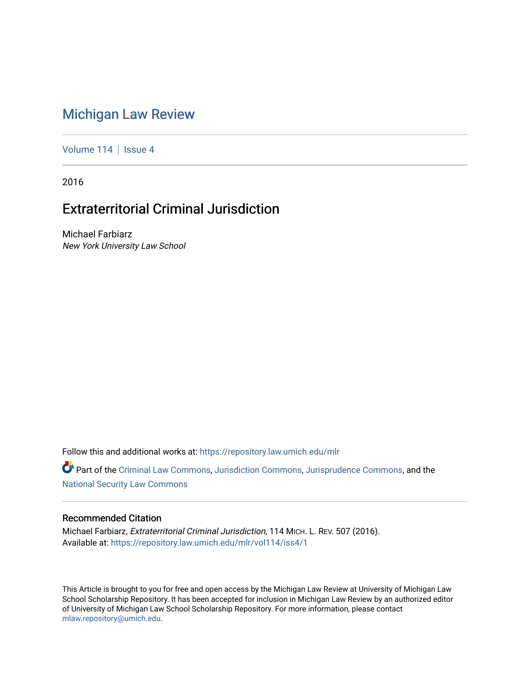# [Michigan Law Review](https://repository.law.umich.edu/mlr)

[Volume 114](https://repository.law.umich.edu/mlr/vol114) | [Issue 4](https://repository.law.umich.edu/mlr/vol114/iss4)

2016

# Extraterritorial Criminal Jurisdiction

Michael Farbiarz New York University Law School

Follow this and additional works at: [https://repository.law.umich.edu/mlr](https://repository.law.umich.edu/mlr?utm_source=repository.law.umich.edu%2Fmlr%2Fvol114%2Fiss4%2F1&utm_medium=PDF&utm_campaign=PDFCoverPages) 

Part of the [Criminal Law Commons,](http://network.bepress.com/hgg/discipline/912?utm_source=repository.law.umich.edu%2Fmlr%2Fvol114%2Fiss4%2F1&utm_medium=PDF&utm_campaign=PDFCoverPages) [Jurisdiction Commons,](http://network.bepress.com/hgg/discipline/850?utm_source=repository.law.umich.edu%2Fmlr%2Fvol114%2Fiss4%2F1&utm_medium=PDF&utm_campaign=PDFCoverPages) [Jurisprudence Commons](http://network.bepress.com/hgg/discipline/610?utm_source=repository.law.umich.edu%2Fmlr%2Fvol114%2Fiss4%2F1&utm_medium=PDF&utm_campaign=PDFCoverPages), and the [National Security Law Commons](http://network.bepress.com/hgg/discipline/1114?utm_source=repository.law.umich.edu%2Fmlr%2Fvol114%2Fiss4%2F1&utm_medium=PDF&utm_campaign=PDFCoverPages) 

# Recommended Citation

Michael Farbiarz, Extraterritorial Criminal Jurisdiction, 114 MICH. L. REV. 507 (2016). Available at: [https://repository.law.umich.edu/mlr/vol114/iss4/1](https://repository.law.umich.edu/mlr/vol114/iss4/1?utm_source=repository.law.umich.edu%2Fmlr%2Fvol114%2Fiss4%2F1&utm_medium=PDF&utm_campaign=PDFCoverPages) 

This Article is brought to you for free and open access by the Michigan Law Review at University of Michigan Law School Scholarship Repository. It has been accepted for inclusion in Michigan Law Review by an authorized editor of University of Michigan Law School Scholarship Repository. For more information, please contact [mlaw.repository@umich.edu.](mailto:mlaw.repository@umich.edu)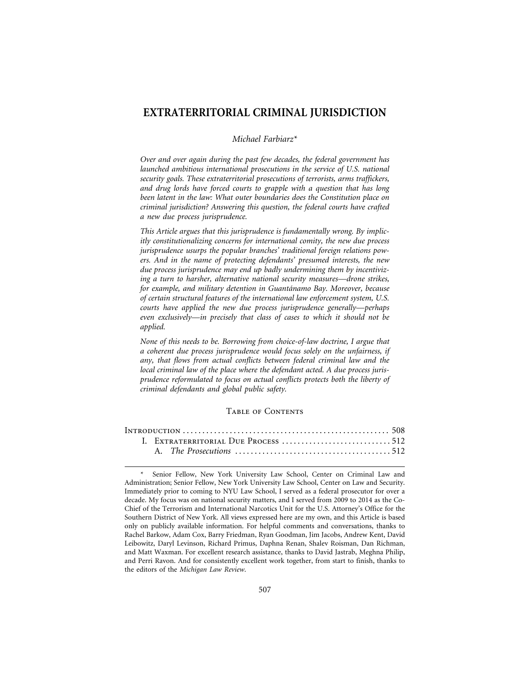# **EXTRATERRITORIAL CRIMINAL JURISDICTION**

#### *Michael Farbiarz\**

*Over and over again during the past few decades, the federal government has launched ambitious international prosecutions in the service of U.S. national security goals. These extraterritorial prosecutions of terrorists, arms traffickers, and drug lords have forced courts to grapple with a question that has long been latent in the law: What outer boundaries does the Constitution place on criminal jurisdiction? Answering this question, the federal courts have crafted a new due process jurisprudence.*

*This Article argues that this jurisprudence is fundamentally wrong. By implicitly constitutionalizing concerns for international comity, the new due process jurisprudence usurps the popular branches' traditional foreign relations powers. And in the name of protecting defendants' presumed interests, the new due process jurisprudence may end up badly undermining them by incentivizing a turn to harsher, alternative national security measures—drone strikes, for example, and military detention in Guant´anamo Bay. Moreover, because of certain structural features of the international law enforcement system, U.S. courts have applied the new due process jurisprudence generally—perhaps even exclusively—in precisely that class of cases to which it should not be applied.*

*None of this needs to be. Borrowing from choice-of-law doctrine, I argue that a coherent due process jurisprudence would focus solely on the unfairness, if any, that flows from actual conflicts between federal criminal law and the local criminal law of the place where the defendant acted. A due process jurisprudence reformulated to focus on actual conflicts protects both the liberty of criminal defendants and global public safety.*

#### Table of Contents

|  | I. EXTRATERRITORIAL DUE PROCESS 512 |  |
|--|-------------------------------------|--|
|  |                                     |  |

Senior Fellow, New York University Law School, Center on Criminal Law and Administration; Senior Fellow, New York University Law School, Center on Law and Security. Immediately prior to coming to NYU Law School, I served as a federal prosecutor for over a decade. My focus was on national security matters, and I served from 2009 to 2014 as the Co-Chief of the Terrorism and International Narcotics Unit for the U.S. Attorney's Office for the Southern District of New York. All views expressed here are my own, and this Article is based only on publicly available information. For helpful comments and conversations, thanks to Rachel Barkow, Adam Cox, Barry Friedman, Ryan Goodman, Jim Jacobs, Andrew Kent, David Leibowitz, Daryl Levinson, Richard Primus, Daphna Renan, Shalev Roisman, Dan Richman, and Matt Waxman. For excellent research assistance, thanks to David Jastrab, Meghna Philip, and Perri Ravon. And for consistently excellent work together, from start to finish, thanks to the editors of the *Michigan Law Review*.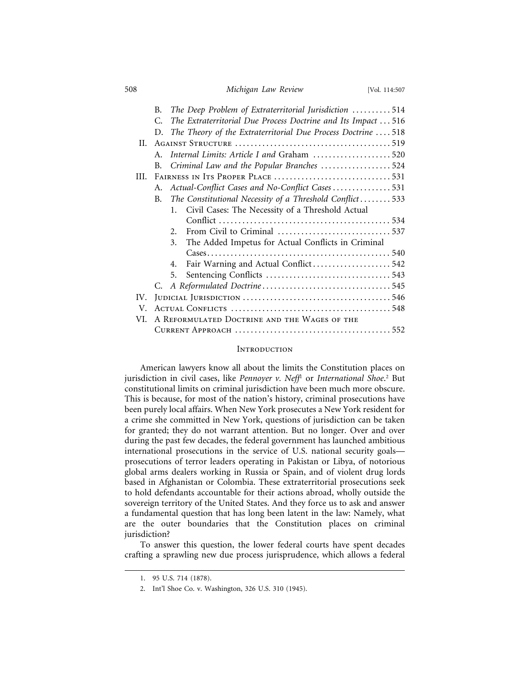508 *Michigan Law Review* [Vol. 114:507

|     | В. |         | The Deep Problem of Extraterritorial Jurisdiction 514         |  |
|-----|----|---------|---------------------------------------------------------------|--|
|     | C. |         | The Extraterritorial Due Process Doctrine and Its Impact  516 |  |
|     | D. |         | The Theory of the Extraterritorial Due Process Doctrine  518  |  |
| H.  |    |         |                                                               |  |
|     | A. |         | Internal Limits: Article I and Graham 520                     |  |
|     | B. |         | Criminal Law and the Popular Branches 524                     |  |
| HI. |    |         |                                                               |  |
|     | A. |         | Actual-Conflict Cases and No-Conflict Cases531                |  |
|     | B. |         | The Constitutional Necessity of a Threshold Conflict533       |  |
|     |    | $1_{-}$ | Civil Cases: The Necessity of a Threshold Actual              |  |
|     |    |         |                                                               |  |
|     |    | $2_{1}$ |                                                               |  |
|     |    | 3.      | The Added Impetus for Actual Conflicts in Criminal            |  |
|     |    |         |                                                               |  |
|     |    | 4.      | Fair Warning and Actual Conflict 542                          |  |
|     |    | 5.      |                                                               |  |
|     |    |         |                                                               |  |
| IV. |    |         |                                                               |  |
| V.  |    |         |                                                               |  |
| VI. |    |         | A REFORMULATED DOCTRINE AND THE WAGES OF THE                  |  |
|     |    |         |                                                               |  |

## **INTRODUCTION**

American lawyers know all about the limits the Constitution places on jurisdiction in civil cases, like *Pennoyer v. Neff*<sup>1</sup> or *International Shoe*. 2 But constitutional limits on criminal jurisdiction have been much more obscure. This is because, for most of the nation's history, criminal prosecutions have been purely local affairs. When New York prosecutes a New York resident for a crime she committed in New York, questions of jurisdiction can be taken for granted; they do not warrant attention. But no longer. Over and over during the past few decades, the federal government has launched ambitious international prosecutions in the service of U.S. national security goals prosecutions of terror leaders operating in Pakistan or Libya, of notorious global arms dealers working in Russia or Spain, and of violent drug lords based in Afghanistan or Colombia. These extraterritorial prosecutions seek to hold defendants accountable for their actions abroad, wholly outside the sovereign territory of the United States. And they force us to ask and answer a fundamental question that has long been latent in the law: Namely, what are the outer boundaries that the Constitution places on criminal jurisdiction?

To answer this question, the lower federal courts have spent decades crafting a sprawling new due process jurisprudence, which allows a federal

<sup>1. 95</sup> U.S. 714 (1878).

<sup>2.</sup> Int'l Shoe Co. v. Washington, 326 U.S. 310 (1945).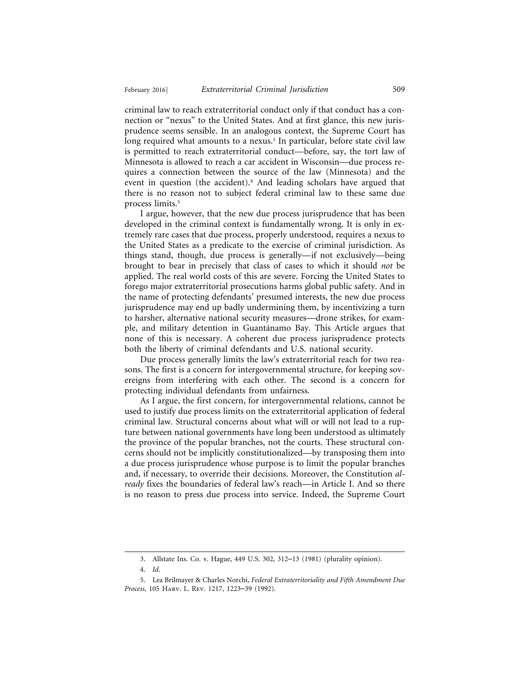criminal law to reach extraterritorial conduct only if that conduct has a connection or "nexus" to the United States. And at first glance, this new jurisprudence seems sensible. In an analogous context, the Supreme Court has long required what amounts to a nexus.<sup>3</sup> In particular, before state civil law is permitted to reach extraterritorial conduct—before, say, the tort law of Minnesota is allowed to reach a car accident in Wisconsin—due process requires a connection between the source of the law (Minnesota) and the event in question (the accident).4 And leading scholars have argued that there is no reason not to subject federal criminal law to these same due process limits.5

I argue, however, that the new due process jurisprudence that has been developed in the criminal context is fundamentally wrong. It is only in extremely rare cases that due process, properly understood, requires a nexus to the United States as a predicate to the exercise of criminal jurisdiction. As things stand, though, due process is generally—if not exclusively—being brought to bear in precisely that class of cases to which it should *not* be applied. The real world costs of this are severe. Forcing the United States to forego major extraterritorial prosecutions harms global public safety. And in the name of protecting defendants' presumed interests, the new due process jurisprudence may end up badly undermining them, by incentivizing a turn to harsher, alternative national security measures—drone strikes, for example, and military detention in Guantánamo Bay. This Article argues that none of this is necessary. A coherent due process jurisprudence protects both the liberty of criminal defendants and U.S. national security.

Due process generally limits the law's extraterritorial reach for two reasons. The first is a concern for intergovernmental structure, for keeping sovereigns from interfering with each other. The second is a concern for protecting individual defendants from unfairness.

As I argue, the first concern, for intergovernmental relations, cannot be used to justify due process limits on the extraterritorial application of federal criminal law. Structural concerns about what will or will not lead to a rupture between national governments have long been understood as ultimately the province of the popular branches, not the courts. These structural concerns should not be implicitly constitutionalized—by transposing them into a due process jurisprudence whose purpose is to limit the popular branches and, if necessary, to override their decisions. Moreover, the Constitution *already* fixes the boundaries of federal law's reach—in Article I. And so there is no reason to press due process into service. Indeed, the Supreme Court

<sup>3.</sup> Allstate Ins. Co. v. Hague, 449 U.S. 302, 312–13 (1981) (plurality opinion).

<sup>4.</sup> *Id*.

<sup>5.</sup> Lea Brilmayer & Charles Norchi, *Federal Extraterritoriality and Fifth Amendment Due Process*, 105 Harv. L. Rev. 1217, 1223–39 (1992).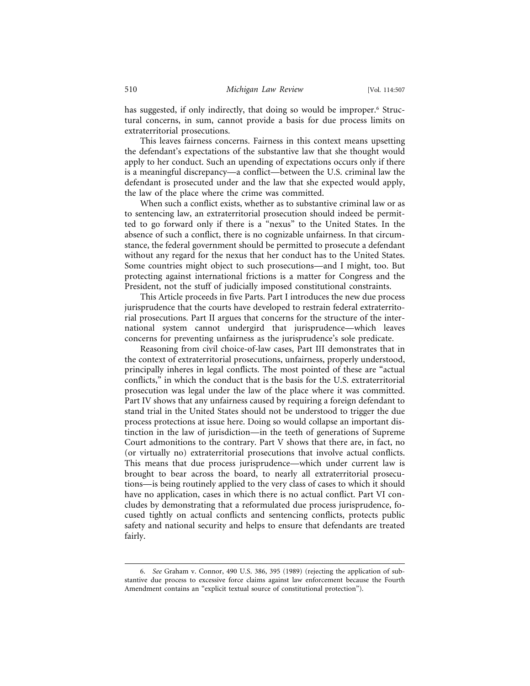has suggested, if only indirectly, that doing so would be improper.6 Structural concerns, in sum, cannot provide a basis for due process limits on extraterritorial prosecutions.

This leaves fairness concerns. Fairness in this context means upsetting the defendant's expectations of the substantive law that she thought would apply to her conduct. Such an upending of expectations occurs only if there is a meaningful discrepancy—a conflict—between the U.S. criminal law the defendant is prosecuted under and the law that she expected would apply, the law of the place where the crime was committed.

When such a conflict exists, whether as to substantive criminal law or as to sentencing law, an extraterritorial prosecution should indeed be permitted to go forward only if there is a "nexus" to the United States. In the absence of such a conflict, there is no cognizable unfairness. In that circumstance, the federal government should be permitted to prosecute a defendant without any regard for the nexus that her conduct has to the United States. Some countries might object to such prosecutions—and I might, too. But protecting against international frictions is a matter for Congress and the President, not the stuff of judicially imposed constitutional constraints.

This Article proceeds in five Parts. Part I introduces the new due process jurisprudence that the courts have developed to restrain federal extraterritorial prosecutions. Part II argues that concerns for the structure of the international system cannot undergird that jurisprudence—which leaves concerns for preventing unfairness as the jurisprudence's sole predicate.

Reasoning from civil choice-of-law cases, Part III demonstrates that in the context of extraterritorial prosecutions, unfairness, properly understood, principally inheres in legal conflicts. The most pointed of these are "actual conflicts," in which the conduct that is the basis for the U.S. extraterritorial prosecution was legal under the law of the place where it was committed. Part IV shows that any unfairness caused by requiring a foreign defendant to stand trial in the United States should not be understood to trigger the due process protections at issue here. Doing so would collapse an important distinction in the law of jurisdiction—in the teeth of generations of Supreme Court admonitions to the contrary. Part V shows that there are, in fact, no (or virtually no) extraterritorial prosecutions that involve actual conflicts. This means that due process jurisprudence—which under current law is brought to bear across the board, to nearly all extraterritorial prosecutions—is being routinely applied to the very class of cases to which it should have no application, cases in which there is no actual conflict. Part VI concludes by demonstrating that a reformulated due process jurisprudence, focused tightly on actual conflicts and sentencing conflicts, protects public safety and national security and helps to ensure that defendants are treated fairly.

<sup>6.</sup> *See* Graham v. Connor, 490 U.S. 386, 395 (1989) (rejecting the application of substantive due process to excessive force claims against law enforcement because the Fourth Amendment contains an "explicit textual source of constitutional protection").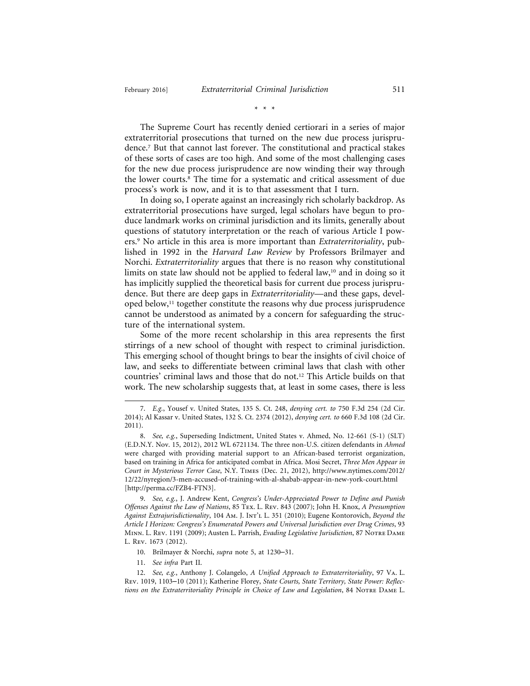The Supreme Court has recently denied certiorari in a series of major extraterritorial prosecutions that turned on the new due process jurisprudence.7 But that cannot last forever. The constitutional and practical stakes of these sorts of cases are too high. And some of the most challenging cases for the new due process jurisprudence are now winding their way through the lower courts.8 The time for a systematic and critical assessment of due process's work is now, and it is to that assessment that I turn.

In doing so, I operate against an increasingly rich scholarly backdrop. As extraterritorial prosecutions have surged, legal scholars have begun to produce landmark works on criminal jurisdiction and its limits, generally about questions of statutory interpretation or the reach of various Article I powers.9 No article in this area is more important than *Extraterritoriality*, published in 1992 in the *Harvard Law Review* by Professors Brilmayer and Norchi. *Extraterritoriality* argues that there is no reason why constitutional limits on state law should not be applied to federal law,<sup>10</sup> and in doing so it has implicitly supplied the theoretical basis for current due process jurisprudence. But there are deep gaps in *Extraterritoriality*—and these gaps, developed below,<sup>11</sup> together constitute the reasons why due process jurisprudence cannot be understood as animated by a concern for safeguarding the structure of the international system.

Some of the more recent scholarship in this area represents the first stirrings of a new school of thought with respect to criminal jurisdiction. This emerging school of thought brings to bear the insights of civil choice of law, and seeks to differentiate between criminal laws that clash with other countries' criminal laws and those that do not.12 This Article builds on that work. The new scholarship suggests that, at least in some cases, there is less

11. *See infra* Part II.

<sup>7.</sup> *E.g.*, Yousef v. United States, 135 S. Ct. 248, *denying cert. to* 750 F.3d 254 (2d Cir. 2014); Al Kassar v. United States, 132 S. Ct. 2374 (2012), *denying cert. to* 660 F.3d 108 (2d Cir. 2011).

<sup>8.</sup> *See, e.g.*, Superseding Indictment, United States v. Ahmed, No. 12-661 (S-1) (SLT) (E.D.N.Y. Nov. 15, 2012), 2012 WL 6721134. The three non-U.S. citizen defendants in *Ahmed* were charged with providing material support to an African-based terrorist organization, based on training in Africa for anticipated combat in Africa. Mosi Secret, *Three Men Appear in Court in Mysterious Terror Case*, N.Y. Times (Dec. 21, 2012), http://www.nytimes.com/2012/ 12/22/nyregion/3-men-accused-of-training-with-al-shabab-appear-in-new-york-court.html [http://perma.cc/FZB4-FTN3].

<sup>9.</sup> *See, e.g.*, J. Andrew Kent, *Congress's Under-Appreciated Power to Define and Punish Offenses Against the Law of Nations*, 85 Tex. L. Rev. 843 (2007); John H. Knox, *A Presumption Against Extrajurisdictionality*, 104 Am. J. Int'l L. 351 (2010); Eugene Kontorovich, *Beyond the Article I Horizon: Congress's Enumerated Powers and Universal Jurisdiction over Drug Crimes*, 93 Minn. L. Rev. 1191 (2009); Austen L. Parrish, *Evading Legislative Jurisdiction*, 87 Notre Dame L. Rev. 1673 (2012).

<sup>10.</sup> Brilmayer & Norchi, *supra* note 5, at 1230–31.

<sup>12.</sup> *See, e.g.*, Anthony J. Colangelo, *A Unified Approach to Extraterritoriality*, 97 Va. L. Rev. 1019, 1103–10 (2011); Katherine Florey, *State Courts, State Territory, State Power: Reflections on the Extraterritoriality Principle in Choice of Law and Legislation*, 84 Notre Dame L.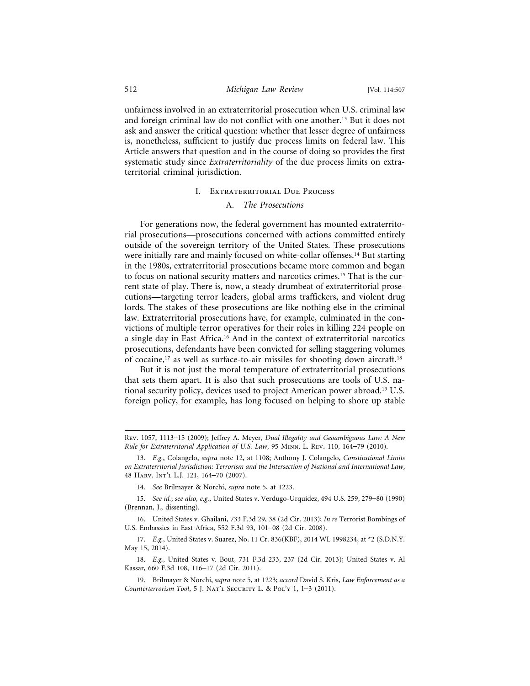unfairness involved in an extraterritorial prosecution when U.S. criminal law and foreign criminal law do not conflict with one another.13 But it does not ask and answer the critical question: whether that lesser degree of unfairness is, nonetheless, sufficient to justify due process limits on federal law. This Article answers that question and in the course of doing so provides the first systematic study since *Extraterritoriality* of the due process limits on extraterritorial criminal jurisdiction.

#### I. Extraterritorial Due Process

#### A. *The Prosecutions*

For generations now, the federal government has mounted extraterritorial prosecutions—prosecutions concerned with actions committed entirely outside of the sovereign territory of the United States. These prosecutions were initially rare and mainly focused on white-collar offenses.14 But starting in the 1980s, extraterritorial prosecutions became more common and began to focus on national security matters and narcotics crimes.15 That is the current state of play. There is, now, a steady drumbeat of extraterritorial prosecutions—targeting terror leaders, global arms traffickers, and violent drug lords. The stakes of these prosecutions are like nothing else in the criminal law. Extraterritorial prosecutions have, for example, culminated in the convictions of multiple terror operatives for their roles in killing 224 people on a single day in East Africa.16 And in the context of extraterritorial narcotics prosecutions, defendants have been convicted for selling staggering volumes of cocaine,17 as well as surface-to-air missiles for shooting down aircraft.18

But it is not just the moral temperature of extraterritorial prosecutions that sets them apart. It is also that such prosecutions are tools of U.S. national security policy, devices used to project American power abroad.19 U.S. foreign policy, for example, has long focused on helping to shore up stable

Rev. 1057, 1113–15 (2009); Jeffrey A. Meyer, *Dual Illegality and Geoambiguous Law: A New Rule for Extraterritorial Application of U.S. Law*, 95 Minn. L. Rev. 110, 164–79 (2010).

<sup>13.</sup> *E.g.*, Colangelo, *supra* note 12, at 1108; Anthony J. Colangelo, *Constitutional Limits on Extraterritorial Jurisdiction: Terrorism and the Intersection of National and International Law*, 48 Harv. Int'l L.J. 121, 164–70 (2007).

<sup>14.</sup> *See* Brilmayer & Norchi, *supra* note 5, at 1223.

<sup>15.</sup> *See id.*; *see also, e.g.*, United States v. Verdugo-Urquidez, 494 U.S. 259, 279–80 (1990) (Brennan, J., dissenting).

<sup>16.</sup> United States v. Ghailani, 733 F.3d 29, 38 (2d Cir. 2013); *In re* Terrorist Bombings of U.S. Embassies in East Africa, 552 F.3d 93, 101–08 (2d Cir. 2008).

<sup>17.</sup> *E.g.*, United States v. Suarez, No. 11 Cr. 836(KBF), 2014 WL 1998234, at \*2 (S.D.N.Y. May 15, 2014).

<sup>18.</sup> *E.g.*, United States v. Bout, 731 F.3d 233, 237 (2d Cir. 2013); United States v. Al Kassar, 660 F.3d 108, 116–17 (2d Cir. 2011).

<sup>19.</sup> Brilmayer & Norchi, *supra* note 5, at 1223; *accord* David S. Kris, *Law Enforcement as a Counterterrorism Tool*, 5 J. Nat'l Security L. & Pol'y 1, 1–3 (2011).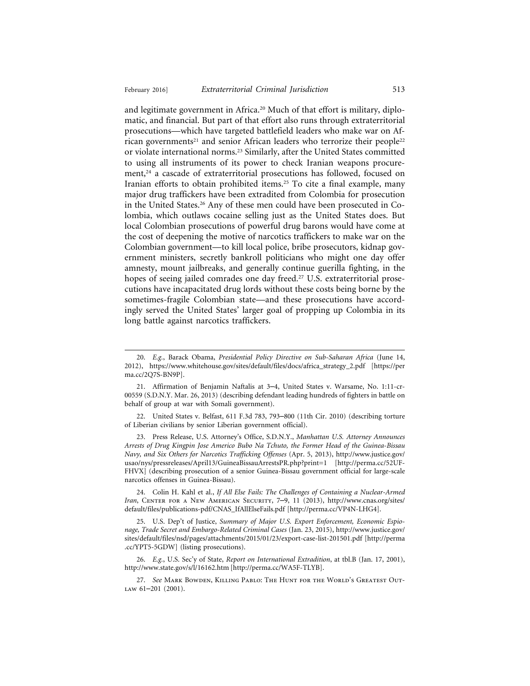and legitimate government in Africa.20 Much of that effort is military, diplomatic, and financial. But part of that effort also runs through extraterritorial prosecutions—which have targeted battlefield leaders who make war on African governments<sup>21</sup> and senior African leaders who terrorize their people<sup>22</sup> or violate international norms.23 Similarly, after the United States committed to using all instruments of its power to check Iranian weapons procurement, $24$  a cascade of extraterritorial prosecutions has followed, focused on Iranian efforts to obtain prohibited items.25 To cite a final example, many major drug traffickers have been extradited from Colombia for prosecution in the United States.26 Any of these men could have been prosecuted in Colombia, which outlaws cocaine selling just as the United States does. But local Colombian prosecutions of powerful drug barons would have come at the cost of deepening the motive of narcotics traffickers to make war on the Colombian government—to kill local police, bribe prosecutors, kidnap government ministers, secretly bankroll politicians who might one day offer amnesty, mount jailbreaks, and generally continue guerilla fighting, in the hopes of seeing jailed comrades one day freed.<sup>27</sup> U.S. extraterritorial prosecutions have incapacitated drug lords without these costs being borne by the sometimes-fragile Colombian state—and these prosecutions have accordingly served the United States' larger goal of propping up Colombia in its long battle against narcotics traffickers.

22. United States v. Belfast, 611 F.3d 783, 793–800 (11th Cir. 2010) (describing torture of Liberian civilians by senior Liberian government official).

23. Press Release, U.S. Attorney's Office, S.D.N.Y., *Manhattan U.S. Attorney Announces Arrests of Drug Kingpin Jose Americo Bubo Na Tchuto, the Former Head of the Guinea-Bissau Navy, and Six Others for Narcotics Trafficking Offenses* (Apr. 5, 2013), http://www.justice.gov/ usao/nys/pressreleases/April13/GuineaBissauArrestsPR.php?print=1 [http://perma.cc/52UF-FHVX] (describing prosecution of a senior Guinea-Bissau government official for large-scale narcotics offenses in Guinea-Bissau).

24. Colin H. Kahl et al., *If All Else Fails: The Challenges of Containing a Nuclear-Armed* Iran, CENTER FOR A NEW AMERICAN SECURITY, 7-9, 11 (2013), http://www.cnas.org/sites/ default/files/publications-pdf/CNAS\_IfAllElseFails.pdf [http://perma.cc/VP4N-LHG4].

25. U.S. Dep't of Justice, *Summary of Major U.S. Export Enforcement, Economic Espionage, Trade Secret and Embargo-Related Criminal Cases* (Jan. 23, 2015), http://www.justice.gov/ sites/default/files/nsd/pages/attachments/2015/01/23/export-case-list-201501.pdf [http://perma .cc/YPT5-5GDW] (listing prosecutions).

26. *E.g.*, U.S. Sec'y of State, *Report on International Extradition*, at tbl.B (Jan. 17, 2001), http://www.state.gov/s/l/16162.htm [http://perma.cc/WA5F-TLYB].

27. *See* Mark Bowden, Killing Pablo: The Hunt for the World's Greatest Out-LAW 61-201 (2001).

<sup>20.</sup> *E.g.*, Barack Obama, *Presidential Policy Directive on Sub-Saharan Africa* (June 14, 2012), https://www.whitehouse.gov/sites/default/files/docs/africa\_strategy\_2.pdf [https://per ma.cc/2Q7S-BN9P].

<sup>21.</sup> Affirmation of Benjamin Naftalis at 3–4, United States v. Warsame, No. 1:11-cr-00559 (S.D.N.Y. Mar. 26, 2013) (describing defendant leading hundreds of fighters in battle on behalf of group at war with Somali government).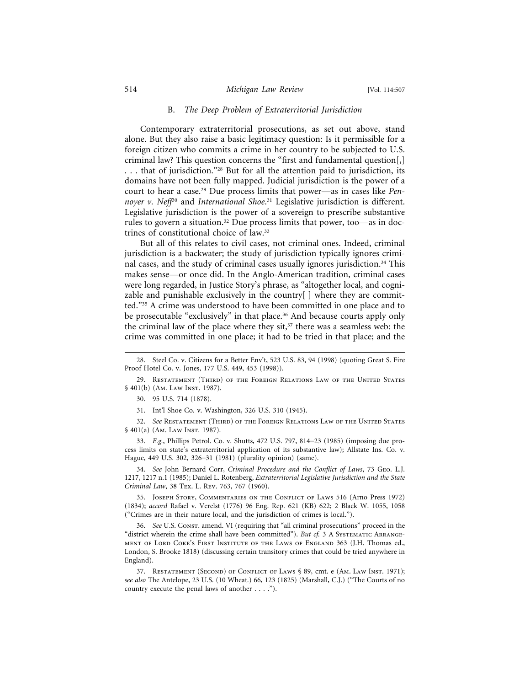#### B. *The Deep Problem of Extraterritorial Jurisdiction*

Contemporary extraterritorial prosecutions, as set out above, stand alone. But they also raise a basic legitimacy question: Is it permissible for a foreign citizen who commits a crime in her country to be subjected to U.S. criminal law? This question concerns the "first and fundamental question[,] . . . that of jurisdiction."28 But for all the attention paid to jurisdiction, its domains have not been fully mapped. Judicial jurisdiction is the power of a court to hear a case.29 Due process limits that power—as in cases like *Pen*noyer v. Neff<sup>30</sup> and *International Shoe*.<sup>31</sup> Legislative jurisdiction is different. Legislative jurisdiction is the power of a sovereign to prescribe substantive rules to govern a situation.32 Due process limits that power, too—as in doctrines of constitutional choice of law.33

But all of this relates to civil cases, not criminal ones. Indeed, criminal jurisdiction is a backwater; the study of jurisdiction typically ignores criminal cases, and the study of criminal cases usually ignores jurisdiction.34 This makes sense—or once did. In the Anglo-American tradition, criminal cases were long regarded, in Justice Story's phrase, as "altogether local, and cognizable and punishable exclusively in the country[ ] where they are committed."35 A crime was understood to have been committed in one place and to be prosecutable "exclusively" in that place.<sup>36</sup> And because courts apply only the criminal law of the place where they  $s$ it, $37$  there was a seamless web: the crime was committed in one place; it had to be tried in that place; and the

29. Restatement (Third) of the Foreign Relations Law of the United States § 401(b) (Am. Law Inst. 1987).

31. Int'l Shoe Co. v. Washington, 326 U.S. 310 (1945).

32. *See* Restatement (Third) of the Foreign Relations Law of the United States § 401(a) (Am. Law Inst. 1987).

33. *E.g.*, Phillips Petrol. Co. v. Shutts, 472 U.S. 797, 814–23 (1985) (imposing due process limits on state's extraterritorial application of its substantive law); Allstate Ins. Co. v. Hague, 449 U.S. 302, 326–31 (1981) (plurality opinion) (same).

34. *See* John Bernard Corr, *Criminal Procedure and the Conflict of Laws*, 73 Geo. L.J. 1217, 1217 n.1 (1985); Daniel L. Rotenberg, *Extraterritorial Legislative Jurisdiction and the State Criminal Law*, 38 Tex. L. Rev. 763, 767 (1960).

35. Joseph Story, Commentaries on the Conflict of Laws 516 (Arno Press 1972) (1834); *accord* Rafael v. Verelst (1776) 96 Eng. Rep. 621 (KB) 622; 2 Black W. 1055, 1058 ("Crimes are in their nature local, and the jurisdiction of crimes is local.").

36. *See* U.S. Const. amend. VI (requiring that "all criminal prosecutions" proceed in the "district wherein the crime shall have been committed"). But cf. 3 A SYSTEMATIC ARRANGEment of Lord Coke's First Institute of the Laws of England 363 (J.H. Thomas ed., London, S. Brooke 1818) (discussing certain transitory crimes that could be tried anywhere in England).

37. Restatement (Second) of Conflict of Laws § 89, cmt. e (Am. Law Inst. 1971); *see also* The Antelope, 23 U.S. (10 Wheat.) 66, 123 (1825) (Marshall, C.J.) ("The Courts of no country execute the penal laws of another . . . .").

<sup>28.</sup> Steel Co. v. Citizens for a Better Env't, 523 U.S. 83, 94 (1998) (quoting Great S. Fire Proof Hotel Co. v. Jones, 177 U.S. 449, 453 (1998)).

<sup>30. 95</sup> U.S. 714 (1878).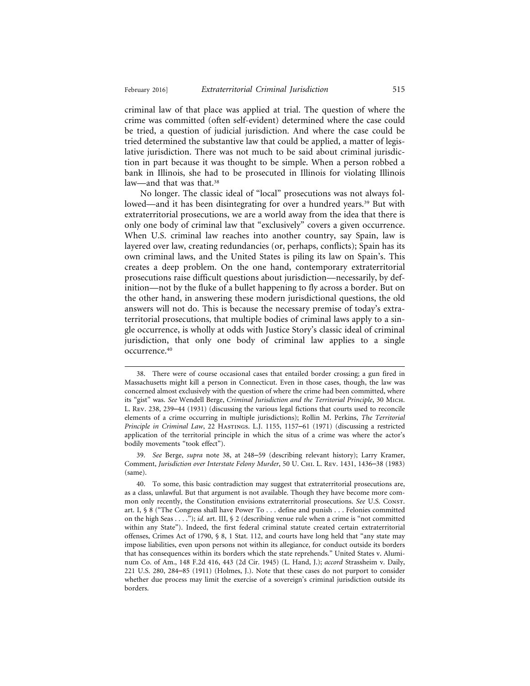criminal law of that place was applied at trial. The question of where the crime was committed (often self-evident) determined where the case could be tried, a question of judicial jurisdiction. And where the case could be tried determined the substantive law that could be applied, a matter of legislative jurisdiction. There was not much to be said about criminal jurisdiction in part because it was thought to be simple. When a person robbed a bank in Illinois, she had to be prosecuted in Illinois for violating Illinois law—and that was that.<sup>38</sup>

No longer. The classic ideal of "local" prosecutions was not always followed—and it has been disintegrating for over a hundred years.<sup>39</sup> But with extraterritorial prosecutions, we are a world away from the idea that there is only one body of criminal law that "exclusively" covers a given occurrence. When U.S. criminal law reaches into another country, say Spain, law is layered over law, creating redundancies (or, perhaps, conflicts); Spain has its own criminal laws, and the United States is piling its law on Spain's. This creates a deep problem. On the one hand, contemporary extraterritorial prosecutions raise difficult questions about jurisdiction—necessarily, by definition—not by the fluke of a bullet happening to fly across a border. But on the other hand, in answering these modern jurisdictional questions, the old answers will not do. This is because the necessary premise of today's extraterritorial prosecutions, that multiple bodies of criminal laws apply to a single occurrence, is wholly at odds with Justice Story's classic ideal of criminal jurisdiction, that only one body of criminal law applies to a single occurrence.40

<sup>38.</sup> There were of course occasional cases that entailed border crossing; a gun fired in Massachusetts might kill a person in Connecticut. Even in those cases, though, the law was concerned almost exclusively with the question of where the crime had been committed, where its "gist" was. *See* Wendell Berge, *Criminal Jurisdiction and the Territorial Principle*, 30 Mich. L. Rev. 238, 239–44 (1931) (discussing the various legal fictions that courts used to reconcile elements of a crime occurring in multiple jurisdictions); Rollin M. Perkins, *The Territorial Principle in Criminal Law*, 22 Hastings. L.J. 1155, 1157–61 (1971) (discussing a restricted application of the territorial principle in which the situs of a crime was where the actor's bodily movements "took effect").

<sup>39.</sup> *See* Berge, *supra* note 38, at 248–59 (describing relevant history); Larry Kramer, Comment, *Jurisdiction over Interstate Felony Murder*, 50 U. Chi. L. Rev. 1431, 1436–38 (1983) (same).

<sup>40.</sup> To some, this basic contradiction may suggest that extraterritorial prosecutions are, as a class, unlawful. But that argument is not available. Though they have become more common only recently, the Constitution envisions extraterritorial prosecutions. *See* U.S. Const. art. I, § 8 ("The Congress shall have Power To . . . define and punish . . . Felonies committed on the high Seas . . . ."); *id.* art. III, § 2 (describing venue rule when a crime is "not committed within any State"). Indeed, the first federal criminal statute created certain extraterritorial offenses, Crimes Act of 1790, § 8, 1 Stat. 112, and courts have long held that "any state may impose liabilities, even upon persons not within its allegiance, for conduct outside its borders that has consequences within its borders which the state reprehends." United States v. Aluminum Co. of Am., 148 F.2d 416, 443 (2d Cir. 1945) (L. Hand, J.); *accord* Strassheim v. Daily, 221 U.S. 280, 284–85 (1911) (Holmes, J.). Note that these cases do not purport to consider whether due process may limit the exercise of a sovereign's criminal jurisdiction outside its borders.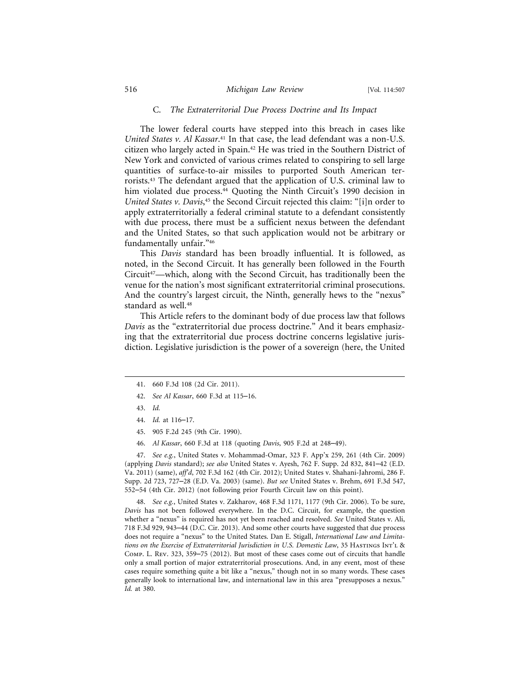#### C. *The Extraterritorial Due Process Doctrine and Its Impact*

The lower federal courts have stepped into this breach in cases like *United States v. Al Kassar*. 41 In that case, the lead defendant was a non-U.S. citizen who largely acted in Spain.42 He was tried in the Southern District of New York and convicted of various crimes related to conspiring to sell large quantities of surface-to-air missiles to purported South American terrorists.43 The defendant argued that the application of U.S. criminal law to him violated due process.<sup>44</sup> Quoting the Ninth Circuit's 1990 decision in United States v. Davis,<sup>45</sup> the Second Circuit rejected this claim: "[i]n order to apply extraterritorially a federal criminal statute to a defendant consistently with due process, there must be a sufficient nexus between the defendant and the United States, so that such application would not be arbitrary or fundamentally unfair."46

This *Davis* standard has been broadly influential. It is followed, as noted, in the Second Circuit. It has generally been followed in the Fourth Circuit<sup>47</sup>—which, along with the Second Circuit, has traditionally been the venue for the nation's most significant extraterritorial criminal prosecutions. And the country's largest circuit, the Ninth, generally hews to the "nexus" standard as well.<sup>48</sup>

This Article refers to the dominant body of due process law that follows *Davis* as the "extraterritorial due process doctrine." And it bears emphasizing that the extraterritorial due process doctrine concerns legislative jurisdiction. Legislative jurisdiction is the power of a sovereign (here, the United

- 42. *See Al Kassar*, 660 F.3d at 115–16.
- 43. *Id.*
- 44. *Id.* at 116–17.
- 45. 905 F.2d 245 (9th Cir. 1990).
- 46. *Al Kassar*, 660 F.3d at 118 (quoting *Davis*, 905 F.2d at 248–49).

47. *See e.g.*, United States v. Mohammad-Omar, 323 F. App'x 259, 261 (4th Cir. 2009) (applying *Davis* standard); *see also* United States v. Ayesh, 762 F. Supp. 2d 832, 841–42 (E.D. Va. 2011) (same), *aff'd*, 702 F.3d 162 (4th Cir. 2012); United States v. Shahani-Jahromi, 286 F. Supp. 2d 723, 727–28 (E.D. Va. 2003) (same). *But see* United States v. Brehm, 691 F.3d 547, 552–54 (4th Cir. 2012) (not following prior Fourth Circuit law on this point).

48. *See e.g.*, United States v. Zakharov, 468 F.3d 1171, 1177 (9th Cir. 2006). To be sure, *Davis* has not been followed everywhere. In the D.C. Circuit, for example, the question whether a "nexus" is required has not yet been reached and resolved. *See* United States v. Ali, 718 F.3d 929, 943–44 (D.C. Cir. 2013). And some other courts have suggested that due process does not require a "nexus" to the United States. Dan E. Stigall, *International Law and Limitations on the Exercise of Extraterritorial Jurisdiction in U.S. Domestic Law*, 35 Hastings Int'l & Comp. L. Rev. 323, 359–75 (2012). But most of these cases come out of circuits that handle only a small portion of major extraterritorial prosecutions. And, in any event, most of these cases require something quite a bit like a "nexus," though not in so many words. These cases generally look to international law, and international law in this area "presupposes a nexus." *Id.* at 380.

<sup>41. 660</sup> F.3d 108 (2d Cir. 2011).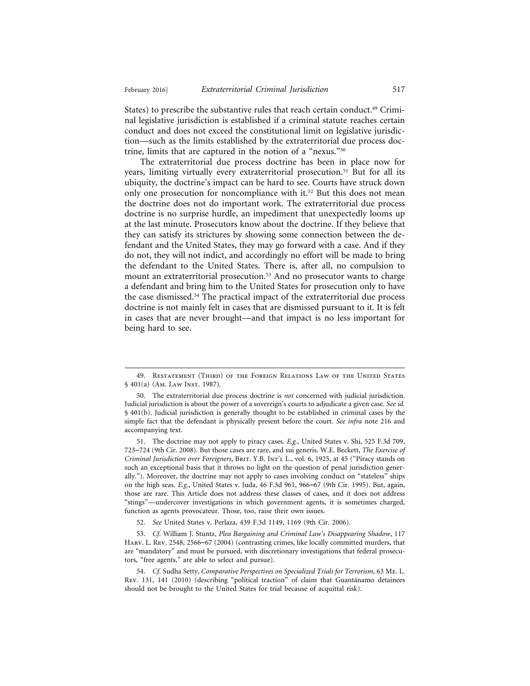States) to prescribe the substantive rules that reach certain conduct.<sup>49</sup> Criminal legislative jurisdiction is established if a criminal statute reaches certain conduct and does not exceed the constitutional limit on legislative jurisdiction—such as the limits established by the extraterritorial due process doctrine, limits that are captured in the notion of a "nexus."50

The extraterritorial due process doctrine has been in place now for years, limiting virtually every extraterritorial prosecution.51 But for all its ubiquity, the doctrine's impact can be hard to see. Courts have struck down only one prosecution for noncompliance with it.<sup>52</sup> But this does not mean the doctrine does not do important work. The extraterritorial due process doctrine is no surprise hurdle, an impediment that unexpectedly looms up at the last minute. Prosecutors know about the doctrine. If they believe that they can satisfy its strictures by showing some connection between the defendant and the United States, they may go forward with a case. And if they do not, they will not indict, and accordingly no effort will be made to bring the defendant to the United States. There is, after all, no compulsion to mount an extraterritorial prosecution.<sup>53</sup> And no prosecutor wants to charge a defendant and bring him to the United States for prosecution only to have the case dismissed.54 The practical impact of the extraterritorial due process doctrine is not mainly felt in cases that are dismissed pursuant to it. It is felt in cases that are never brought—and that impact is no less important for being hard to see.

<sup>49.</sup> Restatement (Third) of the Foreign Relations Law of the United States § 401(a) (Am. Law Inst. 1987).

<sup>50.</sup> The extraterritorial due process doctrine is *not* concerned with judicial jurisdiction. Judicial jurisdiction is about the power of a sovereign's courts to adjudicate a given case. *See id.* § 401(b). Judicial jurisdiction is generally thought to be established in criminal cases by the simple fact that the defendant is physically present before the court. *See infra* note 216 and accompanying text.

<sup>51.</sup> The doctrine may not apply to piracy cases. *E.g.*, United States v. Shi, 525 F.3d 709, 723–724 (9th Cir. 2008). But those cases are rare, and sui generis. W.E. Beckett, *The Exercise of Criminal Jurisdiction over Foreigners*, Brit. Y.B. Int'l L., vol. 6, 1925, at 45 ("Piracy stands on such an exceptional basis that it throws no light on the question of penal jurisdiction generally."). Moreover, the doctrine may not apply to cases involving conduct on "stateless" ships on the high seas. *E.g.*, United States v. Juda, 46 F.3d 961, 966–67 (9th Cir. 1995). But, again, those are rare. This Article does not address these classes of cases, and it does not address "stings"—undercover investigations in which government agents, it is sometimes charged, function as agents provocateur. Those, too, raise their own issues.

<sup>52.</sup> *See* United States v. Perlaza, 439 F.3d 1149, 1169 (9th Cir. 2006).

<sup>53.</sup> *Cf.* William J. Stuntz, *Plea Bargaining and Criminal Law's Disappearing Shadow*, 117 Harv. L. Rev. 2548, 2566–67 (2004) (contrasting crimes, like locally committed murders, that are "mandatory" and must be pursued, with discretionary investigations that federal prosecutors, "free agents," are able to select and pursue).

<sup>54.</sup> *Cf.* Sudha Setty, *Comparative Perspectives on Specialized Trials for Terrorism*, 63 Me. L. Rev. 131, 141 (2010) (describing "political traction" of claim that Guantánamo detainees should not be brought to the United States for trial because of acquittal risk).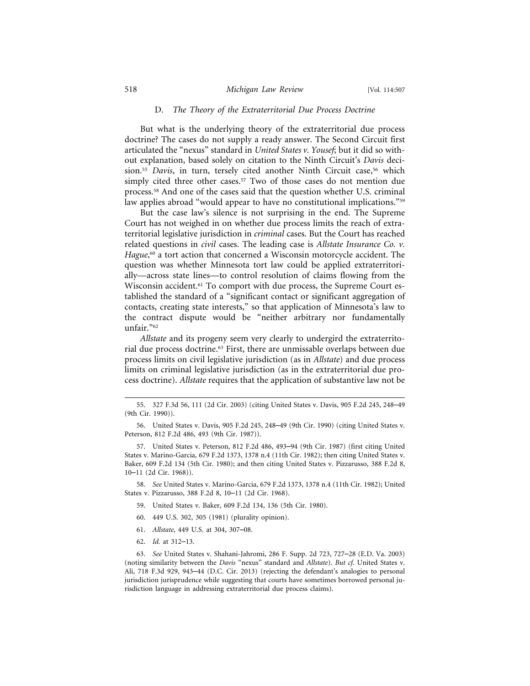#### D. *The Theory of the Extraterritorial Due Process Doctrine*

But what is the underlying theory of the extraterritorial due process doctrine? The cases do not supply a ready answer. The Second Circuit first articulated the "nexus" standard in *United States v. Yousef*; but it did so without explanation, based solely on citation to the Ninth Circuit's *Davis* decision.<sup>55</sup> *Davis*, in turn, tersely cited another Ninth Circuit case,<sup>56</sup> which simply cited three other cases.<sup>57</sup> Two of those cases do not mention due process.58 And one of the cases said that the question whether U.S. criminal law applies abroad "would appear to have no constitutional implications."<sup>59</sup>

But the case law's silence is not surprising in the end. The Supreme Court has not weighed in on whether due process limits the reach of extraterritorial legislative jurisdiction in *criminal* cases. But the Court has reached related questions in *civil* cases. The leading case is *Allstate Insurance Co. v.* Hague,<sup>60</sup> a tort action that concerned a Wisconsin motorcycle accident. The question was whether Minnesota tort law could be applied extraterritorially—across state lines—to control resolution of claims flowing from the Wisconsin accident.61 To comport with due process, the Supreme Court established the standard of a "significant contact or significant aggregation of contacts, creating state interests," so that application of Minnesota's law to the contract dispute would be "neither arbitrary nor fundamentally unfair."62

*Allstate* and its progeny seem very clearly to undergird the extraterritorial due process doctrine.63 First, there are unmissable overlaps between due process limits on civil legislative jurisdiction (as in *Allstate*) and due process limits on criminal legislative jurisdiction (as in the extraterritorial due process doctrine). *Allstate* requires that the application of substantive law not be

58. *See* United States v. Marino-Garcia, 679 F.2d 1373, 1378 n.4 (11th Cir. 1982); United States v. Pizzarusso, 388 F.2d 8, 10–11 (2d Cir. 1968).

- 59. United States v. Baker, 609 F.2d 134, 136 (5th Cir. 1980).
- 60. 449 U.S. 302, 305 (1981) (plurality opinion).
- 61. *Allstate*, 449 U.S. at 304, 307–08.
- 62. *Id.* at 312–13.

63. *See* United States v. Shahani-Jahromi, 286 F. Supp. 2d 723, 727–28 (E.D. Va. 2003) (noting similarity between the *Davis* "nexus" standard and *Allstate*). *But cf.* United States v. Ali, 718 F.3d 929, 943–44 (D.C. Cir. 2013) (rejecting the defendant's analogies to personal jurisdiction jurisprudence while suggesting that courts have sometimes borrowed personal jurisdiction language in addressing extraterritorial due process claims).

<sup>55. 327</sup> F.3d 56, 111 (2d Cir. 2003) (citing United States v. Davis, 905 F.2d 245, 248–49 (9th Cir. 1990)).

<sup>56.</sup> United States v. Davis, 905 F.2d 245, 248–49 (9th Cir. 1990) (citing United States v. Peterson, 812 F.2d 486, 493 (9th Cir. 1987)).

<sup>57.</sup> United States v. Peterson, 812 F.2d 486, 493–94 (9th Cir. 1987) (first citing United States v. Marino-Garcia, 679 F.2d 1373, 1378 n.4 (11th Cir. 1982); then citing United States v. Baker, 609 F.2d 134 (5th Cir. 1980); and then citing United States v. Pizzarusso, 388 F.2d 8, 10–11 (2d Cir. 1968)).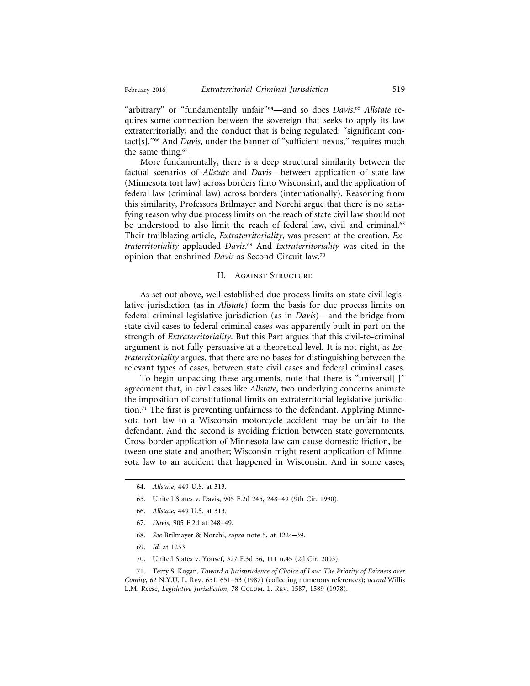"arbitrary" or "fundamentally unfair"64—and so does *Davis*. <sup>65</sup> *Allstate* requires some connection between the sovereign that seeks to apply its law extraterritorially, and the conduct that is being regulated: "significant contact[s]."66 And *Davis*, under the banner of "sufficient nexus," requires much the same thing.<sup>67</sup>

More fundamentally, there is a deep structural similarity between the factual scenarios of *Allstate* and *Davis*—between application of state law (Minnesota tort law) across borders (into Wisconsin), and the application of federal law (criminal law) across borders (internationally). Reasoning from this similarity, Professors Brilmayer and Norchi argue that there is no satisfying reason why due process limits on the reach of state civil law should not be understood to also limit the reach of federal law, civil and criminal.<sup>68</sup> Their trailblazing article, *Extraterritoriality*, was present at the creation. *Extraterritoriality* applauded *Davis*. 69 And *Extraterritoriality* was cited in the opinion that enshrined *Davis* as Second Circuit law.70

#### II. Against Structure

As set out above, well-established due process limits on state civil legislative jurisdiction (as in *Allstate*) form the basis for due process limits on federal criminal legislative jurisdiction (as in *Davis*)—and the bridge from state civil cases to federal criminal cases was apparently built in part on the strength of *Extraterritoriality*. But this Part argues that this civil-to-criminal argument is not fully persuasive at a theoretical level. It is not right, as *Extraterritoriality* argues, that there are no bases for distinguishing between the relevant types of cases, between state civil cases and federal criminal cases.

To begin unpacking these arguments, note that there is "universal[ ]" agreement that, in civil cases like *Allstate*, two underlying concerns animate the imposition of constitutional limits on extraterritorial legislative jurisdiction.71 The first is preventing unfairness to the defendant. Applying Minnesota tort law to a Wisconsin motorcycle accident may be unfair to the defendant. And the second is avoiding friction between state governments. Cross-border application of Minnesota law can cause domestic friction, between one state and another; Wisconsin might resent application of Minnesota law to an accident that happened in Wisconsin. And in some cases,

- 65. United States v. Davis, 905 F.2d 245, 248–49 (9th Cir. 1990).
- 66. *Allstate*, 449 U.S. at 313.
- 67. *Davis*, 905 F.2d at 248–49.
- 68. *See* Brilmayer & Norchi, *supra* note 5, at 1224–39.
- 69. *Id.* at 1253.
- 70. United States v. Yousef, 327 F.3d 56, 111 n.45 (2d Cir. 2003).

71. Terry S. Kogan, *Toward a Jurisprudence of Choice of Law: The Priority of Fairness over Comity*, 62 N.Y.U. L. Rev. 651, 651–53 (1987) (collecting numerous references); *accord* Willis L.M. Reese, *Legislative Jurisdiction*, 78 Colum. L. Rev. 1587, 1589 (1978).

<sup>64.</sup> *Allstate*, 449 U.S. at 313.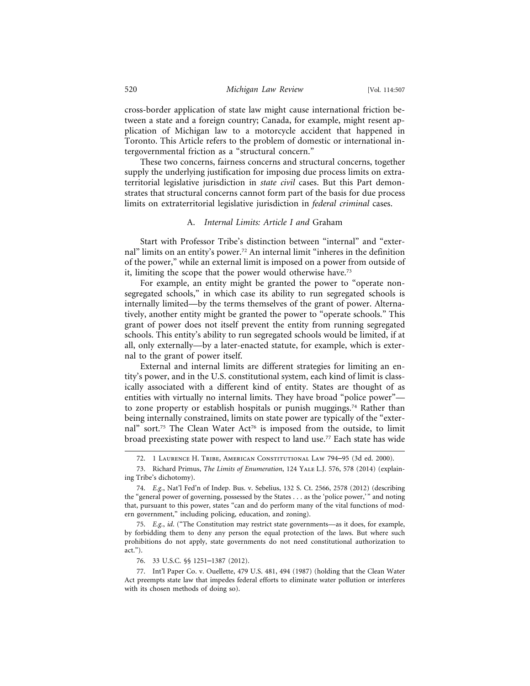cross-border application of state law might cause international friction between a state and a foreign country; Canada, for example, might resent application of Michigan law to a motorcycle accident that happened in Toronto. This Article refers to the problem of domestic or international intergovernmental friction as a "structural concern."

These two concerns, fairness concerns and structural concerns, together supply the underlying justification for imposing due process limits on extraterritorial legislative jurisdiction in *state civil* cases. But this Part demonstrates that structural concerns cannot form part of the basis for due process limits on extraterritorial legislative jurisdiction in *federal criminal* cases.

#### A. *Internal Limits: Article I and* Graham

Start with Professor Tribe's distinction between "internal" and "external" limits on an entity's power.<sup>72</sup> An internal limit "inheres in the definition of the power," while an external limit is imposed on a power from outside of it, limiting the scope that the power would otherwise have.<sup>73</sup>

For example, an entity might be granted the power to "operate nonsegregated schools," in which case its ability to run segregated schools is internally limited—by the terms themselves of the grant of power. Alternatively, another entity might be granted the power to "operate schools." This grant of power does not itself prevent the entity from running segregated schools. This entity's ability to run segregated schools would be limited, if at all, only externally—by a later-enacted statute, for example, which is external to the grant of power itself.

External and internal limits are different strategies for limiting an entity's power, and in the U.S. constitutional system, each kind of limit is classically associated with a different kind of entity. States are thought of as entities with virtually no internal limits. They have broad "police power" to zone property or establish hospitals or punish muggings.<sup>74</sup> Rather than being internally constrained, limits on state power are typically of the "external" sort.<sup>75</sup> The Clean Water Act<sup>76</sup> is imposed from the outside, to limit broad preexisting state power with respect to land use.77 Each state has wide

<sup>72. 1</sup> Laurence H. Tribe, American Constitutional Law 794–95 (3d ed. 2000).

<sup>73.</sup> Richard Primus, *The Limits of Enumeration*, 124 Yale L.J. 576, 578 (2014) (explaining Tribe's dichotomy).

<sup>74.</sup> *E.g.*, Nat'l Fed'n of Indep. Bus. v. Sebelius, 132 S. Ct. 2566, 2578 (2012) (describing the "general power of governing, possessed by the States . . . as the 'police power,' " and noting that, pursuant to this power, states "can and do perform many of the vital functions of modern government," including policing, education, and zoning).

<sup>75.</sup> *E.g.*, *id*. ("The Constitution may restrict state governments—as it does, for example, by forbidding them to deny any person the equal protection of the laws. But where such prohibitions do not apply, state governments do not need constitutional authorization to act.").

<sup>76. 33</sup> U.S.C. §§ 1251–1387 (2012).

<sup>77.</sup> Int'l Paper Co. v. Ouellette, 479 U.S. 481, 494 (1987) (holding that the Clean Water Act preempts state law that impedes federal efforts to eliminate water pollution or interferes with its chosen methods of doing so).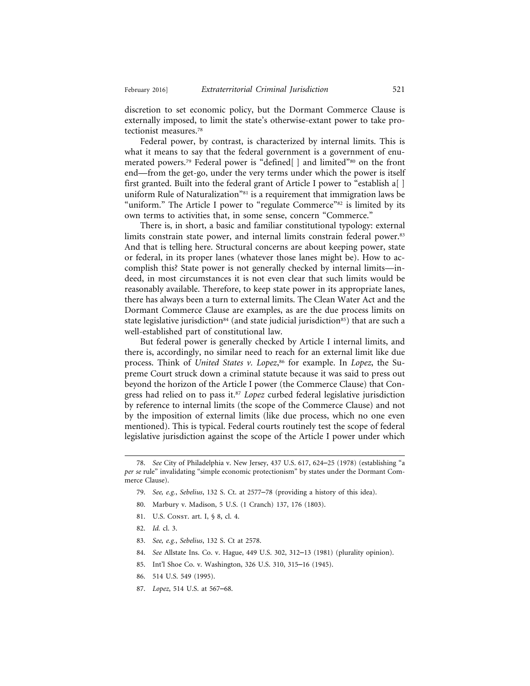discretion to set economic policy, but the Dormant Commerce Clause is externally imposed, to limit the state's otherwise-extant power to take protectionist measures.78

Federal power, by contrast, is characterized by internal limits. This is what it means to say that the federal government is a government of enumerated powers.79 Federal power is "defined[ ] and limited"80 on the front end—from the get-go, under the very terms under which the power is itself first granted. Built into the federal grant of Article I power to "establish a[] uniform Rule of Naturalization<sup>"81</sup> is a requirement that immigration laws be "uniform." The Article I power to "regulate Commerce"<sup>82</sup> is limited by its own terms to activities that, in some sense, concern "Commerce."

There is, in short, a basic and familiar constitutional typology: external limits constrain state power, and internal limits constrain federal power.<sup>83</sup> And that is telling here. Structural concerns are about keeping power, state or federal, in its proper lanes (whatever those lanes might be). How to accomplish this? State power is not generally checked by internal limits—indeed, in most circumstances it is not even clear that such limits would be reasonably available. Therefore, to keep state power in its appropriate lanes, there has always been a turn to external limits. The Clean Water Act and the Dormant Commerce Clause are examples, as are the due process limits on state legislative jurisdiction<sup>84</sup> (and state judicial jurisdiction<sup>85</sup>) that are such a well-established part of constitutional law.

But federal power is generally checked by Article I internal limits, and there is, accordingly, no similar need to reach for an external limit like due process. Think of *United States v. Lopez*, 86 for example. In *Lopez*, the Supreme Court struck down a criminal statute because it was said to press out beyond the horizon of the Article I power (the Commerce Clause) that Congress had relied on to pass it.87 *Lopez* curbed federal legislative jurisdiction by reference to internal limits (the scope of the Commerce Clause) and not by the imposition of external limits (like due process, which no one even mentioned). This is typical. Federal courts routinely test the scope of federal legislative jurisdiction against the scope of the Article I power under which

- 80. Marbury v. Madison, 5 U.S. (1 Cranch) 137, 176 (1803).
- 81. U.S. CONST. art. I, § 8, cl. 4.
- 82. *Id.* cl. 3.
- 83. *See, e.g.*, *Sebelius*, 132 S. Ct at 2578.
- 84. *See* Allstate Ins. Co. v. Hague, 449 U.S. 302, 312–13 (1981) (plurality opinion).
- 85. Int'l Shoe Co. v. Washington, 326 U.S. 310, 315–16 (1945).
- 86. 514 U.S. 549 (1995).
- 87. *Lopez*, 514 U.S. at 567–68.

<sup>78.</sup> *See* City of Philadelphia v. New Jersey, 437 U.S. 617, 624–25 (1978) (establishing "a *per se* rule" invalidating "simple economic protectionism" by states under the Dormant Commerce Clause).

<sup>79.</sup> *See, e.g.*, *Sebelius*, 132 S. Ct. at 2577–78 (providing a history of this idea).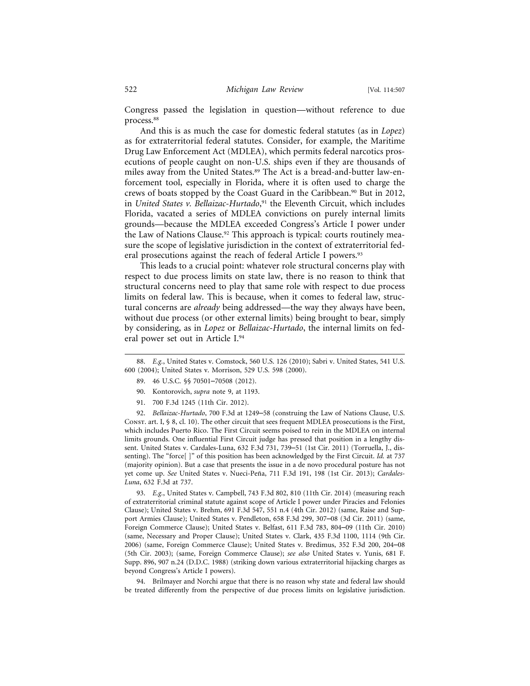Congress passed the legislation in question—without reference to due process.88

And this is as much the case for domestic federal statutes (as in *Lopez*) as for extraterritorial federal statutes. Consider, for example, the Maritime Drug Law Enforcement Act (MDLEA), which permits federal narcotics prosecutions of people caught on non-U.S. ships even if they are thousands of miles away from the United States.<sup>89</sup> The Act is a bread-and-butter law-enforcement tool, especially in Florida, where it is often used to charge the crews of boats stopped by the Coast Guard in the Caribbean.<sup>90</sup> But in 2012, in *United States v. Bellaizac-Hurtado*, 91 the Eleventh Circuit, which includes Florida, vacated a series of MDLEA convictions on purely internal limits grounds—because the MDLEA exceeded Congress's Article I power under the Law of Nations Clause.<sup>92</sup> This approach is typical: courts routinely measure the scope of legislative jurisdiction in the context of extraterritorial federal prosecutions against the reach of federal Article I powers.<sup>93</sup>

This leads to a crucial point: whatever role structural concerns play with respect to due process limits on state law, there is no reason to think that structural concerns need to play that same role with respect to due process limits on federal law. This is because, when it comes to federal law, structural concerns are *already* being addressed—the way they always have been, without due process (or other external limits) being brought to bear, simply by considering, as in *Lopez* or *Bellaizac-Hurtado*, the internal limits on federal power set out in Article I.94

- 89. 46 U.S.C. §§ 70501–70508 (2012).
- 90. Kontorovich, *supra* note 9, at 1193.
- 91. 700 F.3d 1245 (11th Cir. 2012).

92. *Bellaizac-Hurtado*, 700 F.3d at 1249–58 (construing the Law of Nations Clause, U.S. Const. art. I, § 8, cl. 10). The other circuit that sees frequent MDLEA prosecutions is the First, which includes Puerto Rico. The First Circuit seems poised to rein in the MDLEA on internal limits grounds. One influential First Circuit judge has pressed that position in a lengthy dissent. United States v. Cardales-Luna, 632 F.3d 731, 739–51 (1st Cir. 2011) (Torruella, J., dissenting). The "force[ ]" of this position has been acknowledged by the First Circuit. *Id.* at 737 (majority opinion). But a case that presents the issue in a de novo procedural posture has not yet come up. See United States v. Nueci-Peña, 711 F.3d 191, 198 (1st Cir. 2013); *Cardales*-*Luna*, 632 F.3d at 737.

93. *E.g.*, United States v. Campbell, 743 F.3d 802, 810 (11th Cir. 2014) (measuring reach of extraterritorial criminal statute against scope of Article I power under Piracies and Felonies Clause); United States v. Brehm, 691 F.3d 547, 551 n.4 (4th Cir. 2012) (same, Raise and Support Armies Clause); United States v. Pendleton, 658 F.3d 299, 307–08 (3d Cir. 2011) (same, Foreign Commerce Clause); United States v. Belfast, 611 F.3d 783, 804–09 (11th Cir. 2010) (same, Necessary and Proper Clause); United States v. Clark, 435 F.3d 1100, 1114 (9th Cir. 2006) (same, Foreign Commerce Clause); United States v. Bredimus, 352 F.3d 200, 204–08 (5th Cir. 2003); (same, Foreign Commerce Clause); *see also* United States v. Yunis, 681 F. Supp. 896, 907 n.24 (D.D.C. 1988) (striking down various extraterritorial hijacking charges as beyond Congress's Article I powers).

94. Brilmayer and Norchi argue that there is no reason why state and federal law should be treated differently from the perspective of due process limits on legislative jurisdiction.

<sup>88.</sup> *E.g.*, United States v. Comstock, 560 U.S. 126 (2010); Sabri v. United States, 541 U.S. 600 (2004); United States v. Morrison, 529 U.S. 598 (2000).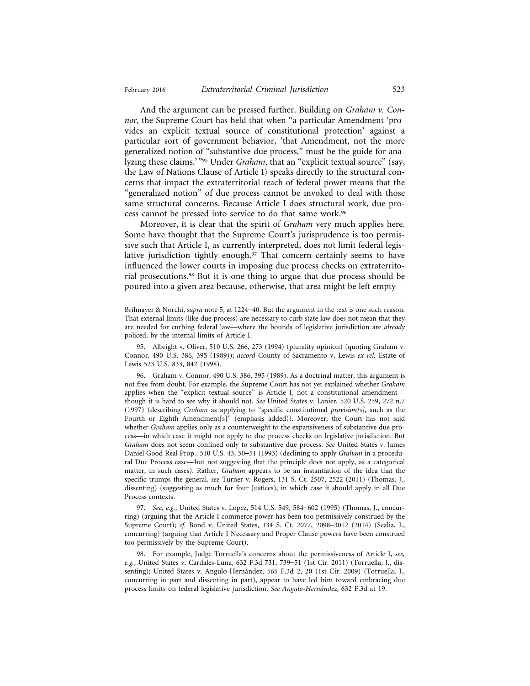And the argument can be pressed further. Building on *Graham v. Connor*, the Supreme Court has held that when "a particular Amendment 'provides an explicit textual source of constitutional protection' against a particular sort of government behavior, 'that Amendment, not the more generalized notion of "substantive due process," must be the guide for analyzing these claims.'<sup>"95</sup> Under *Graham*, that an "explicit textual source" (say, the Law of Nations Clause of Article I) speaks directly to the structural concerns that impact the extraterritorial reach of federal power means that the "generalized notion" of due process cannot be invoked to deal with those same structural concerns. Because Article I does structural work, due process cannot be pressed into service to do that same work.96

Moreover, it is clear that the spirit of *Graham* very much applies here. Some have thought that the Supreme Court's jurisprudence is too permissive such that Article I, as currently interpreted, does not limit federal legislative jurisdiction tightly enough.<sup>97</sup> That concern certainly seems to have influenced the lower courts in imposing due process checks on extraterritorial prosecutions.98 But it is one thing to argue that due process should be poured into a given area because, otherwise, that area might be left empty—

97. *See, e.g.*, United States v. Lopez, 514 U.S. 549, 584–602 (1995) (Thomas, J., concurring) (arguing that the Article I commerce power has been too permissively construed by the Supreme Court); *cf.* Bond v. United States, 134 S. Ct. 2077, 2098–3012 (2014) (Scalia, J., concurring) (arguing that Article I Necessary and Proper Clause powers have been construed too permissively by the Supreme Court).

98. For example, Judge Torruella's concerns about the permissiveness of Article I, *see, e.g.*, United States v. Cardales-Luna, 632 F.3d 731, 739–51 (1st Cir. 2011) (Torruella, J., dissenting); United States v. Angulo-Hernández, 565 F.3d 2, 20 (1st Cir. 2009) (Torruella, J., concurring in part and dissenting in part), appear to have led him toward embracing due process limits on federal legislative jurisdiction. *See Angulo-Hern´andez*, 632 F.3d at 19.

Brilmayer & Norchi, *supra* note 5, at 1224–40. But the argument in the text is one such reason. That external limits (like due process) are necessary to curb state law does not mean that they are needed for curbing federal law—where the bounds of legislative jurisdiction are *already* policed, by the internal limits of Article I.

<sup>95.</sup> Albright v. Oliver, 510 U.S. 266, 273 (1994) (plurality opinion) (quoting Graham v. Connor, 490 U.S. 386, 395 (1989)); *accord* County of Sacramento v. Lewis *ex rel.* Estate of Lewis 523 U.S. 833, 842 (1998).

<sup>96.</sup> Graham v. Connor, 490 U.S. 386, 395 (1989). As a doctrinal matter, this argument is not free from doubt. For example, the Supreme Court has not yet explained whether *Graham* applies when the "explicit textual source" is Article I, not a constitutional amendmentthough it is hard to see why it should not. *See* United States v. Lanier, 520 U.S. 259, 272 n.7 (1997) (describing *Graham* as applying to "specific constitutional *provision[s]*, such as the Fourth or Eighth Amendment[s]" (emphasis added)). Moreover, the Court has not said whether *Graham* applies only as a counterweight to the expansiveness of substantive due process—in which case it might not apply to due process checks on legislative jurisdiction. But *Graham* does not seem confined only to substantive due process. *See* United States v. James Daniel Good Real Prop., 510 U.S. 43, 50–51 (1993) (declining to apply *Graham* in a procedural Due Process case—but not suggesting that the principle does not apply, as a categorical matter, in such cases). Rather, *Graham* appears to be an instantiation of the idea that the specific trumps the general, *see* Turner v. Rogers, 131 S. Ct. 2507, 2522 (2011) (Thomas, J., dissenting) (suggesting as much for four Justices), in which case it should apply in all Due Process contexts.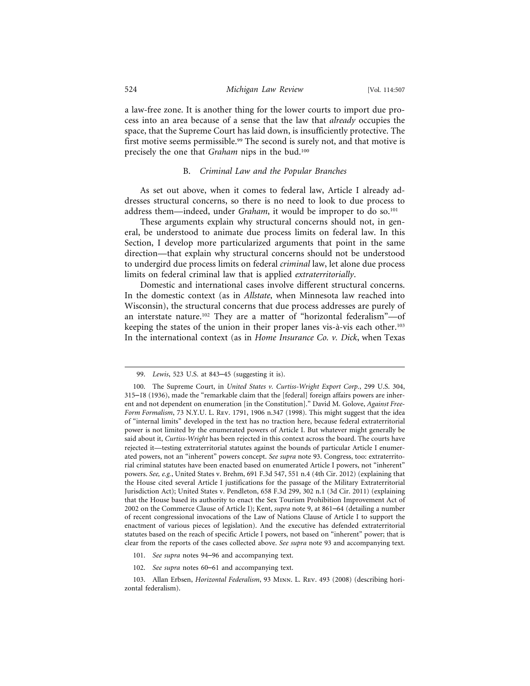a law-free zone. It is another thing for the lower courts to import due process into an area because of a sense that the law that *already* occupies the space, that the Supreme Court has laid down, is insufficiently protective. The first motive seems permissible.<sup>99</sup> The second is surely not, and that motive is precisely the one that *Graham* nips in the bud.100

#### B. *Criminal Law and the Popular Branches*

As set out above, when it comes to federal law, Article I already addresses structural concerns, so there is no need to look to due process to address them—indeed, under *Graham*, it would be improper to do so.<sup>101</sup>

These arguments explain why structural concerns should not, in general, be understood to animate due process limits on federal law. In this Section, I develop more particularized arguments that point in the same direction—that explain why structural concerns should not be understood to undergird due process limits on federal *criminal* law, let alone due process limits on federal criminal law that is applied *extraterritorially*.

Domestic and international cases involve different structural concerns. In the domestic context (as in *Allstate*, when Minnesota law reached into Wisconsin), the structural concerns that due process addresses are purely of an interstate nature.102 They are a matter of "horizontal federalism"—of keeping the states of the union in their proper lanes vis- $\grave{a}$ -vis each other.<sup>103</sup> In the international context (as in *Home Insurance Co. v. Dick*, when Texas

- 101. *See supra* notes 94–96 and accompanying text.
- 102. *See supra* notes 60–61 and accompanying text.

<sup>99.</sup> *Lewis*, 523 U.S. at 843–45 (suggesting it is).

<sup>100.</sup> The Supreme Court, in *United States v. Curtiss-Wright Export Corp.*, 299 U.S. 304, 315–18 (1936), made the "remarkable claim that the [federal] foreign affairs powers are inherent and not dependent on enumeration [in the Constitution]." David M. Golove, *Against Free-Form Formalism*, 73 N.Y.U. L. Rev. 1791, 1906 n.347 (1998). This might suggest that the idea of "internal limits" developed in the text has no traction here, because federal extraterritorial power is not limited by the enumerated powers of Article I. But whatever might generally be said about it, *Curtiss-Wright* has been rejected in this context across the board. The courts have rejected it—testing extraterritorial statutes against the bounds of particular Article I enumerated powers, not an "inherent" powers concept. *See supra* note 93. Congress, too: extraterritorial criminal statutes have been enacted based on enumerated Article I powers, not "inherent" powers. *See, e.g.*, United States v. Brehm, 691 F.3d 547, 551 n.4 (4th Cir. 2012) (explaining that the House cited several Article I justifications for the passage of the Military Extraterritorial Jurisdiction Act); United States v. Pendleton, 658 F.3d 299, 302 n.1 (3d Cir. 2011) (explaining that the House based its authority to enact the Sex Tourism Prohibition Improvement Act of 2002 on the Commerce Clause of Article I); Kent, *supra* note 9, at 861–64 (detailing a number of recent congressional invocations of the Law of Nations Clause of Article I to support the enactment of various pieces of legislation). And the executive has defended extraterritorial statutes based on the reach of specific Article I powers, not based on "inherent" power; that is clear from the reports of the cases collected above. *See supra* note 93 and accompanying text.

<sup>103.</sup> Allan Erbsen, *Horizontal Federalism*, 93 Minn. L. Rev. 493 (2008) (describing horizontal federalism).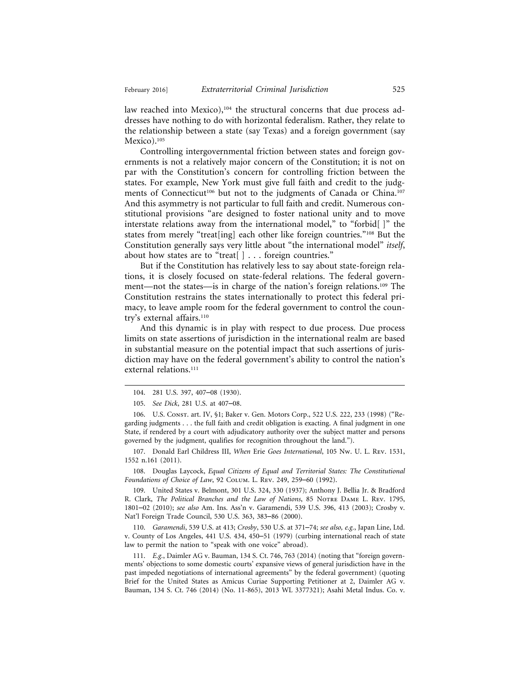law reached into Mexico),<sup>104</sup> the structural concerns that due process addresses have nothing to do with horizontal federalism. Rather, they relate to the relationship between a state (say Texas) and a foreign government (say Mexico).<sup>105</sup>

Controlling intergovernmental friction between states and foreign governments is not a relatively major concern of the Constitution; it is not on par with the Constitution's concern for controlling friction between the states. For example, New York must give full faith and credit to the judgments of Connecticut<sup>106</sup> but not to the judgments of Canada or China.<sup>107</sup> And this asymmetry is not particular to full faith and credit. Numerous constitutional provisions "are designed to foster national unity and to move interstate relations away from the international model," to "forbid[ ]" the states from merely "treat[ing] each other like foreign countries."108 But the Constitution generally says very little about "the international model" *itself*, about how states are to "treat[ ] . . . foreign countries."

But if the Constitution has relatively less to say about state-foreign relations, it is closely focused on state-federal relations. The federal government—not the states—is in charge of the nation's foreign relations.109 The Constitution restrains the states internationally to protect this federal primacy, to leave ample room for the federal government to control the country's external affairs.<sup>110</sup>

And this dynamic is in play with respect to due process. Due process limits on state assertions of jurisdiction in the international realm are based in substantial measure on the potential impact that such assertions of jurisdiction may have on the federal government's ability to control the nation's external relations.<sup>111</sup>

107. Donald Earl Childress III, *When* Erie *Goes International*, 105 Nw. U. L. Rev. 1531, 1552 n.161 (2011).

108. Douglas Laycock, *Equal Citizens of Equal and Territorial States: The Constitutional Foundations of Choice of Law*, 92 Colum. L. Rev. 249, 259–60 (1992).

109. United States v. Belmont, 301 U.S. 324, 330 (1937); Anthony J. Bellia Jr. & Bradford R. Clark, *The Political Branches and the Law of Nations*, 85 NOTRE DAME L. REV. 1795, 1801–02 (2010); *see also* Am. Ins. Ass'n v. Garamendi, 539 U.S. 396, 413 (2003); Crosby v. Nat'l Foreign Trade Council, 530 U.S. 363, 383–86 (2000).

110. *Garamendi*, 539 U.S. at 413; *Crosby*, 530 U.S. at 371–74; *see also, e.g.*, Japan Line, Ltd. v. County of Los Angeles, 441 U.S. 434, 450–51 (1979) (curbing international reach of state law to permit the nation to "speak with one voice" abroad).

111. *E.g.*, Daimler AG v. Bauman, 134 S. Ct. 746, 763 (2014) (noting that "foreign governments' objections to some domestic courts' expansive views of general jurisdiction have in the past impeded negotiations of international agreements" by the federal government) (quoting Brief for the United States as Amicus Curiae Supporting Petitioner at 2, Daimler AG v. Bauman, 134 S. Ct. 746 (2014) (No. 11-865), 2013 WL 3377321); Asahi Metal Indus. Co. v.

<sup>104. 281</sup> U.S. 397, 407–08 (1930).

<sup>105.</sup> *See Dick*, 281 U.S. at 407–08.

<sup>106.</sup> U.S. Const. art. IV, §1; Baker v. Gen. Motors Corp., 522 U.S. 222, 233 (1998) ("Regarding judgments . . . the full faith and credit obligation is exacting. A final judgment in one State, if rendered by a court with adjudicatory authority over the subject matter and persons governed by the judgment, qualifies for recognition throughout the land.").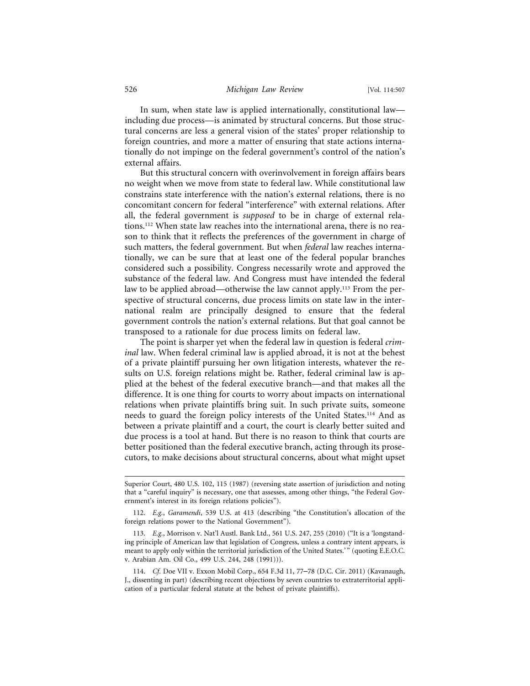In sum, when state law is applied internationally, constitutional law including due process—is animated by structural concerns. But those structural concerns are less a general vision of the states' proper relationship to foreign countries, and more a matter of ensuring that state actions internationally do not impinge on the federal government's control of the nation's external affairs.

But this structural concern with overinvolvement in foreign affairs bears no weight when we move from state to federal law. While constitutional law constrains state interference with the nation's external relations, there is no concomitant concern for federal "interference" with external relations. After all, the federal government is *supposed* to be in charge of external relations.112 When state law reaches into the international arena, there is no reason to think that it reflects the preferences of the government in charge of such matters, the federal government. But when *federal* law reaches internationally, we can be sure that at least one of the federal popular branches considered such a possibility. Congress necessarily wrote and approved the substance of the federal law. And Congress must have intended the federal law to be applied abroad—otherwise the law cannot apply.<sup>113</sup> From the perspective of structural concerns, due process limits on state law in the international realm are principally designed to ensure that the federal government controls the nation's external relations. But that goal cannot be transposed to a rationale for due process limits on federal law.

The point is sharper yet when the federal law in question is federal *criminal* law. When federal criminal law is applied abroad, it is not at the behest of a private plaintiff pursuing her own litigation interests, whatever the results on U.S. foreign relations might be. Rather, federal criminal law is applied at the behest of the federal executive branch—and that makes all the difference. It is one thing for courts to worry about impacts on international relations when private plaintiffs bring suit. In such private suits, someone needs to guard the foreign policy interests of the United States.114 And as between a private plaintiff and a court, the court is clearly better suited and due process is a tool at hand. But there is no reason to think that courts are better positioned than the federal executive branch, acting through its prosecutors, to make decisions about structural concerns, about what might upset

Superior Court, 480 U.S. 102, 115 (1987) (reversing state assertion of jurisdiction and noting that a "careful inquiry" is necessary, one that assesses, among other things, "the Federal Government's interest in its foreign relations policies").

<sup>112.</sup> *E.g.*, *Garamendi*, 539 U.S. at 413 (describing "the Constitution's allocation of the foreign relations power to the National Government").

<sup>113.</sup> *E.g.*, Morrison v. Nat'l Austl. Bank Ltd., 561 U.S. 247, 255 (2010) ("It is a 'longstanding principle of American law that legislation of Congress, unless a contrary intent appears, is meant to apply only within the territorial jurisdiction of the United States.'" (quoting E.E.O.C. v. Arabian Am. Oil Co., 499 U.S. 244, 248 (1991))).

<sup>114.</sup> *Cf.* Doe VII v. Exxon Mobil Corp., 654 F.3d 11, 77–78 (D.C. Cir. 2011) (Kavanaugh, J., dissenting in part) (describing recent objections by seven countries to extraterritorial application of a particular federal statute at the behest of private plaintiffs).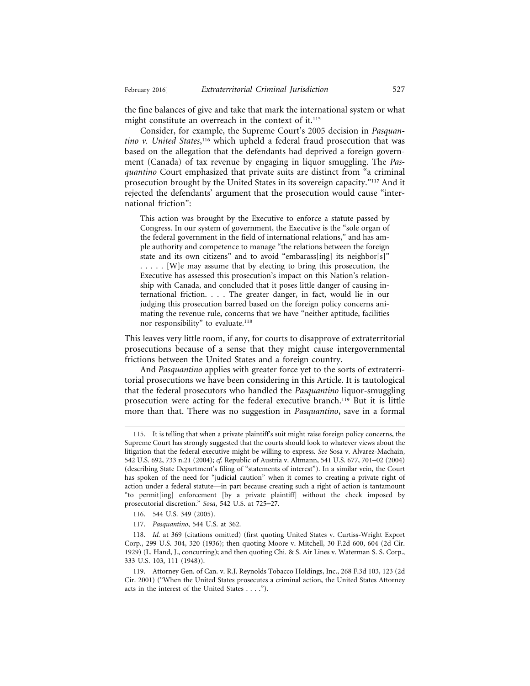the fine balances of give and take that mark the international system or what might constitute an overreach in the context of it.<sup>115</sup>

Consider, for example, the Supreme Court's 2005 decision in *Pasquan*tino v. United States,<sup>116</sup> which upheld a federal fraud prosecution that was based on the allegation that the defendants had deprived a foreign government (Canada) of tax revenue by engaging in liquor smuggling. The *Pasquantino* Court emphasized that private suits are distinct from "a criminal prosecution brought by the United States in its sovereign capacity."117 And it rejected the defendants' argument that the prosecution would cause "international friction":

This action was brought by the Executive to enforce a statute passed by Congress. In our system of government, the Executive is the "sole organ of the federal government in the field of international relations," and has ample authority and competence to manage "the relations between the foreign state and its own citizens" and to avoid "embarass[ing] its neighbor[s]" . . . . . [W]e may assume that by electing to bring this prosecution, the Executive has assessed this prosecution's impact on this Nation's relationship with Canada, and concluded that it poses little danger of causing international friction. . . . The greater danger, in fact, would lie in our judging this prosecution barred based on the foreign policy concerns animating the revenue rule, concerns that we have "neither aptitude, facilities nor responsibility" to evaluate.<sup>118</sup>

This leaves very little room, if any, for courts to disapprove of extraterritorial prosecutions because of a sense that they might cause intergovernmental frictions between the United States and a foreign country.

And *Pasquantino* applies with greater force yet to the sorts of extraterritorial prosecutions we have been considering in this Article. It is tautological that the federal prosecutors who handled the *Pasquantino* liquor-smuggling prosecution were acting for the federal executive branch.119 But it is little more than that. There was no suggestion in *Pasquantino*, save in a formal

- 116. 544 U.S. 349 (2005).
- 117. *Pasquantino*, 544 U.S. at 362.

<sup>115.</sup> It is telling that when a private plaintiff's suit might raise foreign policy concerns, the Supreme Court has strongly suggested that the courts should look to whatever views about the litigation that the federal executive might be willing to express. *See* Sosa v. Alvarez-Machain, 542 U.S. 692, 733 n.21 (2004); *cf.* Republic of Austria v. Altmann, 541 U.S. 677, 701–02 (2004) (describing State Department's filing of "statements of interest"). In a similar vein, the Court has spoken of the need for "judicial caution" when it comes to creating a private right of action under a federal statute—in part because creating such a right of action is tantamount "to permit[ing] enforcement [by a private plaintiff] without the check imposed by prosecutorial discretion." *Sosa*, 542 U.S. at 725–27.

<sup>118.</sup> *Id.* at 369 (citations omitted) (first quoting United States v. Curtiss-Wright Export Corp., 299 U.S. 304, 320 (1936); then quoting Moore v. Mitchell, 30 F.2d 600, 604 (2d Cir. 1929) (L. Hand, J., concurring); and then quoting Chi. & S. Air Lines v. Waterman S. S. Corp., 333 U.S. 103, 111 (1948)).

<sup>119.</sup> Attorney Gen. of Can. v. R.J. Reynolds Tobacco Holdings, Inc., 268 F.3d 103, 123 (2d Cir. 2001) ("When the United States prosecutes a criminal action, the United States Attorney acts in the interest of the United States . . . .").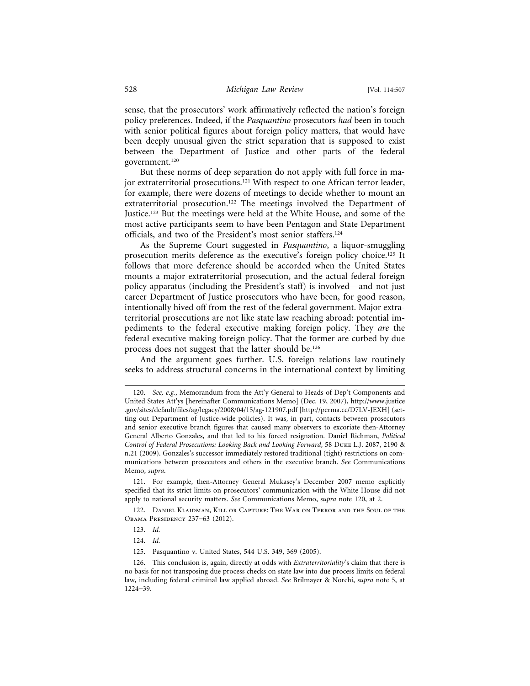sense, that the prosecutors' work affirmatively reflected the nation's foreign policy preferences. Indeed, if the *Pasquantino* prosecutors *had* been in touch with senior political figures about foreign policy matters, that would have been deeply unusual given the strict separation that is supposed to exist between the Department of Justice and other parts of the federal government.120

But these norms of deep separation do not apply with full force in major extraterritorial prosecutions.<sup>121</sup> With respect to one African terror leader, for example, there were dozens of meetings to decide whether to mount an extraterritorial prosecution.<sup>122</sup> The meetings involved the Department of Justice.123 But the meetings were held at the White House, and some of the most active participants seem to have been Pentagon and State Department officials, and two of the President's most senior staffers.124

As the Supreme Court suggested in *Pasquantino*, a liquor-smuggling prosecution merits deference as the executive's foreign policy choice.125 It follows that more deference should be accorded when the United States mounts a major extraterritorial prosecution, and the actual federal foreign policy apparatus (including the President's staff) is involved—and not just career Department of Justice prosecutors who have been, for good reason, intentionally hived off from the rest of the federal government. Major extraterritorial prosecutions are not like state law reaching abroad: potential impediments to the federal executive making foreign policy. They *are* the federal executive making foreign policy. That the former are curbed by due process does not suggest that the latter should be.126

And the argument goes further. U.S. foreign relations law routinely seeks to address structural concerns in the international context by limiting

122. Daniel Klaidman, Kill or Capture: The War on Terror and the Soul of the Obama Presidency 237–63 (2012).

<sup>120.</sup> *See, e.g.*, Memorandum from the Att'y General to Heads of Dep't Components and United States Att'ys [hereinafter Communications Memo] (Dec. 19, 2007), http://www.justice .gov/sites/default/files/ag/legacy/2008/04/15/ag-121907.pdf [http://perma.cc/D7LV-JEXH] (setting out Department of Justice-wide policies). It was, in part, contacts between prosecutors and senior executive branch figures that caused many observers to excoriate then-Attorney General Alberto Gonzales, and that led to his forced resignation. Daniel Richman, *Political Control of Federal Prosecutions: Looking Back and Looking Forward*, 58 Duke L.J. 2087, 2190 & n.21 (2009). Gonzales's successor immediately restored traditional (tight) restrictions on communications between prosecutors and others in the executive branch. *See* Communications Memo, *supra*.

<sup>121.</sup> For example, then-Attorney General Mukasey's December 2007 memo explicitly specified that its strict limits on prosecutors' communication with the White House did not apply to national security matters. *See* Communications Memo, *supra* note 120, at 2.

<sup>123.</sup> *Id.*

<sup>124.</sup> *Id.*

<sup>125.</sup> Pasquantino v. United States, 544 U.S. 349, 369 (2005).

<sup>126.</sup> This conclusion is, again, directly at odds with *Extraterritoriality*'s claim that there is no basis for not transposing due process checks on state law into due process limits on federal law, including federal criminal law applied abroad. *See* Brilmayer & Norchi, *supra* note 5, at 1224–39.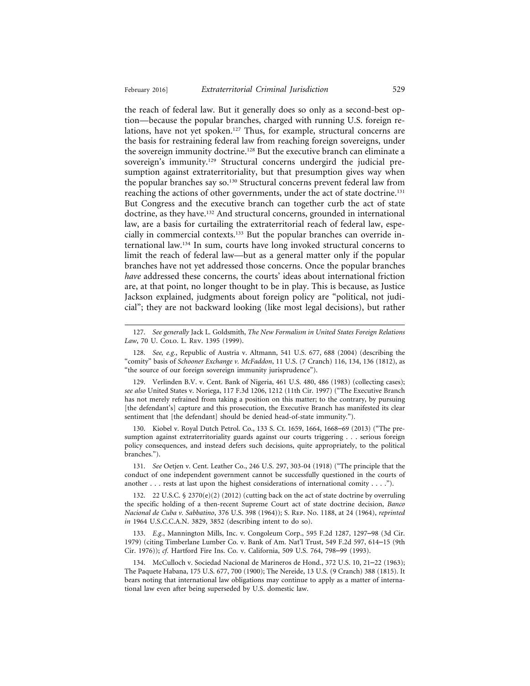the reach of federal law. But it generally does so only as a second-best option—because the popular branches, charged with running U.S. foreign relations, have not yet spoken.<sup>127</sup> Thus, for example, structural concerns are the basis for restraining federal law from reaching foreign sovereigns, under the sovereign immunity doctrine.<sup>128</sup> But the executive branch can eliminate a sovereign's immunity.<sup>129</sup> Structural concerns undergird the judicial presumption against extraterritoriality, but that presumption gives way when the popular branches say so.130 Structural concerns prevent federal law from reaching the actions of other governments, under the act of state doctrine.<sup>131</sup> But Congress and the executive branch can together curb the act of state doctrine, as they have.132 And structural concerns, grounded in international law, are a basis for curtailing the extraterritorial reach of federal law, especially in commercial contexts.133 But the popular branches can override international law.134 In sum, courts have long invoked structural concerns to limit the reach of federal law—but as a general matter only if the popular branches have not yet addressed those concerns. Once the popular branches *have* addressed these concerns, the courts' ideas about international friction are, at that point, no longer thought to be in play. This is because, as Justice Jackson explained, judgments about foreign policy are "political, not judicial"; they are not backward looking (like most legal decisions), but rather

128. *See, e.g.*, Republic of Austria v. Altmann, 541 U.S. 677, 688 (2004) (describing the "comity" basis of *Schooner Exchange v. McFaddon*, 11 U.S. (7 Cranch) 116, 134, 136 (1812), as "the source of our foreign sovereign immunity jurisprudence").

129. Verlinden B.V. v. Cent. Bank of Nigeria, 461 U.S. 480, 486 (1983) (collecting cases); *see also* United States v. Noriega, 117 F.3d 1206, 1212 (11th Cir. 1997) ("The Executive Branch has not merely refrained from taking a position on this matter; to the contrary, by pursuing [the defendant's] capture and this prosecution, the Executive Branch has manifested its clear sentiment that [the defendant] should be denied head-of-state immunity.").

130. Kiobel v. Royal Dutch Petrol. Co., 133 S. Ct. 1659, 1664, 1668–69 (2013) ("The presumption against extraterritoriality guards against our courts triggering . . . serious foreign policy consequences, and instead defers such decisions, quite appropriately, to the political branches.").

131. *See* Oetjen v. Cent. Leather Co., 246 U.S. 297, 303-04 (1918) ("The principle that the conduct of one independent government cannot be successfully questioned in the courts of another . . . rests at last upon the highest considerations of international comity . . . .").

132. 22 U.S.C. § 2370(e)(2) (2012) (cutting back on the act of state doctrine by overruling the specific holding of a then-recent Supreme Court act of state doctrine decision, *Banco Nacional de Cuba v. Sabbatino*, 376 U.S. 398 (1964)); S. Rep. No. 1188, at 24 (1964), *reprinted in* 1964 U.S.C.C.A.N. 3829, 3852 (describing intent to do so).

133. *E.g.*, Mannington Mills, Inc. v. Congoleum Corp., 595 F.2d 1287, 1297–98 (3d Cir. 1979) (citing Timberlane Lumber Co. v. Bank of Am. Nat'l Trust, 549 F.2d 597, 614–15 (9th Cir. 1976)); *cf.* Hartford Fire Ins. Co. v. California, 509 U.S. 764, 798–99 (1993).

134. McCulloch v. Sociedad Nacional de Marineros de Hond., 372 U.S. 10, 21–22 (1963); The Paquete Habana, 175 U.S. 677, 700 (1900); The Nereide, 13 U.S. (9 Cranch) 388 (1815). It bears noting that international law obligations may continue to apply as a matter of international law even after being superseded by U.S. domestic law.

<sup>127.</sup> *See generally* Jack L. Goldsmith, *The New Formalism in United States Foreign Relations* Law, 70 U. Colo. L. Rev. 1395 (1999).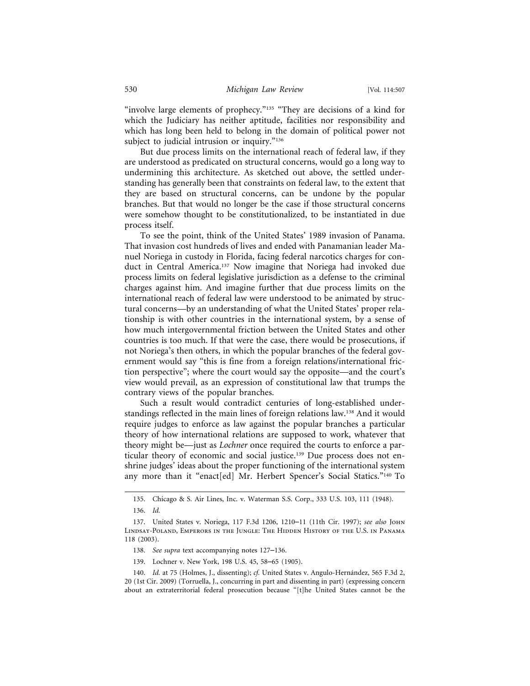"involve large elements of prophecy."<sup>135</sup> "They are decisions of a kind for which the Judiciary has neither aptitude, facilities nor responsibility and which has long been held to belong in the domain of political power not subject to judicial intrusion or inquiry."<sup>136</sup>

But due process limits on the international reach of federal law, if they are understood as predicated on structural concerns, would go a long way to undermining this architecture. As sketched out above, the settled understanding has generally been that constraints on federal law, to the extent that they are based on structural concerns, can be undone by the popular branches. But that would no longer be the case if those structural concerns were somehow thought to be constitutionalized, to be instantiated in due process itself.

To see the point, think of the United States' 1989 invasion of Panama. That invasion cost hundreds of lives and ended with Panamanian leader Manuel Noriega in custody in Florida, facing federal narcotics charges for conduct in Central America.137 Now imagine that Noriega had invoked due process limits on federal legislative jurisdiction as a defense to the criminal charges against him. And imagine further that due process limits on the international reach of federal law were understood to be animated by structural concerns—by an understanding of what the United States' proper relationship is with other countries in the international system, by a sense of how much intergovernmental friction between the United States and other countries is too much. If that were the case, there would be prosecutions, if not Noriega's then others, in which the popular branches of the federal government would say "this is fine from a foreign relations/international friction perspective"; where the court would say the opposite—and the court's view would prevail, as an expression of constitutional law that trumps the contrary views of the popular branches.

Such a result would contradict centuries of long-established understandings reflected in the main lines of foreign relations law.138 And it would require judges to enforce as law against the popular branches a particular theory of how international relations are supposed to work, whatever that theory might be—just as *Lochner* once required the courts to enforce a particular theory of economic and social justice.<sup>139</sup> Due process does not enshrine judges' ideas about the proper functioning of the international system any more than it "enact[ed] Mr. Herbert Spencer's Social Statics."<sup>140</sup> To

139. Lochner v. New York, 198 U.S. 45, 58–65 (1905).

<sup>135.</sup> Chicago & S. Air Lines, Inc. v. Waterman S.S. Corp., 333 U.S. 103, 111 (1948).

<sup>136.</sup> *Id.*

<sup>137.</sup> United States v. Noriega, 117 F.3d 1206, 1210–11 (11th Cir. 1997); *see also* John Lindsay-Poland, Emperors in the Jungle: The Hidden History of the U.S. in Panama 118 (2003).

<sup>138.</sup> *See supra* text accompanying notes 127–136.

<sup>140.</sup> *Id.* at 75 (Holmes, J., dissenting); *cf.* United States v. Angulo-Hernández, 565 F.3d 2, 20 (1st Cir. 2009) (Torruella, J., concurring in part and dissenting in part) (expressing concern about an extraterritorial federal prosecution because "[t]he United States cannot be the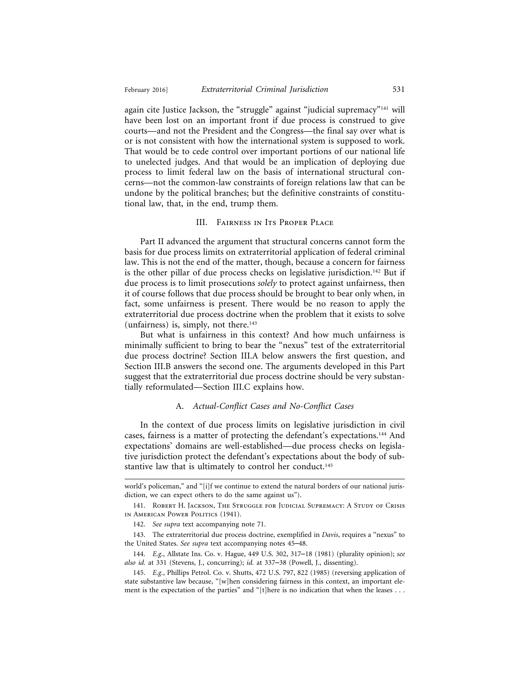again cite Justice Jackson, the "struggle" against "judicial supremacy"<sup>141</sup> will have been lost on an important front if due process is construed to give courts—and not the President and the Congress—the final say over what is or is not consistent with how the international system is supposed to work. That would be to cede control over important portions of our national life to unelected judges. And that would be an implication of deploying due process to limit federal law on the basis of international structural concerns—not the common-law constraints of foreign relations law that can be undone by the political branches; but the definitive constraints of constitutional law, that, in the end, trump them.

#### III. Fairness in Its Proper Place

Part II advanced the argument that structural concerns cannot form the basis for due process limits on extraterritorial application of federal criminal law. This is not the end of the matter, though, because a concern for fairness is the other pillar of due process checks on legislative jurisdiction.<sup>142</sup> But if due process is to limit prosecutions *solely* to protect against unfairness, then it of course follows that due process should be brought to bear only when, in fact, some unfairness is present. There would be no reason to apply the extraterritorial due process doctrine when the problem that it exists to solve (unfairness) is, simply, not there. $143$ 

But what is unfairness in this context? And how much unfairness is minimally sufficient to bring to bear the "nexus" test of the extraterritorial due process doctrine? Section III.A below answers the first question, and Section III.B answers the second one. The arguments developed in this Part suggest that the extraterritorial due process doctrine should be very substantially reformulated—Section III.C explains how.

### A. *Actual-Conflict Cases and No-Conflict Cases*

In the context of due process limits on legislative jurisdiction in civil cases, fairness is a matter of protecting the defendant's expectations.144 And expectations' domains are well-established—due process checks on legislative jurisdiction protect the defendant's expectations about the body of substantive law that is ultimately to control her conduct.<sup>145</sup>

142. *See supra* text accompanying note 71.

143. The extraterritorial due process doctrine, exemplified in *Davis*, requires a "nexus" to the United States. *See supra* text accompanying notes 45–48.

144. *E.g.*, Allstate Ins. Co. v. Hague, 449 U.S. 302, 317–18 (1981) (plurality opinion); *see also id.* at 331 (Stevens, J., concurring); *id.* at 337–38 (Powell, J., dissenting).

145. *E.g.*, Phillips Petrol. Co. v. Shutts, 472 U.S. 797, 822 (1985) (reversing application of state substantive law because, "[w]hen considering fairness in this context, an important element is the expectation of the parties" and "[t]here is no indication that when the leases . . .

world's policeman," and "[i]f we continue to extend the natural borders of our national jurisdiction, we can expect others to do the same against us").

<sup>141.</sup> Robert H. Jackson, The Struggle for Judicial Supremacy: A Study of Crisis in American Power Politics (1941).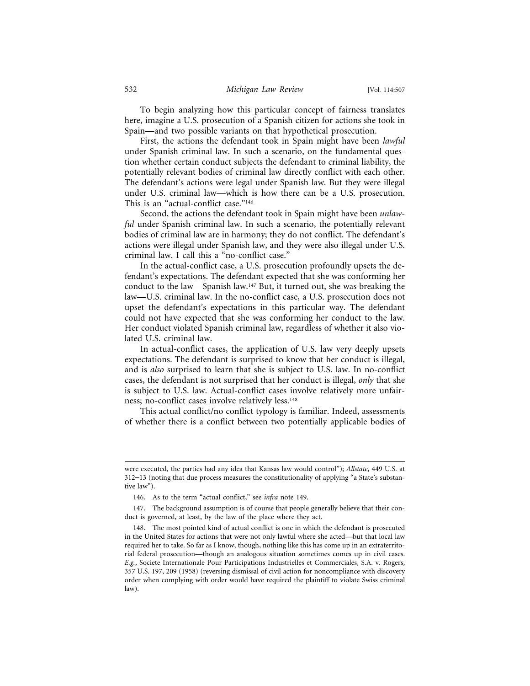To begin analyzing how this particular concept of fairness translates here, imagine a U.S. prosecution of a Spanish citizen for actions she took in Spain—and two possible variants on that hypothetical prosecution.

First, the actions the defendant took in Spain might have been *lawful* under Spanish criminal law. In such a scenario, on the fundamental question whether certain conduct subjects the defendant to criminal liability, the potentially relevant bodies of criminal law directly conflict with each other. The defendant's actions were legal under Spanish law. But they were illegal under U.S. criminal law—which is how there can be a U.S. prosecution. This is an "actual-conflict case."<sup>146</sup>

Second, the actions the defendant took in Spain might have been *unlawful* under Spanish criminal law. In such a scenario, the potentially relevant bodies of criminal law are in harmony; they do not conflict. The defendant's actions were illegal under Spanish law, and they were also illegal under U.S. criminal law. I call this a "no-conflict case."

In the actual-conflict case, a U.S. prosecution profoundly upsets the defendant's expectations. The defendant expected that she was conforming her conduct to the law—Spanish law.147 But, it turned out, she was breaking the law—U.S. criminal law. In the no-conflict case, a U.S. prosecution does not upset the defendant's expectations in this particular way. The defendant could not have expected that she was conforming her conduct to the law. Her conduct violated Spanish criminal law, regardless of whether it also violated U.S. criminal law.

In actual-conflict cases, the application of U.S. law very deeply upsets expectations. The defendant is surprised to know that her conduct is illegal, and is *also* surprised to learn that she is subject to U.S. law. In no-conflict cases, the defendant is not surprised that her conduct is illegal, *only* that she is subject to U.S. law. Actual-conflict cases involve relatively more unfairness; no-conflict cases involve relatively less.<sup>148</sup>

This actual conflict/no conflict typology is familiar. Indeed, assessments of whether there is a conflict between two potentially applicable bodies of

were executed, the parties had any idea that Kansas law would control"); *Allstate*, 449 U.S. at 312–13 (noting that due process measures the constitutionality of applying "a State's substantive law").

<sup>146.</sup> As to the term "actual conflict," see *infra* note 149.

<sup>147.</sup> The background assumption is of course that people generally believe that their conduct is governed, at least, by the law of the place where they act.

<sup>148.</sup> The most pointed kind of actual conflict is one in which the defendant is prosecuted in the United States for actions that were not only lawful where she acted—but that local law required her to take. So far as I know, though, nothing like this has come up in an extraterritorial federal prosecution—though an analogous situation sometimes comes up in civil cases. *E.g.*, Societe Internationale Pour Participations Industrielles et Commerciales, S.A. v. Rogers, 357 U.S. 197, 209 (1958) (reversing dismissal of civil action for noncompliance with discovery order when complying with order would have required the plaintiff to violate Swiss criminal law).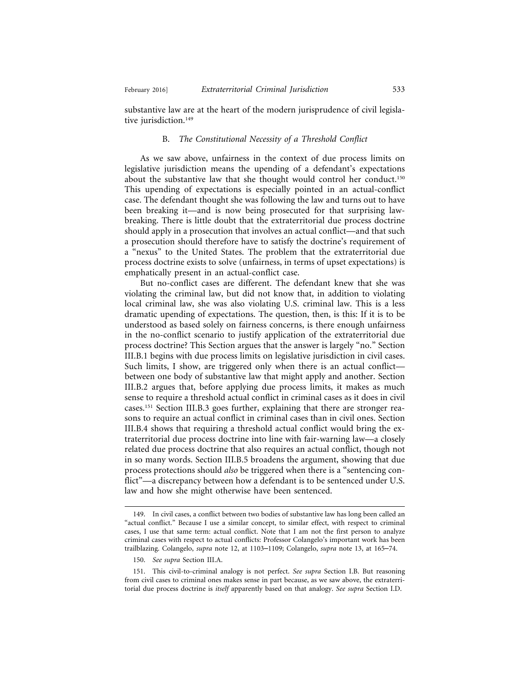substantive law are at the heart of the modern jurisprudence of civil legislative jurisdiction.<sup>149</sup>

#### B. *The Constitutional Necessity of a Threshold Conflict*

As we saw above, unfairness in the context of due process limits on legislative jurisdiction means the upending of a defendant's expectations about the substantive law that she thought would control her conduct.<sup>150</sup> This upending of expectations is especially pointed in an actual-conflict case. The defendant thought she was following the law and turns out to have been breaking it—and is now being prosecuted for that surprising lawbreaking. There is little doubt that the extraterritorial due process doctrine should apply in a prosecution that involves an actual conflict—and that such a prosecution should therefore have to satisfy the doctrine's requirement of a "nexus" to the United States. The problem that the extraterritorial due process doctrine exists to solve (unfairness, in terms of upset expectations) is emphatically present in an actual-conflict case.

But no-conflict cases are different. The defendant knew that she was violating the criminal law, but did not know that, in addition to violating local criminal law, she was also violating U.S. criminal law. This is a less dramatic upending of expectations. The question, then, is this: If it is to be understood as based solely on fairness concerns, is there enough unfairness in the no-conflict scenario to justify application of the extraterritorial due process doctrine? This Section argues that the answer is largely "no." Section III.B.1 begins with due process limits on legislative jurisdiction in civil cases. Such limits, I show, are triggered only when there is an actual conflict between one body of substantive law that might apply and another. Section III.B.2 argues that, before applying due process limits, it makes as much sense to require a threshold actual conflict in criminal cases as it does in civil cases.151 Section III.B.3 goes further, explaining that there are stronger reasons to require an actual conflict in criminal cases than in civil ones. Section III.B.4 shows that requiring a threshold actual conflict would bring the extraterritorial due process doctrine into line with fair-warning law—a closely related due process doctrine that also requires an actual conflict, though not in so many words. Section III.B.5 broadens the argument, showing that due process protections should *also* be triggered when there is a "sentencing conflict"—a discrepancy between how a defendant is to be sentenced under U.S. law and how she might otherwise have been sentenced.

<sup>149.</sup> In civil cases, a conflict between two bodies of substantive law has long been called an "actual conflict." Because I use a similar concept, to similar effect, with respect to criminal cases, I use that same term: actual conflict. Note that I am not the first person to analyze criminal cases with respect to actual conflicts: Professor Colangelo's important work has been trailblazing. Colangelo, *supra* note 12, at 1103–1109; Colangelo, *supra* note 13, at 165–74.

<sup>150.</sup> *See supra* Section III.A.

<sup>151.</sup> This civil-to-criminal analogy is not perfect. *See supra* Section I.B. But reasoning from civil cases to criminal ones makes sense in part because, as we saw above, the extraterritorial due process doctrine is *itself* apparently based on that analogy. *See supra* Section I.D.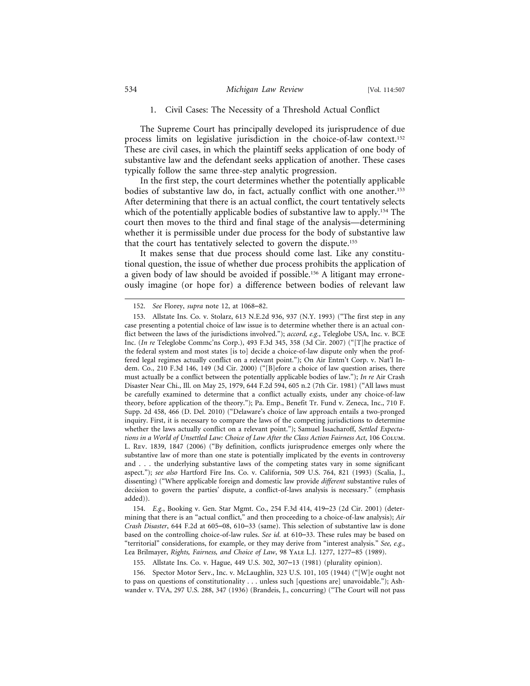#### 1. Civil Cases: The Necessity of a Threshold Actual Conflict

The Supreme Court has principally developed its jurisprudence of due process limits on legislative jurisdiction in the choice-of-law context.152 These are civil cases, in which the plaintiff seeks application of one body of substantive law and the defendant seeks application of another. These cases typically follow the same three-step analytic progression.

In the first step, the court determines whether the potentially applicable bodies of substantive law do, in fact, actually conflict with one another.153 After determining that there is an actual conflict, the court tentatively selects which of the potentially applicable bodies of substantive law to apply.<sup>154</sup> The court then moves to the third and final stage of the analysis—determining whether it is permissible under due process for the body of substantive law that the court has tentatively selected to govern the dispute.155

It makes sense that due process should come last. Like any constitutional question, the issue of whether due process prohibits the application of a given body of law should be avoided if possible.156 A litigant may erroneously imagine (or hope for) a difference between bodies of relevant law

154. *E.g.*, Booking v. Gen. Star Mgmt. Co., 254 F.3d 414, 419–23 (2d Cir. 2001) (determining that there is an "actual conflict," and then proceeding to a choice-of-law analysis); *Air Crash Disaster*, 644 F.2d at 605–08, 610–33 (same). This selection of substantive law is done based on the controlling choice-of-law rules. *See id.* at 610–33. These rules may be based on "territorial" considerations, for example, or they may derive from "interest analysis." *See, e.g.*, Lea Brilmayer, *Rights, Fairness, and Choice of Law*, 98 Yale L.J. 1277, 1277–85 (1989).

156. Spector Motor Serv., Inc. v. McLaughlin, 323 U.S. 101, 105 (1944) ("[W]e ought not to pass on questions of constitutionality . . . unless such [questions are] unavoidable."); Ashwander v. TVA, 297 U.S. 288, 347 (1936) (Brandeis, J., concurring) ("The Court will not pass

<sup>152.</sup> *See* Florey, *supra* note 12, at 1068–82.

<sup>153.</sup> Allstate Ins. Co. v. Stolarz, 613 N.E.2d 936, 937 (N.Y. 1993) ("The first step in any case presenting a potential choice of law issue is to determine whether there is an actual conflict between the laws of the jurisdictions involved."); *accord, e.g.*, Teleglobe USA, Inc. v. BCE Inc. (*In re* Teleglobe Commc'ns Corp.), 493 F.3d 345, 358 (3d Cir. 2007) ("[T]he practice of the federal system and most states [is to] decide a choice-of-law dispute only when the proffered legal regimes actually conflict on a relevant point."); On Air Entm't Corp. v. Nat'l Indem. Co., 210 F.3d 146, 149 (3d Cir. 2000) ("[B]efore a choice of law question arises, there must actually be a conflict between the potentially applicable bodies of law."); *In re* Air Crash Disaster Near Chi., Ill. on May 25, 1979, 644 F.2d 594, 605 n.2 (7th Cir. 1981) ("All laws must be carefully examined to determine that a conflict actually exists, under any choice-of-law theory, before application of the theory."); Pa. Emp., Benefit Tr. Fund v. Zeneca, Inc., 710 F. Supp. 2d 458, 466 (D. Del. 2010) ("Delaware's choice of law approach entails a two-pronged inquiry. First, it is necessary to compare the laws of the competing jurisdictions to determine whether the laws actually conflict on a relevant point."); Samuel Issacharoff, *Settled Expectations in a World of Unsettled Law: Choice of Law After the Class Action Fairness Act*, 106 Colum. L. Rev. 1839, 1847 (2006) ("By definition, conflicts jurisprudence emerges only where the substantive law of more than one state is potentially implicated by the events in controversy and . . . the underlying substantive laws of the competing states vary in some significant aspect."); *see also* Hartford Fire Ins. Co. v. California, 509 U.S. 764, 821 (1993) (Scalia, J., dissenting) ("Where applicable foreign and domestic law provide *different* substantive rules of decision to govern the parties' dispute, a conflict-of-laws analysis is necessary." (emphasis added)).

<sup>155.</sup> Allstate Ins. Co. v. Hague, 449 U.S. 302, 307–13 (1981) (plurality opinion).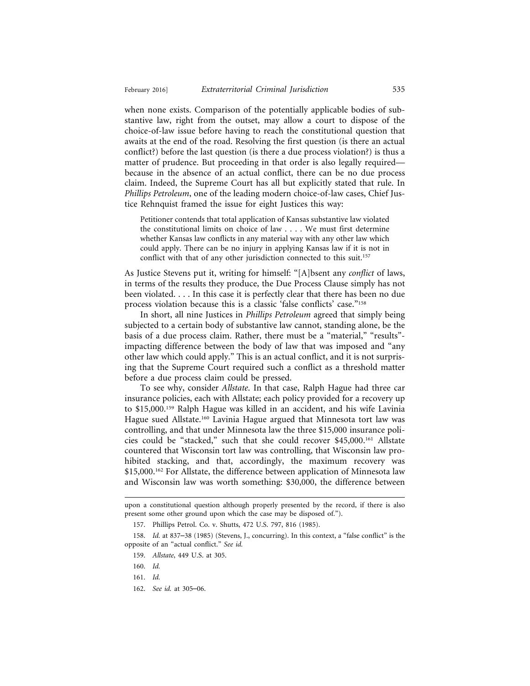when none exists. Comparison of the potentially applicable bodies of substantive law, right from the outset, may allow a court to dispose of the choice-of-law issue before having to reach the constitutional question that awaits at the end of the road. Resolving the first question (is there an actual conflict?) before the last question (is there a due process violation?) is thus a matter of prudence. But proceeding in that order is also legally required because in the absence of an actual conflict, there can be no due process claim. Indeed, the Supreme Court has all but explicitly stated that rule. In *Phillips Petroleum*, one of the leading modern choice-of-law cases, Chief Justice Rehnquist framed the issue for eight Justices this way:

Petitioner contends that total application of Kansas substantive law violated the constitutional limits on choice of law . . . . We must first determine whether Kansas law conflicts in any material way with any other law which could apply. There can be no injury in applying Kansas law if it is not in conflict with that of any other jurisdiction connected to this suit.<sup>157</sup>

As Justice Stevens put it, writing for himself: "[A]bsent any *conflict* of laws, in terms of the results they produce, the Due Process Clause simply has not been violated. . . . In this case it is perfectly clear that there has been no due process violation because this is a classic 'false conflicts' case."158

In short, all nine Justices in *Phillips Petroleum* agreed that simply being subjected to a certain body of substantive law cannot, standing alone, be the basis of a due process claim. Rather, there must be a "material," "results" impacting difference between the body of law that was imposed and "any other law which could apply." This is an actual conflict, and it is not surprising that the Supreme Court required such a conflict as a threshold matter before a due process claim could be pressed.

To see why, consider *Allstate*. In that case, Ralph Hague had three car insurance policies, each with Allstate; each policy provided for a recovery up to \$15,000.159 Ralph Hague was killed in an accident, and his wife Lavinia Hague sued Allstate.160 Lavinia Hague argued that Minnesota tort law was controlling, and that under Minnesota law the three \$15,000 insurance policies could be "stacked," such that she could recover \$45,000.161 Allstate countered that Wisconsin tort law was controlling, that Wisconsin law prohibited stacking, and that, accordingly, the maximum recovery was \$15,000.<sup>162</sup> For Allstate, the difference between application of Minnesota law and Wisconsin law was worth something: \$30,000, the difference between

upon a constitutional question although properly presented by the record, if there is also present some other ground upon which the case may be disposed of.").

<sup>157.</sup> Phillips Petrol. Co. v. Shutts, 472 U.S. 797, 816 (1985).

<sup>158.</sup> *Id.* at 837–38 (1985) (Stevens, J., concurring). In this context, a "false conflict" is the opposite of an "actual conflict." *See id.*

<sup>159.</sup> *Allstate*, 449 U.S. at 305.

<sup>160.</sup> *Id.*

<sup>161.</sup> *Id.*

<sup>162.</sup> *See id.* at 305–06.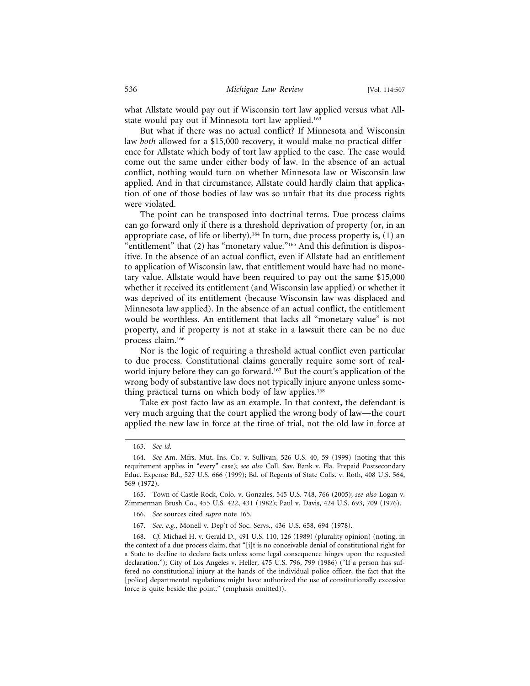what Allstate would pay out if Wisconsin tort law applied versus what Allstate would pay out if Minnesota tort law applied.<sup>163</sup>

But what if there was no actual conflict? If Minnesota and Wisconsin law *both* allowed for a \$15,000 recovery, it would make no practical difference for Allstate which body of tort law applied to the case. The case would come out the same under either body of law. In the absence of an actual conflict, nothing would turn on whether Minnesota law or Wisconsin law applied. And in that circumstance, Allstate could hardly claim that application of one of those bodies of law was so unfair that its due process rights were violated.

The point can be transposed into doctrinal terms. Due process claims can go forward only if there is a threshold deprivation of property (or, in an appropriate case, of life or liberty).<sup>164</sup> In turn, due process property is,  $(1)$  an "entitlement" that (2) has "monetary value."165 And this definition is dispositive. In the absence of an actual conflict, even if Allstate had an entitlement to application of Wisconsin law, that entitlement would have had no monetary value. Allstate would have been required to pay out the same \$15,000 whether it received its entitlement (and Wisconsin law applied) or whether it was deprived of its entitlement (because Wisconsin law was displaced and Minnesota law applied). In the absence of an actual conflict, the entitlement would be worthless. An entitlement that lacks all "monetary value" is not property, and if property is not at stake in a lawsuit there can be no due process claim.166

Nor is the logic of requiring a threshold actual conflict even particular to due process. Constitutional claims generally require some sort of realworld injury before they can go forward.167 But the court's application of the wrong body of substantive law does not typically injure anyone unless something practical turns on which body of law applies.<sup>168</sup>

Take ex post facto law as an example. In that context, the defendant is very much arguing that the court applied the wrong body of law—the court applied the new law in force at the time of trial, not the old law in force at

<sup>163.</sup> *See id.*

<sup>164.</sup> *See* Am. Mfrs. Mut. Ins. Co. v. Sullivan, 526 U.S. 40, 59 (1999) (noting that this requirement applies in "every" case); *see also* Coll. Sav. Bank v. Fla. Prepaid Postsecondary Educ. Expense Bd., 527 U.S. 666 (1999); Bd. of Regents of State Colls. v. Roth, 408 U.S. 564, 569 (1972).

<sup>165.</sup> Town of Castle Rock, Colo. v. Gonzales, 545 U.S. 748, 766 (2005); *see also* Logan v. Zimmerman Brush Co., 455 U.S. 422, 431 (1982); Paul v. Davis, 424 U.S. 693, 709 (1976).

<sup>166.</sup> *See* sources cited *supra* note 165.

<sup>167.</sup> *See, e.g.*, Monell v. Dep't of Soc. Servs., 436 U.S. 658, 694 (1978).

<sup>168.</sup> *Cf.* Michael H. v. Gerald D., 491 U.S. 110, 126 (1989) (plurality opinion) (noting, in the context of a due process claim, that "[i]t is no conceivable denial of constitutional right for a State to decline to declare facts unless some legal consequence hinges upon the requested declaration."); City of Los Angeles v. Heller, 475 U.S. 796, 799 (1986) ("If a person has suffered no constitutional injury at the hands of the individual police officer, the fact that the [police] departmental regulations might have authorized the use of constitutionally excessive force is quite beside the point." (emphasis omitted)).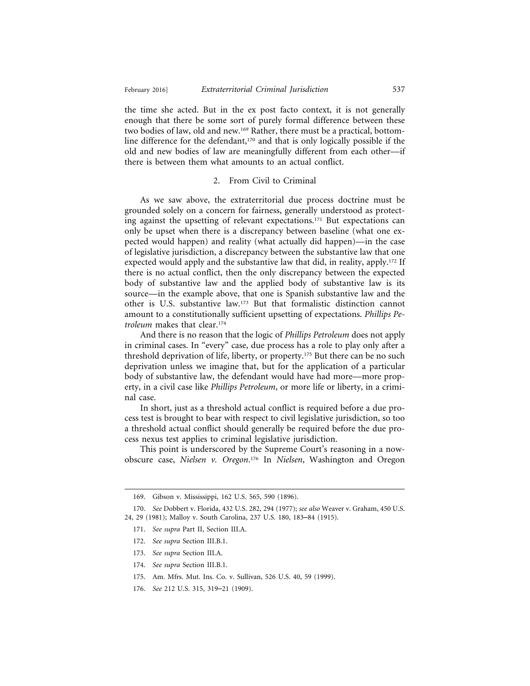February 2016] *Extraterritorial Criminal Jurisdiction* 537

the time she acted. But in the ex post facto context, it is not generally enough that there be some sort of purely formal difference between these two bodies of law, old and new.169 Rather, there must be a practical, bottomline difference for the defendant,<sup>170</sup> and that is only logically possible if the old and new bodies of law are meaningfully different from each other—if there is between them what amounts to an actual conflict.

# 2. From Civil to Criminal

As we saw above, the extraterritorial due process doctrine must be grounded solely on a concern for fairness, generally understood as protecting against the upsetting of relevant expectations.171 But expectations can only be upset when there is a discrepancy between baseline (what one expected would happen) and reality (what actually did happen)—in the case of legislative jurisdiction, a discrepancy between the substantive law that one expected would apply and the substantive law that did, in reality, apply.172 If there is no actual conflict, then the only discrepancy between the expected body of substantive law and the applied body of substantive law is its source—in the example above, that one is Spanish substantive law and the other is U.S. substantive law.173 But that formalistic distinction cannot amount to a constitutionally sufficient upsetting of expectations. *Phillips Petroleum* makes that clear.174

And there is no reason that the logic of *Phillips Petroleum* does not apply in criminal cases. In "every" case, due process has a role to play only after a threshold deprivation of life, liberty, or property.175 But there can be no such deprivation unless we imagine that, but for the application of a particular body of substantive law, the defendant would have had more—more property, in a civil case like *Phillips Petroleum*, or more life or liberty, in a criminal case.

In short, just as a threshold actual conflict is required before a due process test is brought to bear with respect to civil legislative jurisdiction, so too a threshold actual conflict should generally be required before the due process nexus test applies to criminal legislative jurisdiction.

This point is underscored by the Supreme Court's reasoning in a nowobscure case, *Nielsen v. Oregon*. 176 In *Nielsen*, Washington and Oregon

- 174. *See supra* Section III.B.1.
- 175. Am. Mfrs. Mut. Ins. Co. v. Sullivan, 526 U.S. 40, 59 (1999).
- 176. *See* 212 U.S. 315, 319–21 (1909).

<sup>169.</sup> Gibson v. Mississippi, 162 U.S. 565, 590 (1896).

<sup>170.</sup> *See* Dobbert v. Florida, 432 U.S. 282, 294 (1977); *see also* Weaver v. Graham, 450 U.S. 24, 29 (1981); Malloy v. South Carolina, 237 U.S. 180, 183–84 (1915).

<sup>171.</sup> *See supra* Part II, Section III.A.

<sup>172.</sup> *See supra* Section III.B.1.

<sup>173.</sup> *See supra* Section III.A.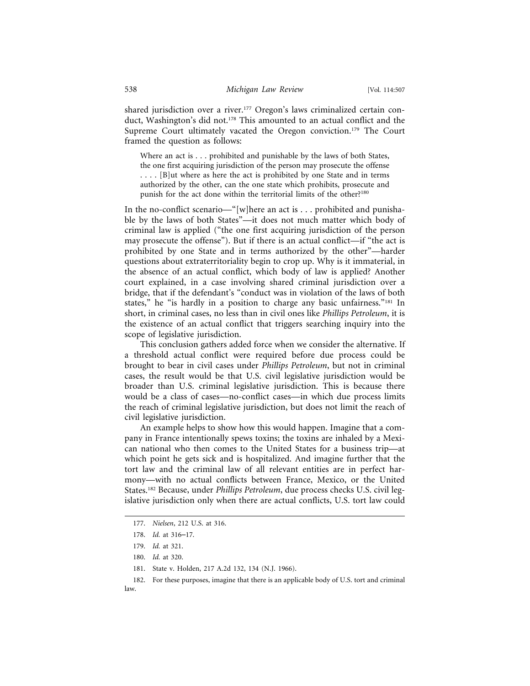shared jurisdiction over a river.<sup>177</sup> Oregon's laws criminalized certain conduct, Washington's did not.<sup>178</sup> This amounted to an actual conflict and the Supreme Court ultimately vacated the Oregon conviction.<sup>179</sup> The Court framed the question as follows:

Where an act is . . . prohibited and punishable by the laws of both States, the one first acquiring jurisdiction of the person may prosecute the offense . . . . [B]ut where as here the act is prohibited by one State and in terms authorized by the other, can the one state which prohibits, prosecute and punish for the act done within the territorial limits of the other?<sup>180</sup>

In the no-conflict scenario—"[w]here an act is . . . prohibited and punishable by the laws of both States"—it does not much matter which body of criminal law is applied ("the one first acquiring jurisdiction of the person may prosecute the offense"). But if there is an actual conflict—if "the act is prohibited by one State and in terms authorized by the other"—harder questions about extraterritoriality begin to crop up. Why is it immaterial, in the absence of an actual conflict, which body of law is applied? Another court explained, in a case involving shared criminal jurisdiction over a bridge, that if the defendant's "conduct was in violation of the laws of both states," he "is hardly in a position to charge any basic unfairness."181 In short, in criminal cases, no less than in civil ones like *Phillips Petroleum*, it is the existence of an actual conflict that triggers searching inquiry into the scope of legislative jurisdiction.

This conclusion gathers added force when we consider the alternative. If a threshold actual conflict were required before due process could be brought to bear in civil cases under *Phillips Petroleum*, but not in criminal cases, the result would be that U.S. civil legislative jurisdiction would be broader than U.S. criminal legislative jurisdiction. This is because there would be a class of cases—no-conflict cases—in which due process limits the reach of criminal legislative jurisdiction, but does not limit the reach of civil legislative jurisdiction.

An example helps to show how this would happen. Imagine that a company in France intentionally spews toxins; the toxins are inhaled by a Mexican national who then comes to the United States for a business trip—at which point he gets sick and is hospitalized. And imagine further that the tort law and the criminal law of all relevant entities are in perfect harmony—with no actual conflicts between France, Mexico, or the United States.182 Because, under *Phillips Petroleum*, due process checks U.S. civil legislative jurisdiction only when there are actual conflicts, U.S. tort law could

<sup>177.</sup> *Nielsen*, 212 U.S. at 316.

<sup>178.</sup> *Id.* at 316–17.

<sup>179.</sup> *Id.* at 321.

<sup>180.</sup> *Id.* at 320.

<sup>181.</sup> State v. Holden, 217 A.2d 132, 134 (N.J. 1966).

<sup>182.</sup> For these purposes, imagine that there is an applicable body of U.S. tort and criminal law.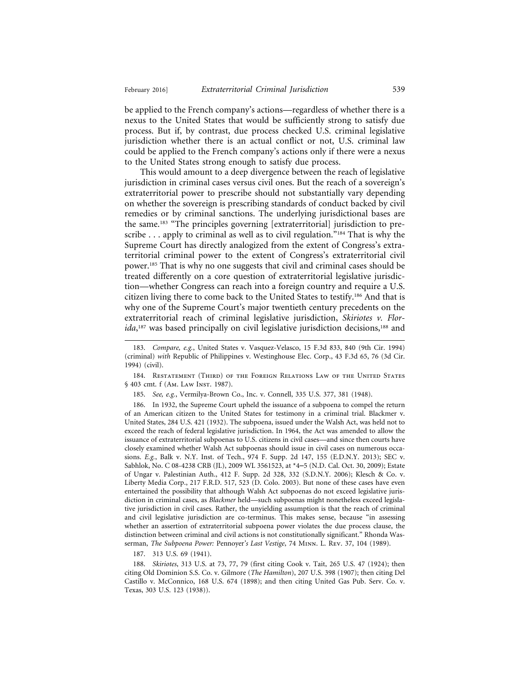be applied to the French company's actions—regardless of whether there is a nexus to the United States that would be sufficiently strong to satisfy due process. But if, by contrast, due process checked U.S. criminal legislative jurisdiction whether there is an actual conflict or not, U.S. criminal law could be applied to the French company's actions only if there were a nexus to the United States strong enough to satisfy due process.

This would amount to a deep divergence between the reach of legislative jurisdiction in criminal cases versus civil ones. But the reach of a sovereign's extraterritorial power to prescribe should not substantially vary depending on whether the sovereign is prescribing standards of conduct backed by civil remedies or by criminal sanctions. The underlying jurisdictional bases are the same.<sup>183</sup> "The principles governing [extraterritorial] jurisdiction to prescribe  $\dots$  apply to criminal as well as to civil regulation."<sup>184</sup> That is why the Supreme Court has directly analogized from the extent of Congress's extraterritorial criminal power to the extent of Congress's extraterritorial civil power.185 That is why no one suggests that civil and criminal cases should be treated differently on a core question of extraterritorial legislative jurisdiction—whether Congress can reach into a foreign country and require a U.S. citizen living there to come back to the United States to testify.186 And that is why one of the Supreme Court's major twentieth century precedents on the extraterritorial reach of criminal legislative jurisdiction, *Skiriotes v. Florida*, 187 was based principally on civil legislative jurisdiction decisions,188 and

184. RESTATEMENT (THIRD) OF THE FOREIGN RELATIONS LAW OF THE UNITED STATES § 403 cmt. f (Am. Law Inst. 1987).

185. *See, e.g.*, Vermilya-Brown Co., Inc. v. Connell, 335 U.S. 377, 381 (1948).

186. In 1932, the Supreme Court upheld the issuance of a subpoena to compel the return of an American citizen to the United States for testimony in a criminal trial. Blackmer v. United States, 284 U.S. 421 (1932). The subpoena, issued under the Walsh Act, was held not to exceed the reach of federal legislative jurisdiction. In 1964, the Act was amended to allow the issuance of extraterritorial subpoenas to U.S. citizens in civil cases—and since then courts have closely examined whether Walsh Act subpoenas should issue in civil cases on numerous occasions. *E.g.*, Balk v. N.Y. Inst. of Tech., 974 F. Supp. 2d 147, 155 (E.D.N.Y. 2013); SEC v. Sabhlok, No. C 08-4238 CRB (JL), 2009 WL 3561523, at \*4–5 (N.D. Cal. Oct. 30, 2009); Estate of Ungar v. Palestinian Auth., 412 F. Supp. 2d 328, 332 (S.D.N.Y. 2006); Klesch & Co. v. Liberty Media Corp., 217 F.R.D. 517, 523 (D. Colo. 2003). But none of these cases have even entertained the possibility that although Walsh Act subpoenas do not exceed legislative jurisdiction in criminal cases, as *Blackmer* held—such subpoenas might nonetheless exceed legislative jurisdiction in civil cases. Rather, the unyielding assumption is that the reach of criminal and civil legislative jurisdiction are co-terminus. This makes sense, because "in assessing whether an assertion of extraterritorial subpoena power violates the due process clause, the distinction between criminal and civil actions is not constitutionally significant." Rhonda Wasserman, *The Subpoena Power:* Pennoyer*'s Last Vestige*, 74 Minn. L. Rev. 37, 104 (1989).

187. 313 U.S. 69 (1941).

188. *Skiriotes*, 313 U.S. at 73, 77, 79 (first citing Cook v. Tait, 265 U.S. 47 (1924); then citing Old Dominion S.S. Co. v. Gilmore (*The Hamilton*), 207 U.S. 398 (1907); then citing Del Castillo v. McConnico, 168 U.S. 674 (1898); and then citing United Gas Pub. Serv. Co. v. Texas, 303 U.S. 123 (1938)).

<sup>183.</sup> *Compare, e.g.*, United States v. Vasquez-Velasco, 15 F.3d 833, 840 (9th Cir. 1994) (criminal) *with* Republic of Philippines v. Westinghouse Elec. Corp., 43 F.3d 65, 76 (3d Cir. 1994) (civil).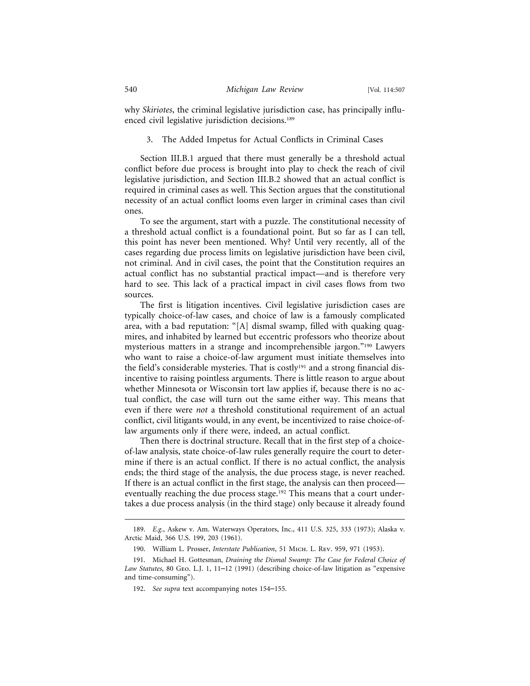why *Skiriotes*, the criminal legislative jurisdiction case, has principally influenced civil legislative jurisdiction decisions.<sup>189</sup>

#### 3. The Added Impetus for Actual Conflicts in Criminal Cases

Section III.B.1 argued that there must generally be a threshold actual conflict before due process is brought into play to check the reach of civil legislative jurisdiction, and Section III.B.2 showed that an actual conflict is required in criminal cases as well. This Section argues that the constitutional necessity of an actual conflict looms even larger in criminal cases than civil ones.

To see the argument, start with a puzzle. The constitutional necessity of a threshold actual conflict is a foundational point. But so far as I can tell, this point has never been mentioned. Why? Until very recently, all of the cases regarding due process limits on legislative jurisdiction have been civil, not criminal. And in civil cases, the point that the Constitution requires an actual conflict has no substantial practical impact—and is therefore very hard to see. This lack of a practical impact in civil cases flows from two sources.

The first is litigation incentives. Civil legislative jurisdiction cases are typically choice-of-law cases, and choice of law is a famously complicated area, with a bad reputation: "[A] dismal swamp, filled with quaking quagmires, and inhabited by learned but eccentric professors who theorize about mysterious matters in a strange and incomprehensible jargon."190 Lawyers who want to raise a choice-of-law argument must initiate themselves into the field's considerable mysteries. That is costly<sup>191</sup> and a strong financial disincentive to raising pointless arguments. There is little reason to argue about whether Minnesota or Wisconsin tort law applies if, because there is no actual conflict, the case will turn out the same either way. This means that even if there were *not* a threshold constitutional requirement of an actual conflict, civil litigants would, in any event, be incentivized to raise choice-oflaw arguments only if there were, indeed, an actual conflict.

Then there is doctrinal structure. Recall that in the first step of a choiceof-law analysis, state choice-of-law rules generally require the court to determine if there is an actual conflict. If there is no actual conflict, the analysis ends; the third stage of the analysis, the due process stage, is never reached. If there is an actual conflict in the first stage, the analysis can then proceed eventually reaching the due process stage.<sup>192</sup> This means that a court undertakes a due process analysis (in the third stage) only because it already found

<sup>189.</sup> *E.g.*, Askew v. Am. Waterways Operators, Inc., 411 U.S. 325, 333 (1973); Alaska v. Arctic Maid, 366 U.S. 199, 203 (1961).

<sup>190.</sup> William L. Prosser, *Interstate Publication*, 51 Mich. L. Rev. 959, 971 (1953).

<sup>191.</sup> Michael H. Gottesman, *Draining the Dismal Swamp: The Case for Federal Choice of Law Statutes*, 80 Geo. L.J. 1, 11–12 (1991) (describing choice-of-law litigation as "expensive and time-consuming").

<sup>192.</sup> *See supra* text accompanying notes 154–155.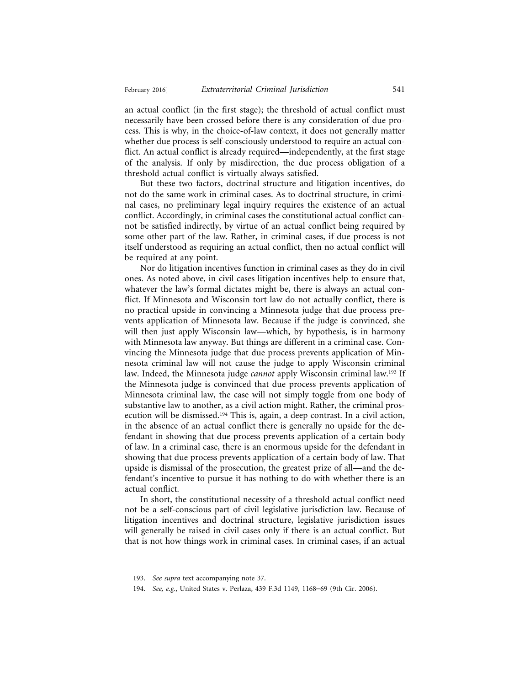an actual conflict (in the first stage); the threshold of actual conflict must necessarily have been crossed before there is any consideration of due process. This is why, in the choice-of-law context, it does not generally matter whether due process is self-consciously understood to require an actual conflict. An actual conflict is already required—independently, at the first stage of the analysis. If only by misdirection, the due process obligation of a threshold actual conflict is virtually always satisfied.

But these two factors, doctrinal structure and litigation incentives, do not do the same work in criminal cases. As to doctrinal structure, in criminal cases, no preliminary legal inquiry requires the existence of an actual conflict. Accordingly, in criminal cases the constitutional actual conflict cannot be satisfied indirectly, by virtue of an actual conflict being required by some other part of the law. Rather, in criminal cases, if due process is not itself understood as requiring an actual conflict, then no actual conflict will be required at any point.

Nor do litigation incentives function in criminal cases as they do in civil ones. As noted above, in civil cases litigation incentives help to ensure that, whatever the law's formal dictates might be, there is always an actual conflict. If Minnesota and Wisconsin tort law do not actually conflict, there is no practical upside in convincing a Minnesota judge that due process prevents application of Minnesota law. Because if the judge is convinced, she will then just apply Wisconsin law—which, by hypothesis, is in harmony with Minnesota law anyway. But things are different in a criminal case. Convincing the Minnesota judge that due process prevents application of Minnesota criminal law will not cause the judge to apply Wisconsin criminal law. Indeed, the Minnesota judge *cannot* apply Wisconsin criminal law.193 If the Minnesota judge is convinced that due process prevents application of Minnesota criminal law, the case will not simply toggle from one body of substantive law to another, as a civil action might. Rather, the criminal prosecution will be dismissed.194 This is, again, a deep contrast. In a civil action, in the absence of an actual conflict there is generally no upside for the defendant in showing that due process prevents application of a certain body of law. In a criminal case, there is an enormous upside for the defendant in showing that due process prevents application of a certain body of law. That upside is dismissal of the prosecution, the greatest prize of all—and the defendant's incentive to pursue it has nothing to do with whether there is an actual conflict.

In short, the constitutional necessity of a threshold actual conflict need not be a self-conscious part of civil legislative jurisdiction law. Because of litigation incentives and doctrinal structure, legislative jurisdiction issues will generally be raised in civil cases only if there is an actual conflict. But that is not how things work in criminal cases. In criminal cases, if an actual

<sup>193.</sup> *See supra* text accompanying note 37.

<sup>194.</sup> *See, e.g.*, United States v. Perlaza, 439 F.3d 1149, 1168–69 (9th Cir. 2006).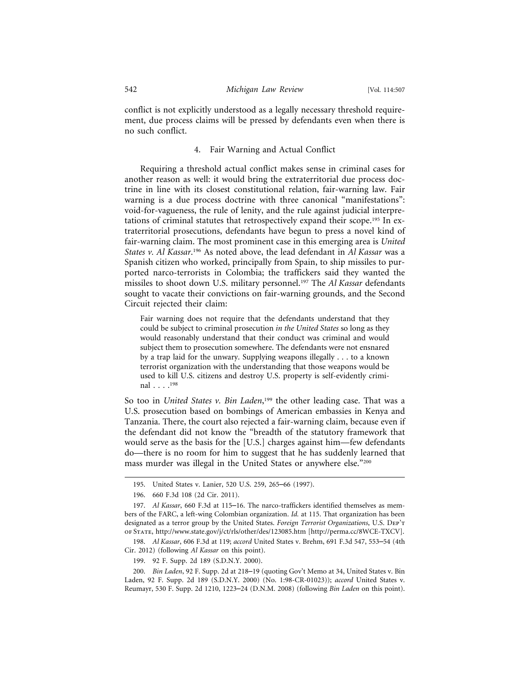conflict is not explicitly understood as a legally necessary threshold requirement, due process claims will be pressed by defendants even when there is no such conflict.

### 4. Fair Warning and Actual Conflict

Requiring a threshold actual conflict makes sense in criminal cases for another reason as well: it would bring the extraterritorial due process doctrine in line with its closest constitutional relation, fair-warning law. Fair warning is a due process doctrine with three canonical "manifestations": void-for-vagueness, the rule of lenity, and the rule against judicial interpretations of criminal statutes that retrospectively expand their scope.195 In extraterritorial prosecutions, defendants have begun to press a novel kind of fair-warning claim. The most prominent case in this emerging area is *United States v. Al Kassar*. 196 As noted above, the lead defendant in *Al Kassar* was a Spanish citizen who worked, principally from Spain, to ship missiles to purported narco-terrorists in Colombia; the traffickers said they wanted the missiles to shoot down U.S. military personnel.197 The *Al Kassar* defendants sought to vacate their convictions on fair-warning grounds, and the Second Circuit rejected their claim:

Fair warning does not require that the defendants understand that they could be subject to criminal prosecution *in the United States* so long as they would reasonably understand that their conduct was criminal and would subject them to prosecution somewhere. The defendants were not ensnared by a trap laid for the unwary. Supplying weapons illegally . . . to a known terrorist organization with the understanding that those weapons would be used to kill U.S. citizens and destroy U.S. property is self-evidently criminal . . . .198

So too in *United States v. Bin Laden*, 199 the other leading case. That was a U.S. prosecution based on bombings of American embassies in Kenya and Tanzania. There, the court also rejected a fair-warning claim, because even if the defendant did not know the "breadth of the statutory framework that would serve as the basis for the [U.S.] charges against him—few defendants do—there is no room for him to suggest that he has suddenly learned that mass murder was illegal in the United States or anywhere else."200

<sup>195.</sup> United States v. Lanier, 520 U.S. 259, 265–66 (1997).

<sup>196. 660</sup> F.3d 108 (2d Cir. 2011).

<sup>197.</sup> *Al Kassar*, 660 F.3d at 115–16. The narco-traffickers identified themselves as members of the FARC, a left-wing Colombian organization. *Id.* at 115. That organization has been designated as a terror group by the United States. *Foreign Terrorist Organizations*, U.S. Dep't of State, http://www.state.gov/j/ct/rls/other/des/123085.htm [http://perma.cc/8WCE-TXCV].

<sup>198.</sup> *Al Kassar*, 606 F.3d at 119; *accord* United States v. Brehm, 691 F.3d 547, 553–54 (4th Cir. 2012) (following *Al Kassar* on this point).

<sup>199. 92</sup> F. Supp. 2d 189 (S.D.N.Y. 2000).

<sup>200.</sup> *Bin Laden*, 92 F. Supp. 2d at 218–19 (quoting Gov't Memo at 34, United States v. Bin Laden, 92 F. Supp. 2d 189 (S.D.N.Y. 2000) (No. 1:98-CR-01023)); *accord* United States v. Reumayr, 530 F. Supp. 2d 1210, 1223–24 (D.N.M. 2008) (following *Bin Laden* on this point).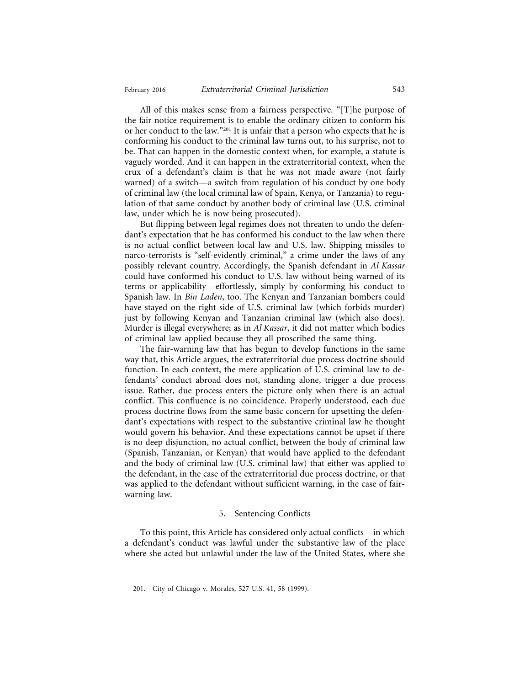All of this makes sense from a fairness perspective. "[T]he purpose of the fair notice requirement is to enable the ordinary citizen to conform his or her conduct to the law."201 It is unfair that a person who expects that he is conforming his conduct to the criminal law turns out, to his surprise, not to be. That can happen in the domestic context when, for example, a statute is vaguely worded. And it can happen in the extraterritorial context, when the crux of a defendant's claim is that he was not made aware (not fairly warned) of a switch—a switch from regulation of his conduct by one body of criminal law (the local criminal law of Spain, Kenya, or Tanzania) to regulation of that same conduct by another body of criminal law (U.S. criminal law, under which he is now being prosecuted).

But flipping between legal regimes does not threaten to undo the defendant's expectation that he has conformed his conduct to the law when there is no actual conflict between local law and U.S. law. Shipping missiles to narco-terrorists is "self-evidently criminal," a crime under the laws of any possibly relevant country. Accordingly, the Spanish defendant in *Al Kassar* could have conformed his conduct to U.S. law without being warned of its terms or applicability—effortlessly, simply by conforming his conduct to Spanish law. In *Bin Laden*, too. The Kenyan and Tanzanian bombers could have stayed on the right side of U.S. criminal law (which forbids murder) just by following Kenyan and Tanzanian criminal law (which also does). Murder is illegal everywhere; as in *Al Kassar*, it did not matter which bodies of criminal law applied because they all proscribed the same thing.

The fair-warning law that has begun to develop functions in the same way that, this Article argues, the extraterritorial due process doctrine should function. In each context, the mere application of U.S. criminal law to defendants' conduct abroad does not, standing alone, trigger a due process issue. Rather, due process enters the picture only when there is an actual conflict. This confluence is no coincidence. Properly understood, each due process doctrine flows from the same basic concern for upsetting the defendant's expectations with respect to the substantive criminal law he thought would govern his behavior. And these expectations cannot be upset if there is no deep disjunction, no actual conflict, between the body of criminal law (Spanish, Tanzanian, or Kenyan) that would have applied to the defendant and the body of criminal law (U.S. criminal law) that either was applied to the defendant, in the case of the extraterritorial due process doctrine, or that was applied to the defendant without sufficient warning, in the case of fairwarning law.

#### 5. Sentencing Conflicts

To this point, this Article has considered only actual conflicts—in which a defendant's conduct was lawful under the substantive law of the place where she acted but unlawful under the law of the United States, where she

<sup>201.</sup> City of Chicago v. Morales, 527 U.S. 41, 58 (1999).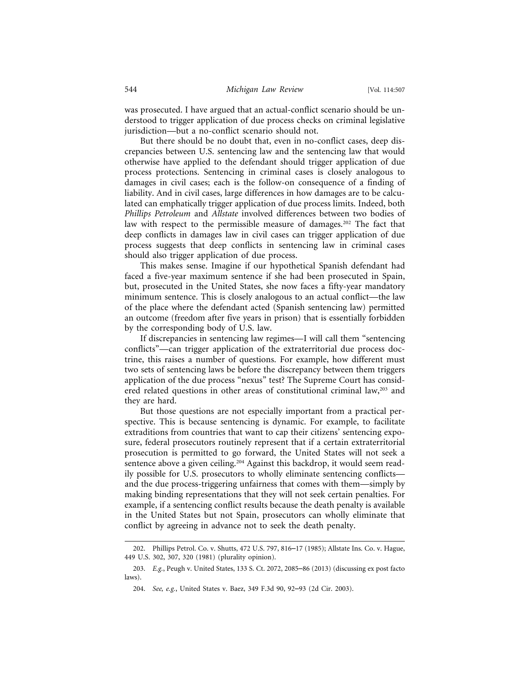was prosecuted. I have argued that an actual-conflict scenario should be understood to trigger application of due process checks on criminal legislative jurisdiction—but a no-conflict scenario should not.

But there should be no doubt that, even in no-conflict cases, deep discrepancies between U.S. sentencing law and the sentencing law that would otherwise have applied to the defendant should trigger application of due process protections. Sentencing in criminal cases is closely analogous to damages in civil cases; each is the follow-on consequence of a finding of liability. And in civil cases, large differences in how damages are to be calculated can emphatically trigger application of due process limits. Indeed, both *Phillips Petroleum* and *Allstate* involved differences between two bodies of law with respect to the permissible measure of damages.<sup>202</sup> The fact that deep conflicts in damages law in civil cases can trigger application of due process suggests that deep conflicts in sentencing law in criminal cases should also trigger application of due process.

This makes sense. Imagine if our hypothetical Spanish defendant had faced a five-year maximum sentence if she had been prosecuted in Spain, but, prosecuted in the United States, she now faces a fifty-year mandatory minimum sentence. This is closely analogous to an actual conflict—the law of the place where the defendant acted (Spanish sentencing law) permitted an outcome (freedom after five years in prison) that is essentially forbidden by the corresponding body of U.S. law.

If discrepancies in sentencing law regimes—I will call them "sentencing conflicts"—can trigger application of the extraterritorial due process doctrine, this raises a number of questions. For example, how different must two sets of sentencing laws be before the discrepancy between them triggers application of the due process "nexus" test? The Supreme Court has considered related questions in other areas of constitutional criminal law,<sup>203</sup> and they are hard.

But those questions are not especially important from a practical perspective. This is because sentencing is dynamic. For example, to facilitate extraditions from countries that want to cap their citizens' sentencing exposure, federal prosecutors routinely represent that if a certain extraterritorial prosecution is permitted to go forward, the United States will not seek a sentence above a given ceiling.204 Against this backdrop, it would seem readily possible for U.S. prosecutors to wholly eliminate sentencing conflicts and the due process-triggering unfairness that comes with them—simply by making binding representations that they will not seek certain penalties. For example, if a sentencing conflict results because the death penalty is available in the United States but not Spain, prosecutors can wholly eliminate that conflict by agreeing in advance not to seek the death penalty.

<sup>202.</sup> Phillips Petrol. Co. v. Shutts, 472 U.S. 797, 816–17 (1985); Allstate Ins. Co. v. Hague, 449 U.S. 302, 307, 320 (1981) (plurality opinion).

<sup>203.</sup> *E.g.*, Peugh v. United States, 133 S. Ct. 2072, 2085–86 (2013) (discussing ex post facto laws).

<sup>204.</sup> *See, e.g.*, United States v. Baez, 349 F.3d 90, 92–93 (2d Cir. 2003).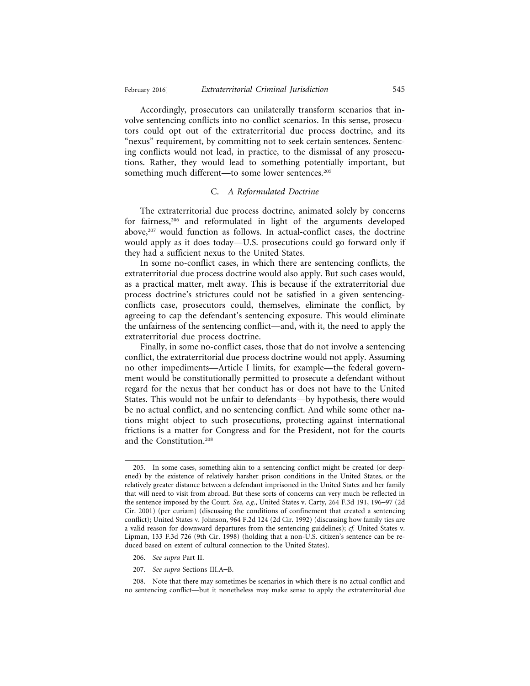Accordingly, prosecutors can unilaterally transform scenarios that involve sentencing conflicts into no-conflict scenarios. In this sense, prosecutors could opt out of the extraterritorial due process doctrine, and its "nexus" requirement, by committing not to seek certain sentences. Sentencing conflicts would not lead, in practice, to the dismissal of any prosecutions. Rather, they would lead to something potentially important, but something much different—to some lower sentences.<sup>205</sup>

#### C. *A Reformulated Doctrine*

The extraterritorial due process doctrine, animated solely by concerns for fairness,206 and reformulated in light of the arguments developed above,<sup>207</sup> would function as follows. In actual-conflict cases, the doctrine would apply as it does today—U.S. prosecutions could go forward only if they had a sufficient nexus to the United States.

In some no-conflict cases, in which there are sentencing conflicts, the extraterritorial due process doctrine would also apply. But such cases would, as a practical matter, melt away. This is because if the extraterritorial due process doctrine's strictures could not be satisfied in a given sentencingconflicts case, prosecutors could, themselves, eliminate the conflict, by agreeing to cap the defendant's sentencing exposure. This would eliminate the unfairness of the sentencing conflict—and, with it, the need to apply the extraterritorial due process doctrine.

Finally, in some no-conflict cases, those that do not involve a sentencing conflict, the extraterritorial due process doctrine would not apply. Assuming no other impediments—Article I limits, for example—the federal government would be constitutionally permitted to prosecute a defendant without regard for the nexus that her conduct has or does not have to the United States. This would not be unfair to defendants—by hypothesis, there would be no actual conflict, and no sentencing conflict. And while some other nations might object to such prosecutions, protecting against international frictions is a matter for Congress and for the President, not for the courts and the Constitution.208

- 206. *See supra* Part II.
- 207. *See supra* Sections III.A–B.

208. Note that there may sometimes be scenarios in which there is no actual conflict and no sentencing conflict—but it nonetheless may make sense to apply the extraterritorial due

<sup>205.</sup> In some cases, something akin to a sentencing conflict might be created (or deepened) by the existence of relatively harsher prison conditions in the United States, or the relatively greater distance between a defendant imprisoned in the United States and her family that will need to visit from abroad. But these sorts of concerns can very much be reflected in the sentence imposed by the Court. *See, e.g.*, United States v. Carty, 264 F.3d 191, 196–97 (2d Cir. 2001) (per curiam) (discussing the conditions of confinement that created a sentencing conflict); United States v. Johnson, 964 F.2d 124 (2d Cir. 1992) (discussing how family ties are a valid reason for downward departures from the sentencing guidelines); *cf.* United States v. Lipman, 133 F.3d 726 (9th Cir. 1998) (holding that a non-U.S. citizen's sentence can be reduced based on extent of cultural connection to the United States).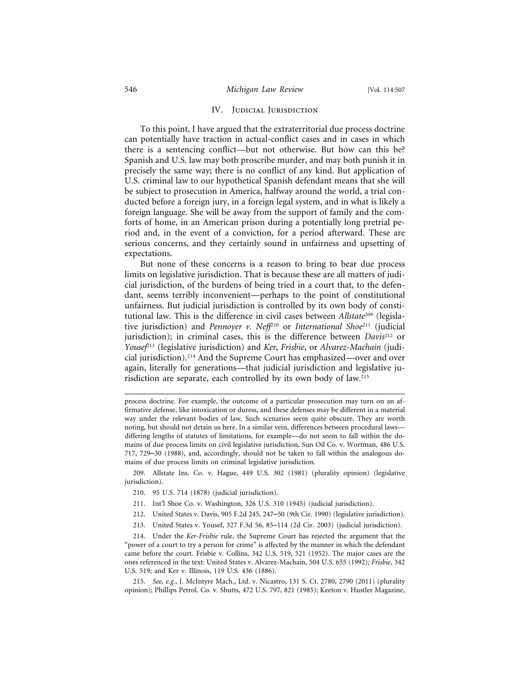#### IV. JUDICIAL JURISDICTION

To this point, I have argued that the extraterritorial due process doctrine can potentially have traction in actual-conflict cases and in cases in which there is a sentencing conflict—but not otherwise. But how can this be? Spanish and U.S. law may both proscribe murder, and may both punish it in precisely the same way; there is no conflict of any kind. But application of U.S. criminal law to our hypothetical Spanish defendant means that she will be subject to prosecution in America, halfway around the world, a trial conducted before a foreign jury, in a foreign legal system, and in what is likely a foreign language. She will be away from the support of family and the comforts of home, in an American prison during a potentially long pretrial period and, in the event of a conviction, for a period afterward. These are serious concerns, and they certainly sound in unfairness and upsetting of expectations.

But none of these concerns is a reason to bring to bear due process limits on legislative jurisdiction. That is because these are all matters of judicial jurisdiction, of the burdens of being tried in a court that, to the defendant, seems terribly inconvenient—perhaps to the point of constitutional unfairness. But judicial jurisdiction is controlled by its own body of constitutional law. This is the difference in civil cases between *Allstate*209 (legislative jurisdiction) and *Pennoyer v. Neff*210 or *International Shoe*211 (judicial jurisdiction); in criminal cases, this is the difference between *Davis*212 or *Yousef*213 (legislative jurisdiction) and *Ker*, *Frisbie*, or *Alvarez-Machain* (judicial jurisdiction).214 And the Supreme Court has emphasized—over and over again, literally for generations—that judicial jurisdiction and legislative jurisdiction are separate, each controlled by its own body of law.215

209. Allstate Ins. Co. v. Hague, 449 U.S. 302 (1981) (plurality opinion) (legislative jurisdiction).

- 210. 95 U.S. 714 (1878) (judicial jurisdiction).
- 211. Int'l Shoe Co. v. Washington, 326 U.S. 310 (1945) (judicial jurisdiction).
- 212. United States v. Davis, 905 F.2d 245, 247–50 (9th Cir. 1990) (legislative jurisdiction).
- 213. United States v. Yousef, 327 F.3d 56, 85–114 (2d Cir. 2003) (judicial jurisdiction).

process doctrine. For example, the outcome of a particular prosecution may turn on an affirmative defense, like intoxication or duress, and these defenses may be different in a material way under the relevant bodies of law. Such scenarios seem quite obscure. They are worth noting, but should not detain us here. In a similar vein, differences between procedural laws differing lengths of statutes of limitations, for example—do not seem to fall within the domains of due process limits on civil legislative jurisdiction, Sun Oil Co. v. Wortman, 486 U.S. 717, 729–30 (1988), and, accordingly, should not be taken to fall within the analogous domains of due process limits on criminal legislative jurisdiction.

<sup>214.</sup> Under the *Ker*-*Frisbie* rule, the Supreme Court has rejected the argument that the "power of a court to try a person for crime" is affected by the manner in which the defendant came before the court. Frisbie v. Collins, 342 U.S. 519, 521 (1952). The major cases are the ones referenced in the text: United States v. Alvarez-Machain, 504 U.S. 655 (1992); *Frisbie*, 342 U.S. 519; and Ker v. Illinois, 119 U.S. 436 (1886).

<sup>215.</sup> *See, e.g.*, J. McIntyre Mach., Ltd. v. Nicastro, 131 S. Ct. 2780, 2790 (2011) (plurality opinion); Phillips Petrol. Co. v. Shutts, 472 U.S. 797, 821 (1985); Keeton v. Hustler Magazine,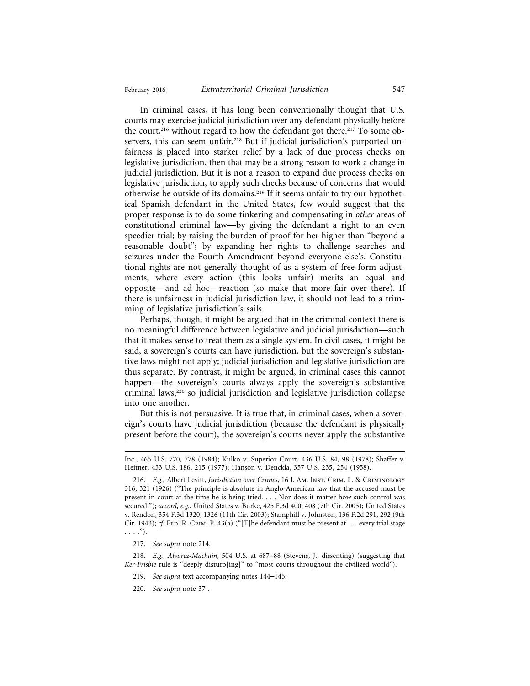In criminal cases, it has long been conventionally thought that U.S. courts may exercise judicial jurisdiction over any defendant physically before the court,<sup>216</sup> without regard to how the defendant got there.<sup>217</sup> To some observers, this can seem unfair.218 But if judicial jurisdiction's purported unfairness is placed into starker relief by a lack of due process checks on legislative jurisdiction, then that may be a strong reason to work a change in judicial jurisdiction. But it is not a reason to expand due process checks on legislative jurisdiction, to apply such checks because of concerns that would otherwise be outside of its domains.219 If it seems unfair to try our hypothetical Spanish defendant in the United States, few would suggest that the proper response is to do some tinkering and compensating in *other* areas of constitutional criminal law—by giving the defendant a right to an even speedier trial; by raising the burden of proof for her higher than "beyond a reasonable doubt"; by expanding her rights to challenge searches and seizures under the Fourth Amendment beyond everyone else's. Constitutional rights are not generally thought of as a system of free-form adjustments, where every action (this looks unfair) merits an equal and opposite—and ad hoc—reaction (so make that more fair over there). If there is unfairness in judicial jurisdiction law, it should not lead to a trimming of legislative jurisdiction's sails.

Perhaps, though, it might be argued that in the criminal context there is no meaningful difference between legislative and judicial jurisdiction—such that it makes sense to treat them as a single system. In civil cases, it might be said, a sovereign's courts can have jurisdiction, but the sovereign's substantive laws might not apply; judicial jurisdiction and legislative jurisdiction are thus separate. By contrast, it might be argued, in criminal cases this cannot happen—the sovereign's courts always apply the sovereign's substantive criminal laws,<sup>220</sup> so judicial jurisdiction and legislative jurisdiction collapse into one another.

But this is not persuasive. It is true that, in criminal cases, when a sovereign's courts have judicial jurisdiction (because the defendant is physically present before the court), the sovereign's courts never apply the substantive

218. *E.g.*, *Alvarez-Machain*, 504 U.S. at 687–88 (Stevens, J., dissenting) (suggesting that *Ker*-*Frisbie* rule is "deeply disturb[ing]" to "most courts throughout the civilized world").

Inc., 465 U.S. 770, 778 (1984); Kulko v. Superior Court, 436 U.S. 84, 98 (1978); Shaffer v. Heitner, 433 U.S. 186, 215 (1977); Hanson v. Denckla, 357 U.S. 235, 254 (1958).

<sup>216.</sup> *E.g.*, Albert Levitt, *Jurisdiction over Crimes*, 16 J. Am. Inst. Crim. L. & Criminology 316, 321 (1926) ("The principle is absolute in Anglo-American law that the accused must be present in court at the time he is being tried. . . . Nor does it matter how such control was secured."); *accord, e.g.*, United States v. Burke, 425 F.3d 400, 408 (7th Cir. 2005); United States v. Rendon, 354 F.3d 1320, 1326 (11th Cir. 2003); Stamphill v. Johnston, 136 F.2d 291, 292 (9th Cir. 1943); *cf.* FED. R. CRIM. P. 43(a) ("[T]he defendant must be present at . . . every trial stage  $\ldots$ .").

<sup>217.</sup> *See supra* note 214.

<sup>219.</sup> *See supra* text accompanying notes 144–145.

<sup>220.</sup> *See supra* note 37 .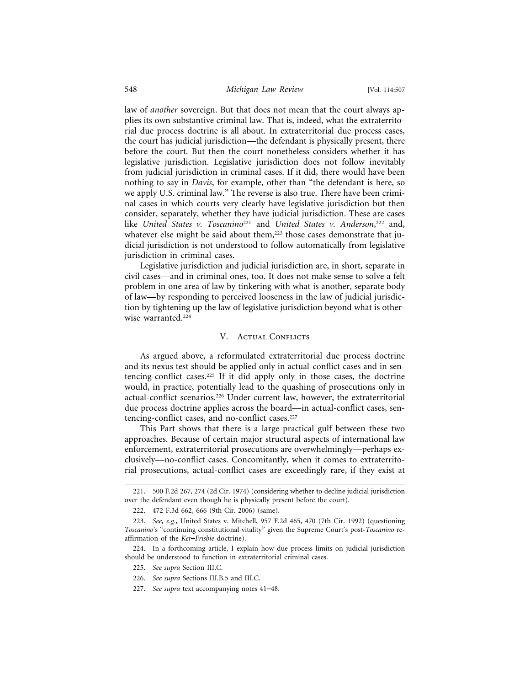law of *another* sovereign. But that does not mean that the court always applies its own substantive criminal law. That is, indeed, what the extraterritorial due process doctrine is all about. In extraterritorial due process cases, the court has judicial jurisdiction—the defendant is physically present, there before the court. But then the court nonetheless considers whether it has legislative jurisdiction. Legislative jurisdiction does not follow inevitably from judicial jurisdiction in criminal cases. If it did, there would have been nothing to say in *Davis*, for example, other than "the defendant is here, so we apply U.S. criminal law." The reverse is also true. There have been criminal cases in which courts very clearly have legislative jurisdiction but then consider, separately, whether they have judicial jurisdiction. These are cases like *United States v. Toscanino*221 and *United States v. Anderson*, 222 and, whatever else might be said about them,<sup>223</sup> those cases demonstrate that judicial jurisdiction is not understood to follow automatically from legislative jurisdiction in criminal cases.

Legislative jurisdiction and judicial jurisdiction are, in short, separate in civil cases—and in criminal ones, too. It does not make sense to solve a felt problem in one area of law by tinkering with what is another, separate body of law—by responding to perceived looseness in the law of judicial jurisdiction by tightening up the law of legislative jurisdiction beyond what is otherwise warranted.<sup>224</sup>

#### V. ACTUAL CONFLICTS

As argued above, a reformulated extraterritorial due process doctrine and its nexus test should be applied only in actual-conflict cases and in sentencing-conflict cases.225 If it did apply only in those cases, the doctrine would, in practice, potentially lead to the quashing of prosecutions only in actual-conflict scenarios.226 Under current law, however, the extraterritorial due process doctrine applies across the board—in actual-conflict cases, sentencing-conflict cases, and no-conflict cases.<sup>227</sup>

This Part shows that there is a large practical gulf between these two approaches. Because of certain major structural aspects of international law enforcement, extraterritorial prosecutions are overwhelmingly—perhaps exclusively—no-conflict cases. Concomitantly, when it comes to extraterritorial prosecutions, actual-conflict cases are exceedingly rare, if they exist at

<sup>221. 500</sup> F.2d 267, 274 (2d Cir. 1974) (considering whether to decline judicial jurisdiction over the defendant even though he is physically present before the court).

<sup>222. 472</sup> F.3d 662, 666 (9th Cir. 2006) (same).

<sup>223.</sup> *See, e.g.*, United States v. Mitchell, 957 F.2d 465, 470 (7th Cir. 1992) (questioning *Toscanino*'s "continuing constitutional vitality" given the Supreme Court's post-*Toscanino* reaffirmation of the *Ker*–*Frisbie* doctrine).

<sup>224.</sup> In a forthcoming article, I explain how due process limits on judicial jurisdiction should be understood to function in extraterritorial criminal cases.

<sup>225.</sup> *See supra* Section III.C.

<sup>226.</sup> *See supra* Sections III.B.5 and III.C.

<sup>227.</sup> *See supra* text accompanying notes 41–48.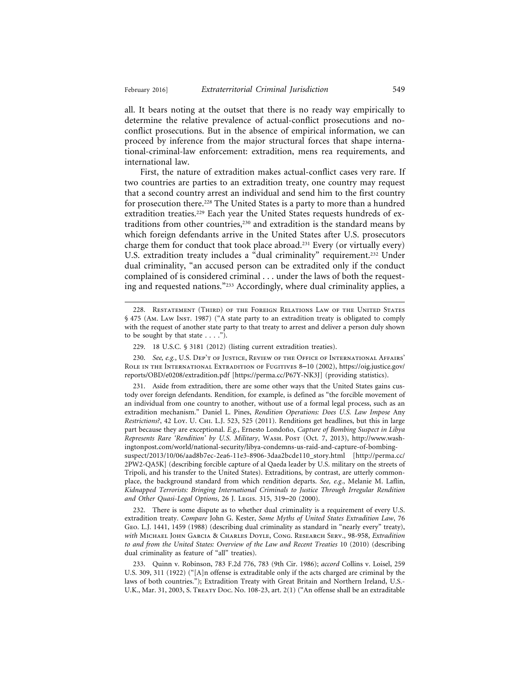all. It bears noting at the outset that there is no ready way empirically to determine the relative prevalence of actual-conflict prosecutions and noconflict prosecutions. But in the absence of empirical information, we can proceed by inference from the major structural forces that shape international-criminal-law enforcement: extradition, mens rea requirements, and international law.

First, the nature of extradition makes actual-conflict cases very rare. If two countries are parties to an extradition treaty, one country may request that a second country arrest an individual and send him to the first country for prosecution there.<sup>228</sup> The United States is a party to more than a hundred extradition treaties.<sup>229</sup> Each year the United States requests hundreds of extraditions from other countries,<sup>230</sup> and extradition is the standard means by which foreign defendants arrive in the United States after U.S. prosecutors charge them for conduct that took place abroad.231 Every (or virtually every) U.S. extradition treaty includes a "dual criminality" requirement.<sup>232</sup> Under dual criminality, "an accused person can be extradited only if the conduct complained of is considered criminal . . . under the laws of both the requesting and requested nations."233 Accordingly, where dual criminality applies, a

232. There is some dispute as to whether dual criminality is a requirement of every U.S. extradition treaty. *Compare* John G. Kester, *Some Myths of United States Extradition Law*, 76 Geo. L.J. 1441, 1459 (1988) (describing dual criminality as standard in "nearly every" treaty), *with* Michael John Garcia & Charles Doyle, Cong. Research Serv., 98-958, *Extradition to and from the United States: Overview of the Law and Recent Treaties* 10 (2010) (describing dual criminality as feature of "all" treaties).

<sup>228.</sup> Restatement (Third) of the Foreign Relations Law of the United States § 475 (Am. Law Inst. 1987) ("A state party to an extradition treaty is obligated to comply with the request of another state party to that treaty to arrest and deliver a person duly shown to be sought by that state  $\dots$ .").

<sup>229. 18</sup> U.S.C. § 3181 (2012) (listing current extradition treaties).

<sup>230.</sup> *See, e.g.*, U.S. Dep't of Justice, Review of the Office of International Affairs' ROLE IN THE INTERNATIONAL EXTRADITION OF FUGITIVES 8-10 (2002), https://oig.justice.gov/ reports/OBD/e0208/extradition.pdf [https://perma.cc/P67Y-NK3J] (providing statistics).

<sup>231.</sup> Aside from extradition, there are some other ways that the United States gains custody over foreign defendants. Rendition, for example, is defined as "the forcible movement of an individual from one country to another, without use of a formal legal process, such as an extradition mechanism." Daniel L. Pines, *Rendition Operations: Does U.S. Law Impose* Any *Restrictions?*, 42 Loy. U. Chi. L.J. 523, 525 (2011). Renditions get headlines, but this in large part because they are exceptional. *E.g.*, Ernesto Londo˜no, *Capture of Bombing Suspect in Libya Represents Rare 'Rendition' by U.S. Military*, Wash. Post (Oct. 7, 2013), http://www.washingtonpost.com/world/national-security/libya-condemns-us-raid-and-capture-of-bombingsuspect/2013/10/06/aad8b7ec-2ea6-11e3-8906-3daa2bcde110\_story.html [http://perma.cc/ 2PW2-QA5K] (describing forcible capture of al Qaeda leader by U.S. military on the streets of Tripoli, and his transfer to the United States). Extraditions, by contrast, are utterly commonplace, the background standard from which rendition departs. *See, e.g.*, Melanie M. Laflin, *Kidnapped Terrorists: Bringing International Criminals to Justice Through Irregular Rendition and Other Quasi-Legal Options*, 26 J. Legis. 315, 319–20 (2000).

<sup>233.</sup> Quinn v. Robinson, 783 F.2d 776, 783 (9th Cir. 1986); *accord* Collins v. Loisel, 259 U.S. 309, 311 (1922) ("[A]n offense is extraditable only if the acts charged are criminal by the laws of both countries."); Extradition Treaty with Great Britain and Northern Ireland, U.S.- U.K., Mar. 31, 2003, S. Treaty Doc. No. 108-23, art. 2(1) ("An offense shall be an extraditable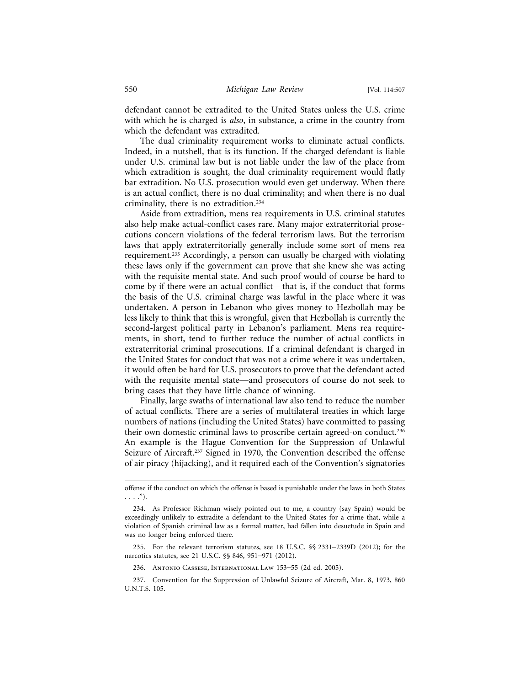defendant cannot be extradited to the United States unless the U.S. crime with which he is charged is *also*, in substance, a crime in the country from which the defendant was extradited.

The dual criminality requirement works to eliminate actual conflicts. Indeed, in a nutshell, that is its function. If the charged defendant is liable under U.S. criminal law but is not liable under the law of the place from which extradition is sought, the dual criminality requirement would flatly bar extradition. No U.S. prosecution would even get underway. When there is an actual conflict, there is no dual criminality; and when there is no dual criminality, there is no extradition.234

Aside from extradition, mens rea requirements in U.S. criminal statutes also help make actual-conflict cases rare. Many major extraterritorial prosecutions concern violations of the federal terrorism laws. But the terrorism laws that apply extraterritorially generally include some sort of mens rea requirement.235 Accordingly, a person can usually be charged with violating these laws only if the government can prove that she knew she was acting with the requisite mental state. And such proof would of course be hard to come by if there were an actual conflict—that is, if the conduct that forms the basis of the U.S. criminal charge was lawful in the place where it was undertaken. A person in Lebanon who gives money to Hezbollah may be less likely to think that this is wrongful, given that Hezbollah is currently the second-largest political party in Lebanon's parliament. Mens rea requirements, in short, tend to further reduce the number of actual conflicts in extraterritorial criminal prosecutions. If a criminal defendant is charged in the United States for conduct that was not a crime where it was undertaken, it would often be hard for U.S. prosecutors to prove that the defendant acted with the requisite mental state—and prosecutors of course do not seek to bring cases that they have little chance of winning.

Finally, large swaths of international law also tend to reduce the number of actual conflicts. There are a series of multilateral treaties in which large numbers of nations (including the United States) have committed to passing their own domestic criminal laws to proscribe certain agreed-on conduct.<sup>236</sup> An example is the Hague Convention for the Suppression of Unlawful Seizure of Aircraft.<sup>237</sup> Signed in 1970, the Convention described the offense of air piracy (hijacking), and it required each of the Convention's signatories

offense if the conduct on which the offense is based is punishable under the laws in both States  $\ldots$ .").

<sup>234.</sup> As Professor Richman wisely pointed out to me, a country (say Spain) would be exceedingly unlikely to extradite a defendant to the United States for a crime that, while a violation of Spanish criminal law as a formal matter, had fallen into desuetude in Spain and was no longer being enforced there.

<sup>235.</sup> For the relevant terrorism statutes, see 18 U.S.C. §§ 2331–2339D (2012); for the narcotics statutes, see 21 U.S.C. §§ 846, 951–971 (2012).

<sup>236.</sup> Antonio Cassese, International Law 153–55 (2d ed. 2005).

<sup>237.</sup> Convention for the Suppression of Unlawful Seizure of Aircraft, Mar. 8, 1973, 860 U.N.T.S. 105.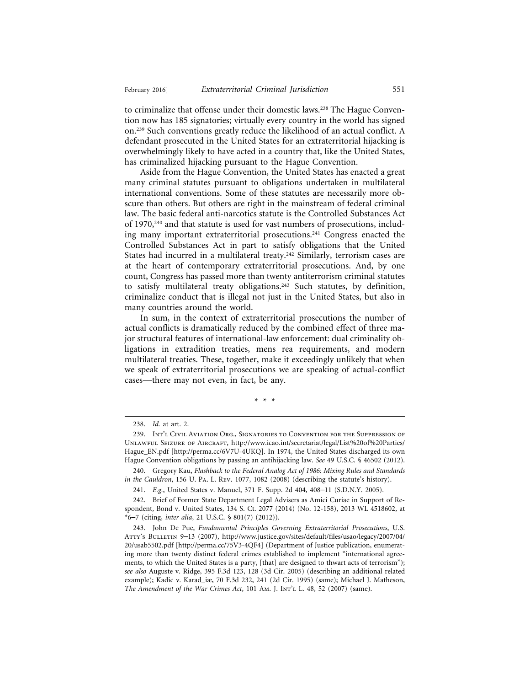to criminalize that offense under their domestic laws.<sup>238</sup> The Hague Convention now has 185 signatories; virtually every country in the world has signed on.239 Such conventions greatly reduce the likelihood of an actual conflict. A defendant prosecuted in the United States for an extraterritorial hijacking is overwhelmingly likely to have acted in a country that, like the United States, has criminalized hijacking pursuant to the Hague Convention.

Aside from the Hague Convention, the United States has enacted a great many criminal statutes pursuant to obligations undertaken in multilateral international conventions. Some of these statutes are necessarily more obscure than others. But others are right in the mainstream of federal criminal law. The basic federal anti-narcotics statute is the Controlled Substances Act of 1970,<sup>240</sup> and that statute is used for vast numbers of prosecutions, including many important extraterritorial prosecutions.241 Congress enacted the Controlled Substances Act in part to satisfy obligations that the United States had incurred in a multilateral treaty.<sup>242</sup> Similarly, terrorism cases are at the heart of contemporary extraterritorial prosecutions. And, by one count, Congress has passed more than twenty antiterrorism criminal statutes to satisfy multilateral treaty obligations.<sup>243</sup> Such statutes, by definition, criminalize conduct that is illegal not just in the United States, but also in many countries around the world.

In sum, in the context of extraterritorial prosecutions the number of actual conflicts is dramatically reduced by the combined effect of three major structural features of international-law enforcement: dual criminality obligations in extradition treaties, mens rea requirements, and modern multilateral treaties. These, together, make it exceedingly unlikely that when we speak of extraterritorial prosecutions we are speaking of actual-conflict cases—there may not even, in fact, be any.

\*\*\*

<sup>238.</sup> *Id.* at art. 2.

<sup>239.</sup> Int'l Civil Aviation Org., Signatories to Convention for the Suppression of Unlawful Seizure of Aircraft, http://www.icao.int/secretariat/legal/List%20of%20Parties/ Hague\_EN.pdf [http://perma.cc/6V7U-4UKQ]. In 1974, the United States discharged its own Hague Convention obligations by passing an antihijacking law. *See* 49 U.S.C. § 46502 (2012).

<sup>240.</sup> Gregory Kau, *Flashback to the Federal Analog Act of 1986: Mixing Rules and Standards in the Cauldron*, 156 U. Pa. L. Rev. 1077, 1082 (2008) (describing the statute's history).

<sup>241.</sup> *E.g.*, United States v. Manuel, 371 F. Supp. 2d 404, 408–11 (S.D.N.Y. 2005).

<sup>242.</sup> Brief of Former State Department Legal Advisers as Amici Curiae in Support of Respondent, Bond v. United States, 134 S. Ct. 2077 (2014) (No. 12-158), 2013 WL 4518602, at \*6–7 (citing, *inter alia*, 21 U.S.C. § 801(7) (2012)).

<sup>243.</sup> John De Pue, *Fundamental Principles Governing Extraterritorial Prosecutions*, U.S. ATTY's BULLETIN 9-13 (2007), http://www.justice.gov/sites/default/files/usao/legacy/2007/04/ 20/usab5502.pdf [http://perma.cc/75V3-4QF4] (Department of Justice publication, enumerating more than twenty distinct federal crimes established to implement "international agreements, to which the United States is a party, [that] are designed to thwart acts of terrorism"); *see also* Auguste v. Ridge, 395 F.3d 123, 128 (3d Cir. 2005) (describing an additional related example); Kadic v. Karad\_iæ, 70 F.3d 232, 241 (2d Cir. 1995) (same); Michael J. Matheson, *The Amendment of the War Crimes Act*, 101 Am. J. Int'l L. 48, 52 (2007) (same).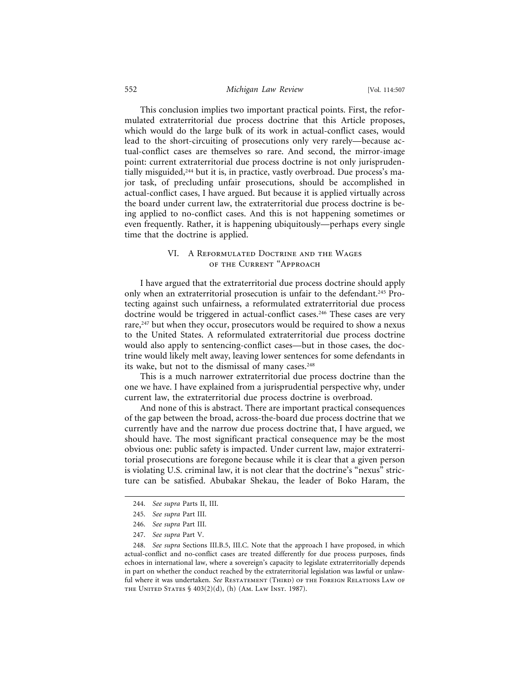#### 552 *Michigan Law Review* [Vol. 114:507

This conclusion implies two important practical points. First, the reformulated extraterritorial due process doctrine that this Article proposes, which would do the large bulk of its work in actual-conflict cases, would lead to the short-circuiting of prosecutions only very rarely—because actual-conflict cases are themselves so rare. And second, the mirror-image point: current extraterritorial due process doctrine is not only jurisprudentially misguided,<sup>244</sup> but it is, in practice, vastly overbroad. Due process's major task, of precluding unfair prosecutions, should be accomplished in actual-conflict cases, I have argued. But because it is applied virtually across the board under current law, the extraterritorial due process doctrine is being applied to no-conflict cases. And this is not happening sometimes or even frequently. Rather, it is happening ubiquitously—perhaps every single time that the doctrine is applied.

# VI. A Reformulated Doctrine and the Wages of the Current "Approach

I have argued that the extraterritorial due process doctrine should apply only when an extraterritorial prosecution is unfair to the defendant.<sup>245</sup> Protecting against such unfairness, a reformulated extraterritorial due process doctrine would be triggered in actual-conflict cases.<sup>246</sup> These cases are very rare,<sup>247</sup> but when they occur, prosecutors would be required to show a nexus to the United States. A reformulated extraterritorial due process doctrine would also apply to sentencing-conflict cases—but in those cases, the doctrine would likely melt away, leaving lower sentences for some defendants in its wake, but not to the dismissal of many cases.<sup>248</sup>

This is a much narrower extraterritorial due process doctrine than the one we have. I have explained from a jurisprudential perspective why, under current law, the extraterritorial due process doctrine is overbroad.

And none of this is abstract. There are important practical consequences of the gap between the broad, across-the-board due process doctrine that we currently have and the narrow due process doctrine that, I have argued, we should have. The most significant practical consequence may be the most obvious one: public safety is impacted. Under current law, major extraterritorial prosecutions are foregone because while it is clear that a given person is violating U.S. criminal law, it is not clear that the doctrine's "nexus" stricture can be satisfied. Abubakar Shekau, the leader of Boko Haram, the

<sup>244.</sup> *See supra* Parts II, III.

<sup>245.</sup> *See supra* Part III.

<sup>246.</sup> *See supra* Part III.

<sup>247.</sup> *See supra* Part V.

<sup>248.</sup> *See supra* Sections III.B.5, III.C. Note that the approach I have proposed, in which actual-conflict and no-conflict cases are treated differently for due process purposes, finds echoes in international law, where a sovereign's capacity to legislate extraterritorially depends in part on whether the conduct reached by the extraterritorial legislation was lawful or unlawful where it was undertaken. See RESTATEMENT (THIRD) OF THE FOREIGN RELATIONS LAW OF the United States § 403(2)(d), (h) (Am. Law Inst. 1987).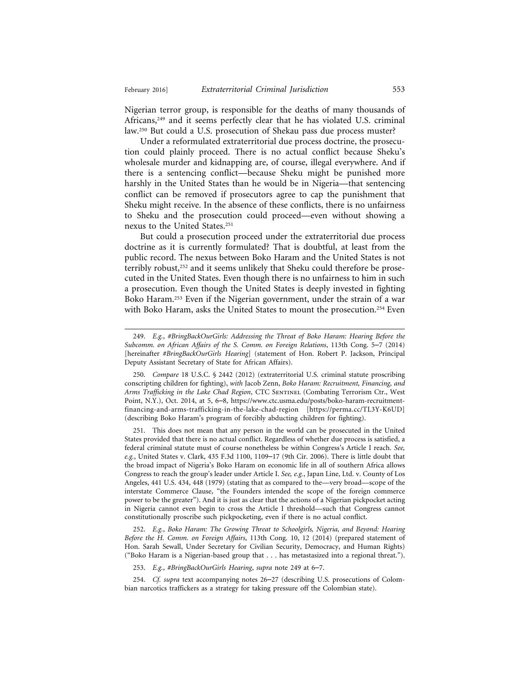Nigerian terror group, is responsible for the deaths of many thousands of Africans,<sup>249</sup> and it seems perfectly clear that he has violated U.S. criminal law.250 But could a U.S. prosecution of Shekau pass due process muster?

Under a reformulated extraterritorial due process doctrine, the prosecution could plainly proceed. There is no actual conflict because Sheku's wholesale murder and kidnapping are, of course, illegal everywhere. And if there is a sentencing conflict—because Sheku might be punished more harshly in the United States than he would be in Nigeria—that sentencing conflict can be removed if prosecutors agree to cap the punishment that Sheku might receive. In the absence of these conflicts, there is no unfairness to Sheku and the prosecution could proceed—even without showing a nexus to the United States.251

But could a prosecution proceed under the extraterritorial due process doctrine as it is currently formulated? That is doubtful, at least from the public record. The nexus between Boko Haram and the United States is not terribly robust,<sup>252</sup> and it seems unlikely that Sheku could therefore be prosecuted in the United States. Even though there is no unfairness to him in such a prosecution. Even though the United States is deeply invested in fighting Boko Haram.253 Even if the Nigerian government, under the strain of a war with Boko Haram, asks the United States to mount the prosecution.<sup>254</sup> Even

251. This does not mean that any person in the world can be prosecuted in the United States provided that there is no actual conflict. Regardless of whether due process is satisfied, a federal criminal statute must of course nonetheless be within Congress's Article I reach. *See, e.g.*, United States v. Clark, 435 F.3d 1100, 1109–17 (9th Cir. 2006). There is little doubt that the broad impact of Nigeria's Boko Haram on economic life in all of southern Africa allows Congress to reach the group's leader under Article I. *See, e.g.*, Japan Line, Ltd. v. County of Los Angeles, 441 U.S. 434, 448 (1979) (stating that as compared to the—very broad—scope of the interstate Commerce Clause, "the Founders intended the scope of the foreign commerce power to be the greater"). And it is just as clear that the actions of a Nigerian pickpocket acting in Nigeria cannot even begin to cross the Article I threshold—such that Congress cannot constitutionally proscribe such pickpocketing, even if there is no actual conflict.

252. *E.g.*, *Boko Haram: The Growing Threat to Schoolgirls, Nigeria, and Beyond: Hearing Before the H. Comm. on Foreign Affairs*, 113th Cong. 10, 12 (2014) (prepared statement of Hon. Sarah Sewall, Under Secretary for Civilian Security, Democracy, and Human Rights) ("Boko Haram is a Nigerian-based group that . . . has metastasized into a regional threat.").

253. *E.g.*, *#BringBackOurGirls Hearing*, *supra* note 249 at 6–7.

254. *Cf. supra* text accompanying notes 26–27 (describing U.S. prosecutions of Colombian narcotics traffickers as a strategy for taking pressure off the Colombian state).

<sup>249.</sup> *E.g.*, *#BringBackOurGirls: Addressing the Threat of Boko Haram: Hearing Before the Subcomm. on African Affairs of the S. Comm. on Foreign Relations*, 113th Cong. 5–7 (2014) [hereinafter *#BringBackOurGirls Hearing*] (statement of Hon. Robert P. Jackson, Principal Deputy Assistant Secretary of State for African Affairs).

<sup>250.</sup> *Compare* 18 U.S.C. § 2442 (2012) (extraterritorial U.S. criminal statute proscribing conscripting children for fighting), *with* Jacob Zenn, *Boko Haram: Recruitment, Financing, and Arms Trafficking in the Lake Chad Region*, CTC Sentinel (Combating Terrorism Ctr., West Point, N.Y.), Oct. 2014, at 5, 6–8, https://www.ctc.usma.edu/posts/boko-haram-recruitmentfinancing-and-arms-trafficking-in-the-lake-chad-region [https://perma.cc/TL3Y-K6UD] (describing Boko Haram's program of forcibly abducting children for fighting).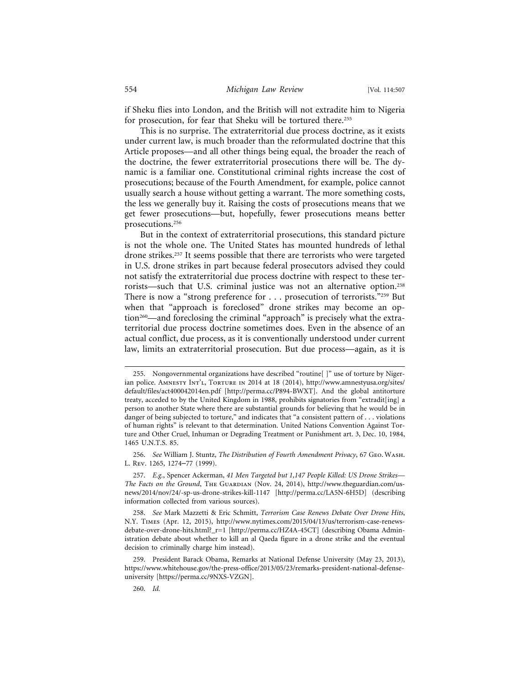if Sheku flies into London, and the British will not extradite him to Nigeria for prosecution, for fear that Sheku will be tortured there.<sup>255</sup>

This is no surprise. The extraterritorial due process doctrine, as it exists under current law, is much broader than the reformulated doctrine that this Article proposes—and all other things being equal, the broader the reach of the doctrine, the fewer extraterritorial prosecutions there will be. The dynamic is a familiar one. Constitutional criminal rights increase the cost of prosecutions; because of the Fourth Amendment, for example, police cannot usually search a house without getting a warrant. The more something costs, the less we generally buy it. Raising the costs of prosecutions means that we get fewer prosecutions—but, hopefully, fewer prosecutions means better prosecutions.256

But in the context of extraterritorial prosecutions, this standard picture is not the whole one. The United States has mounted hundreds of lethal drone strikes.257 It seems possible that there are terrorists who were targeted in U.S. drone strikes in part because federal prosecutors advised they could not satisfy the extraterritorial due process doctrine with respect to these terrorists—such that U.S. criminal justice was not an alternative option.258 There is now a "strong preference for . . . prosecution of terrorists."<sup>259</sup> But when that "approach is foreclosed" drone strikes may become an option<sup>260</sup>—and foreclosing the criminal "approach" is precisely what the extraterritorial due process doctrine sometimes does. Even in the absence of an actual conflict, due process, as it is conventionally understood under current law, limits an extraterritorial prosecution. But due process—again, as it is

256. *See* William J. Stuntz, *The Distribution of Fourth Amendment Privacy*, 67 Geo. Wash. L. Rev. 1265, 1274–77 (1999).

257. *E.g.*, Spencer Ackerman, *41 Men Targeted but 1,147 People Killed: US Drone Strikes— The Facts on the Ground*, The Guardian (Nov. 24, 2014), http://www.theguardian.com/usnews/2014/nov/24/-sp-us-drone-strikes-kill-1147 [http://perma.cc/LA5N-6H5D] (describing information collected from various sources).

258. *See* Mark Mazzetti & Eric Schmitt, *Terrorism Case Renews Debate Over Drone Hits*, N.Y. Times (Apr. 12, 2015), http://www.nytimes.com/2015/04/13/us/terrorism-case-renewsdebate-over-drone-hits.html?\_r=1 [http://perma.cc/HZ4A-45CT] (describing Obama Administration debate about whether to kill an al Qaeda figure in a drone strike and the eventual decision to criminally charge him instead).

259. President Barack Obama, Remarks at National Defense University (May 23, 2013), https://www.whitehouse.gov/the-press-office/2013/05/23/remarks-president-national-defenseuniversity [https://perma.cc/9NXS-VZGN].

260. *Id.*

<sup>255.</sup> Nongovernmental organizations have described "routine[ ]" use of torture by Nigerian police. AMNESTY INT'L, TORTURE IN 2014 at 18 (2014), http://www.amnestyusa.org/sites/ default/files/act400042014en.pdf [http://perma.cc/P894-BWXT]. And the global antitorture treaty, acceded to by the United Kingdom in 1988, prohibits signatories from "extradit[ing] a person to another State where there are substantial grounds for believing that he would be in danger of being subjected to torture," and indicates that "a consistent pattern of . . . violations of human rights" is relevant to that determination. United Nations Convention Against Torture and Other Cruel, Inhuman or Degrading Treatment or Punishment art. 3, Dec. 10, 1984, 1465 U.N.T.S. 85.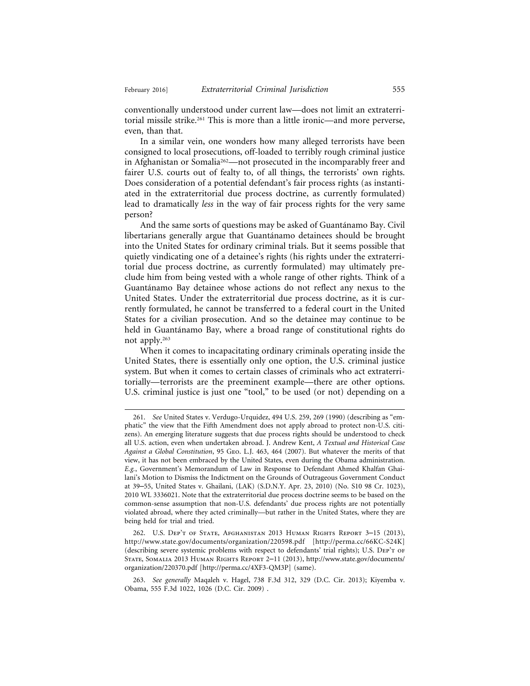conventionally understood under current law—does not limit an extraterritorial missile strike.261 This is more than a little ironic—and more perverse, even, than that.

In a similar vein, one wonders how many alleged terrorists have been consigned to local prosecutions, off-loaded to terribly rough criminal justice in Afghanistan or Somalia<sup>262</sup>—not prosecuted in the incomparably freer and fairer U.S. courts out of fealty to, of all things, the terrorists' own rights. Does consideration of a potential defendant's fair process rights (as instantiated in the extraterritorial due process doctrine, as currently formulated) lead to dramatically *less* in the way of fair process rights for the very same person?

And the same sorts of questions may be asked of Guantánamo Bay. Civil libertarians generally argue that Guantánamo detainees should be brought into the United States for ordinary criminal trials. But it seems possible that quietly vindicating one of a detainee's rights (his rights under the extraterritorial due process doctrine, as currently formulated) may ultimately preclude him from being vested with a whole range of other rights. Think of a Guantánamo Bay detainee whose actions do not reflect any nexus to the United States. Under the extraterritorial due process doctrine, as it is currently formulated, he cannot be transferred to a federal court in the United States for a civilian prosecution. And so the detainee may continue to be held in Guantánamo Bay, where a broad range of constitutional rights do not apply.263

When it comes to incapacitating ordinary criminals operating inside the United States, there is essentially only one option, the U.S. criminal justice system. But when it comes to certain classes of criminals who act extraterritorially—terrorists are the preeminent example—there are other options. U.S. criminal justice is just one "tool," to be used (or not) depending on a

<sup>261.</sup> *See* United States v. Verdugo-Urquidez, 494 U.S. 259, 269 (1990) (describing as "emphatic" the view that the Fifth Amendment does not apply abroad to protect non-U.S. citizens). An emerging literature suggests that due process rights should be understood to check all U.S. action, even when undertaken abroad. J. Andrew Kent, *A Textual and Historical Case Against a Global Constitution*, 95 Geo. L.J. 463, 464 (2007). But whatever the merits of that view, it has not been embraced by the United States, even during the Obama administration. *E.g.*, Government's Memorandum of Law in Response to Defendant Ahmed Khalfan Ghailani's Motion to Dismiss the Indictment on the Grounds of Outrageous Government Conduct at 39–55, United States v. Ghailani, (LAK) (S.D.N.Y. Apr. 23, 2010) (No. S10 98 Cr. 1023), 2010 WL 3336021. Note that the extraterritorial due process doctrine seems to be based on the common-sense assumption that non-U.S. defendants' due process rights are not potentially violated abroad, where they acted criminally—but rather in the United States, where they are being held for trial and tried.

<sup>262.</sup> U.S. Dep't of State, Afghanistan 2013 Human Rights Report 3–15 (2013), http://www.state.gov/documents/organization/220598.pdf [http://perma.cc/66KC-S24K] (describing severe systemic problems with respect to defendants' trial rights); U.S. DEP'T OF State, Somalia 2013 Human Rights Report 2–11 (2013), http://www.state.gov/documents/ organization/220370.pdf [http://perma.cc/4XF3-QM3P] (same).

<sup>263.</sup> *See generally* Maqaleh v. Hagel, 738 F.3d 312, 329 (D.C. Cir. 2013); Kiyemba v. Obama, 555 F.3d 1022, 1026 (D.C. Cir. 2009) .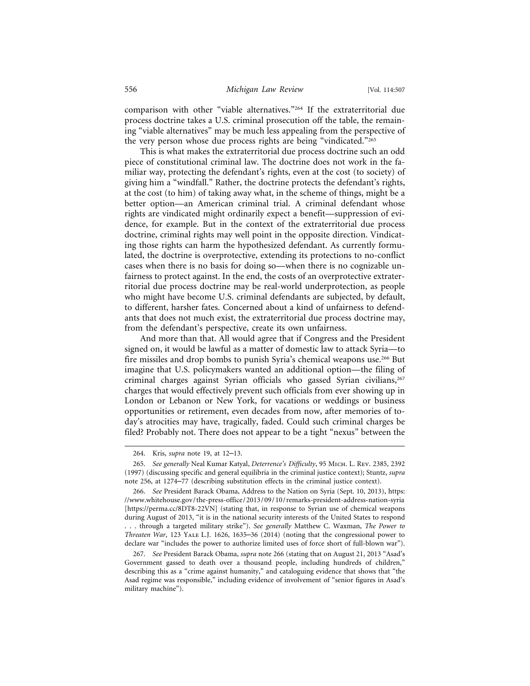comparison with other "viable alternatives."264 If the extraterritorial due process doctrine takes a U.S. criminal prosecution off the table, the remaining "viable alternatives" may be much less appealing from the perspective of the very person whose due process rights are being "vindicated."265

This is what makes the extraterritorial due process doctrine such an odd piece of constitutional criminal law. The doctrine does not work in the familiar way, protecting the defendant's rights, even at the cost (to society) of giving him a "windfall." Rather, the doctrine protects the defendant's rights, at the cost (to him) of taking away what, in the scheme of things, might be a better option—an American criminal trial. A criminal defendant whose rights are vindicated might ordinarily expect a benefit—suppression of evidence, for example. But in the context of the extraterritorial due process doctrine, criminal rights may well point in the opposite direction. Vindicating those rights can harm the hypothesized defendant. As currently formulated, the doctrine is overprotective, extending its protections to no-conflict cases when there is no basis for doing so—when there is no cognizable unfairness to protect against. In the end, the costs of an overprotective extraterritorial due process doctrine may be real-world underprotection, as people who might have become U.S. criminal defendants are subjected, by default, to different, harsher fates. Concerned about a kind of unfairness to defendants that does not much exist, the extraterritorial due process doctrine may, from the defendant's perspective, create its own unfairness.

And more than that. All would agree that if Congress and the President signed on, it would be lawful as a matter of domestic law to attack Syria—to fire missiles and drop bombs to punish Syria's chemical weapons use.266 But imagine that U.S. policymakers wanted an additional option—the filing of criminal charges against Syrian officials who gassed Syrian civilians, 267 charges that would effectively prevent such officials from ever showing up in London or Lebanon or New York, for vacations or weddings or business opportunities or retirement, even decades from now, after memories of today's atrocities may have, tragically, faded. Could such criminal charges be filed? Probably not. There does not appear to be a tight "nexus" between the

<sup>264.</sup> Kris, *supra* note 19, at 12–13.

<sup>265.</sup> *See generally* Neal Kumar Katyal, *Deterrence's Difficulty*, 95 Mich. L. Rev. 2385, 2392 (1997) (discussing specific and general equilibria in the criminal justice context); Stuntz, *supra* note 256, at 1274–77 (describing substitution effects in the criminal justice context).

<sup>266.</sup> *See* President Barack Obama, Address to the Nation on Syria (Sept. 10, 2013), https: //www.whitehouse.gov/the-press-office/2013/09/10/remarks-president-address-nation-syria [https://perma.cc/8DT8-22VN] (stating that, in response to Syrian use of chemical weapons during August of 2013, "it is in the national security interests of the United States to respond . . . through a targeted military strike"). *See generally* Matthew C. Waxman, *The Power to Threaten War*, 123 Yale L.J. 1626, 1635–36 (2014) (noting that the congressional power to declare war "includes the power to authorize limited uses of force short of full-blown war").

<sup>267.</sup> *See* President Barack Obama, *supra* note 266 (stating that on August 21, 2013 "Asad's Government gassed to death over a thousand people, including hundreds of children," describing this as a "crime against humanity," and cataloguing evidence that shows that "the Asad regime was responsible," including evidence of involvement of "senior figures in Asad's military machine").